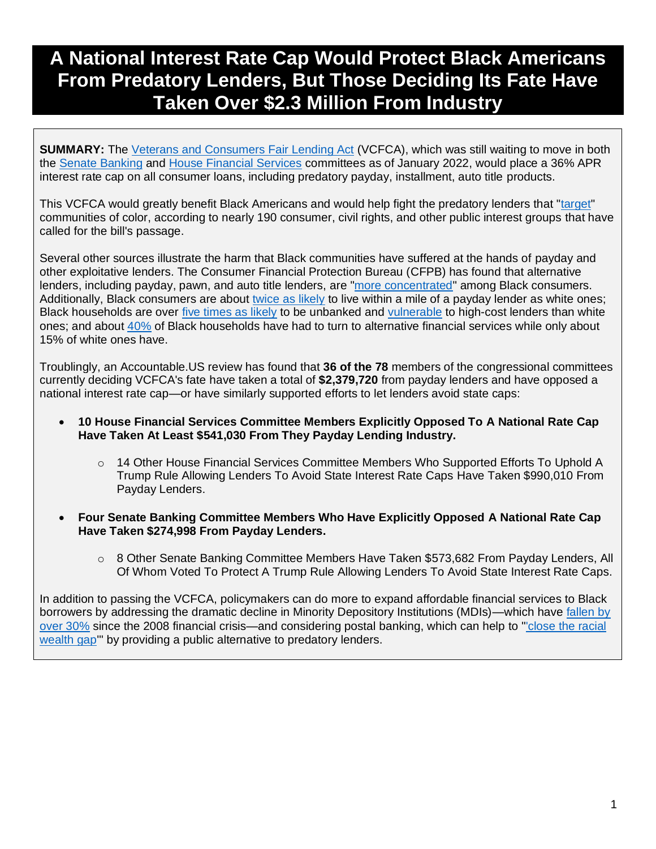# **A National Interest Rate Cap Would Protect Black Americans From Predatory Lenders, But Those Deciding Its Fate Have Taken Over \$2.3 Million From Industry**

**SUMMARY:** The [Veterans and Consumers Fair Lending Act](https://uspirg.org/news/usp/statement-bipartisan-introduction-veterans-and-consumers-fair-credit-act-marks-important) (VCFCA), which was still waiting to move in both the [Senate Banking](https://www.congress.gov/bill/117th-congress/senate-bill/2508/all-actions?q=%7B%22search%22%3A%5B%22Veterans+and+Consumers+Fair+Credit+Act%22%2C%22Veterans%22%2C%22and%22%2C%22Consumers%22%2C%22Fair%22%2C%22Credit%22%2C%22Act%22%5D%7D&s=1&r=1) and [House Financial Services](https://www.congress.gov/bill/117th-congress/house-bill/5974/all-actions?q=%7B%22search%22%3A%5B%22Veterans+and+Consumers+Fair+Credit+Act%22%2C%22Veterans%22%2C%22and%22%2C%22Consumers%22%2C%22Fair%22%2C%22Credit%22%2C%22Act%22%5D%7D&s=1&r=2) committees as of January 2022, would place a 36% APR interest rate cap on all consumer loans, including predatory payday, installment, auto title products.

This VCFCA would greatly benefit Black Americans and would help fight the predatory lenders that ["target"](https://www.nclc.org/images/pdf/high_cost_small_loans/Ltr_S_2508.pdf) communities of color, according to nearly 190 consumer, civil rights, and other public interest groups that have called for the bill's passage.

Several other sources illustrate the harm that Black communities have suffered at the hands of payday and other exploitative lenders. The Consumer Financial Protection Bureau (CFPB) has found that alternative lenders, including payday, pawn, and auto title lenders, are ["more concentrated"](https://files.consumerfinance.gov/f/documents/cfpb_consumer-use-of-payday-auto_title-pawn_loans_research-brief_2021-05.pdf) among Black consumers. Additionally, Black consumers are about [twice as likely](https://morningconsult.com/2020/07/23/black-consumers-payday-loan-banking-services/) to live within a mile of a payday lender as white ones; Black households are over [five times as likely](https://www.fdic.gov/analysis/household-survey/2019report.pdf) to be unbanked and [vulnerable](https://www.law.georgetown.edu/poverty-journal/blog/underbanking-in-the-united-states/) to high-cost lenders than white ones; and about [40%](https://www.fdic.gov/analysis/household-survey/2017/2017report.pdf) of Black households have had to turn to alternative financial services while only about 15% of white ones have.

Troublingly, an Accountable.US review has found that **36 of the 78** members of the congressional committees currently deciding VCFCA's fate have taken a total of **\$2,379,720** from payday lenders and have opposed a national interest rate cap—or have similarly supported efforts to let lenders avoid state caps:

- **10 House Financial Services Committee Members Explicitly Opposed To A National Rate Cap Have Taken At Least \$541,030 From They Payday Lending Industry.** 
	- $\circ$  14 Other House Financial Services Committee Members Who Supported Efforts To Uphold A Trump Rule Allowing Lenders To Avoid State Interest Rate Caps Have Taken \$990,010 From Payday Lenders.
- **Four Senate Banking Committee Members Who Have Explicitly Opposed A National Rate Cap Have Taken \$274,998 From Payday Lenders.**
	- o 8 Other Senate Banking Committee Members Have Taken \$573,682 From Payday Lenders, All Of Whom Voted To Protect A Trump Rule Allowing Lenders To Avoid State Interest Rate Caps.

In addition to passing the VCFCA, policymakers can do more to expand affordable financial services to Black borrowers by addressing the dramatic decline in Minority Depository Institutions (MDIs)—which have [fallen by](https://www.politico.com/news/agenda/2022/01/19/minority-owned-banks-527315)  [over 30%](https://www.politico.com/news/agenda/2022/01/19/minority-owned-banks-527315) since the 2008 financial crisis—and considering postal banking, which can help to ["'close the racial](https://pressley.house.gov/media/press-releases/oversight-hearing-pressley-calls-postal-banking-advance-racial-and-economic)  [wealth gap'](https://pressley.house.gov/media/press-releases/oversight-hearing-pressley-calls-postal-banking-advance-racial-and-economic)" by providing a public alternative to predatory lenders.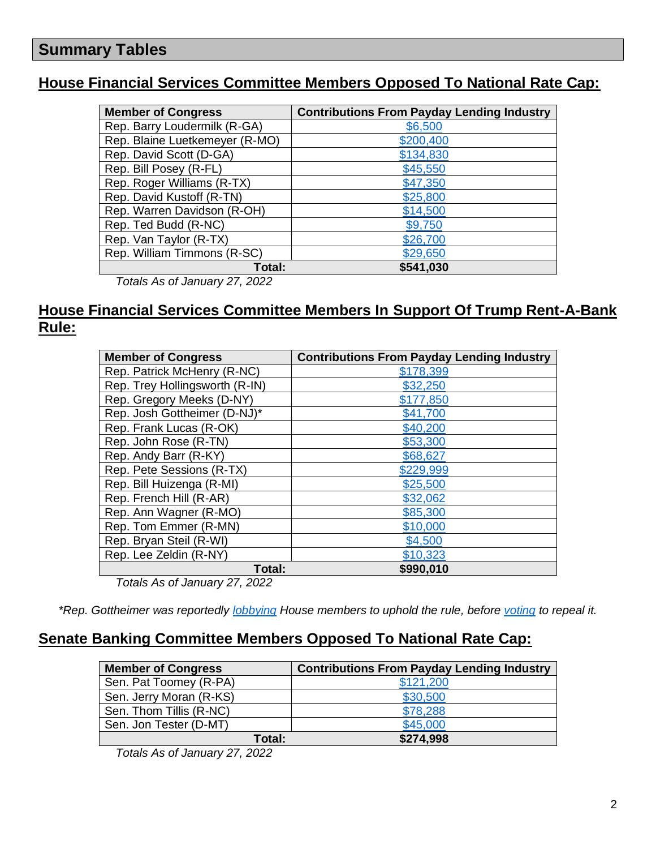## **Summary Tables**

#### **House Financial Services Committee Members Opposed To National Rate Cap:**

| <b>Member of Congress</b>      | <b>Contributions From Payday Lending Industry</b> |
|--------------------------------|---------------------------------------------------|
| Rep. Barry Loudermilk (R-GA)   | \$6,500                                           |
| Rep. Blaine Luetkemeyer (R-MO) | \$200,400                                         |
| Rep. David Scott (D-GA)        | \$134,830                                         |
| Rep. Bill Posey (R-FL)         | \$45,550                                          |
| Rep. Roger Williams (R-TX)     | \$47,350                                          |
| Rep. David Kustoff (R-TN)      | \$25,800                                          |
| Rep. Warren Davidson (R-OH)    | \$14,500                                          |
| Rep. Ted Budd (R-NC)           | \$9,750                                           |
| Rep. Van Taylor (R-TX)         | \$26,700                                          |
| Rep. William Timmons (R-SC)    | \$29,650                                          |
| Total:                         | \$541,030                                         |
| Totale As of January 27, 2022  |                                                   |

*Totals As of January 27, 2022*

#### **House Financial Services Committee Members In Support Of Trump Rent-A-Bank Rule:**

| <b>Member of Congress</b>      | <b>Contributions From Payday Lending Industry</b> |
|--------------------------------|---------------------------------------------------|
| Rep. Patrick McHenry (R-NC)    | \$178,399                                         |
| Rep. Trey Hollingsworth (R-IN) | \$32,250                                          |
| Rep. Gregory Meeks (D-NY)      | \$177,850                                         |
| Rep. Josh Gottheimer (D-NJ)*   | \$41,700                                          |
| Rep. Frank Lucas (R-OK)        | \$40,200                                          |
| Rep. John Rose (R-TN)          | \$53,300                                          |
| Rep. Andy Barr (R-KY)          | \$68,627                                          |
| Rep. Pete Sessions (R-TX)      | \$229,999                                         |
| Rep. Bill Huizenga (R-MI)      | \$25,500                                          |
| Rep. French Hill (R-AR)        | \$32,062                                          |
| Rep. Ann Wagner (R-MO)         | \$85,300                                          |
| Rep. Tom Emmer (R-MN)          | \$10,000                                          |
| Rep. Bryan Steil (R-WI)        | \$4,500                                           |
| Rep. Lee Zeldin (R-NY)         | \$10,323                                          |
| Total:                         | \$990,010                                         |

*Totals As of January 27, 2022*

*\*Rep. Gottheimer was reportedly [lobbying](https://prospect.org/power/house-democrat-leading-effort-against-key-consumer-protection-josh-gottheimer/) House members to uphold the rule, before [voting](https://clerk.house.gov/Votes/2021181) to repeal it.*

#### **Senate Banking Committee Members Opposed To National Rate Cap:**

| <b>Member of Congress</b> | <b>Contributions From Payday Lending Industry</b> |
|---------------------------|---------------------------------------------------|
| Sen. Pat Toomey (R-PA)    | \$121,200                                         |
| Sen. Jerry Moran (R-KS)   | \$30,500                                          |
| Sen. Thom Tillis (R-NC)   | \$78,288                                          |
| Sen. Jon Tester (D-MT)    | \$45,000                                          |
| Total:                    | \$274,998                                         |

*Totals As of January 27, 2022*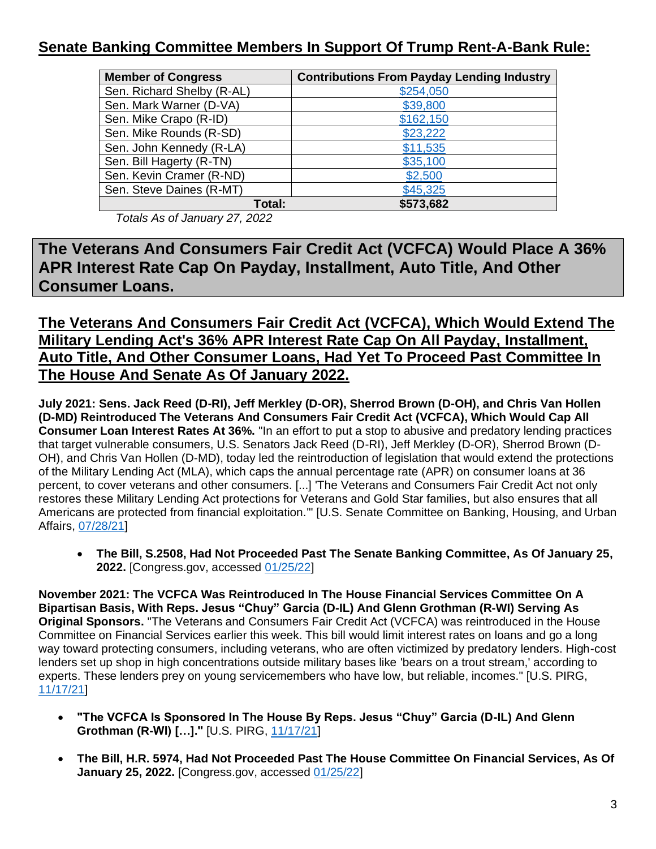#### **Senate Banking Committee Members In Support Of Trump Rent-A-Bank Rule:**

| <b>Member of Congress</b>  | <b>Contributions From Payday Lending Industry</b> |
|----------------------------|---------------------------------------------------|
| Sen. Richard Shelby (R-AL) | \$254,050                                         |
| Sen. Mark Warner (D-VA)    | \$39,800                                          |
| Sen. Mike Crapo (R-ID)     | \$162,150                                         |
| Sen. Mike Rounds (R-SD)    | \$23,222                                          |
| Sen. John Kennedy (R-LA)   | \$11,535                                          |
| Sen. Bill Hagerty (R-TN)   | \$35,100                                          |
| Sen. Kevin Cramer (R-ND)   | \$2,500                                           |
| Sen. Steve Daines (R-MT)   | \$45,325                                          |
| Total:                     | \$573,682                                         |

*Totals As of January 27, 2022*

**The Veterans And Consumers Fair Credit Act (VCFCA) Would Place A 36% APR Interest Rate Cap On Payday, Installment, Auto Title, And Other Consumer Loans.**

#### **The Veterans And Consumers Fair Credit Act (VCFCA), Which Would Extend The Military Lending Act's 36% APR Interest Rate Cap On All Payday, Installment, Auto Title, And Other Consumer Loans, Had Yet To Proceed Past Committee In The House And Senate As Of January 2022.**

**July 2021: Sens. Jack Reed (D-RI), Jeff Merkley (D-OR), Sherrod Brown (D-OH), and Chris Van Hollen (D-MD) Reintroduced The Veterans And Consumers Fair Credit Act (VCFCA), Which Would Cap All Consumer Loan Interest Rates At 36%.** "In an effort to put a stop to abusive and predatory lending practices that target vulnerable consumers, U.S. Senators Jack Reed (D-RI), Jeff Merkley (D-OR), Sherrod Brown (D-OH), and Chris Van Hollen (D-MD), today led the reintroduction of legislation that would extend the protections of the Military Lending Act (MLA), which caps the annual percentage rate (APR) on consumer loans at 36 percent, to cover veterans and other consumers. [...] 'The Veterans and Consumers Fair Credit Act not only restores these Military Lending Act protections for Veterans and Gold Star families, but also ensures that all Americans are protected from financial exploitation.'" [U.S. Senate Committee on Banking, Housing, and Urban Affairs, [07/28/21\]](https://www.banking.senate.gov/newsroom/majority/us-senators-seek-to-cap-consumer-loans-at-36)

• **The Bill, S.2508, Had Not Proceeded Past The Senate Banking Committee, As Of January 25, 2022.** [Congress.gov, accessed [01/25/22\]](https://www.congress.gov/bill/117th-congress/senate-bill/2508/all-actions?q=%7B%22search%22%3A%5B%22Veterans+and+Consumers+Fair+Credit+Act%22%2C%22Veterans%22%2C%22and%22%2C%22Consumers%22%2C%22Fair%22%2C%22Credit%22%2C%22Act%22%5D%7D&s=1&r=1)

**November 2021: The VCFCA Was Reintroduced In The House Financial Services Committee On A Bipartisan Basis, With Reps. Jesus "Chuy" Garcia (D-IL) And Glenn Grothman (R-WI) Serving As Original Sponsors.** "The Veterans and Consumers Fair Credit Act (VCFCA) was reintroduced in the House Committee on Financial Services earlier this week. This bill would limit interest rates on loans and go a long way toward protecting consumers, including veterans, who are often victimized by predatory lenders. High-cost lenders set up shop in high concentrations outside military bases like 'bears on a trout stream,' according to experts. These lenders prey on young servicemembers who have low, but reliable, incomes." [U.S. PIRG, [11/17/21\]](https://uspirg.org/news/usp/statement-bipartisan-introduction-veterans-and-consumers-fair-credit-act-marks-important)

- **"The VCFCA Is Sponsored In The House By Reps. Jesus "Chuy" Garcia (D-IL) And Glenn Grothman (R-WI) […]."** [U.S. PIRG, [11/17/21\]](https://uspirg.org/news/usp/statement-bipartisan-introduction-veterans-and-consumers-fair-credit-act-marks-important)
- **The Bill, H.R. 5974, Had Not Proceeded Past The House Committee On Financial Services, As Of January 25, 2022.** [Congress.gov, accessed [01/25/22\]](https://www.congress.gov/bill/117th-congress/house-bill/5974/all-actions?q=%7B%22search%22%3A%5B%22Veterans+and+Consumers+Fair+Credit+Act%22%2C%22Veterans%22%2C%22and%22%2C%22Consumers%22%2C%22Fair%22%2C%22Credit%22%2C%22Act%22%5D%7D&s=1&r=2)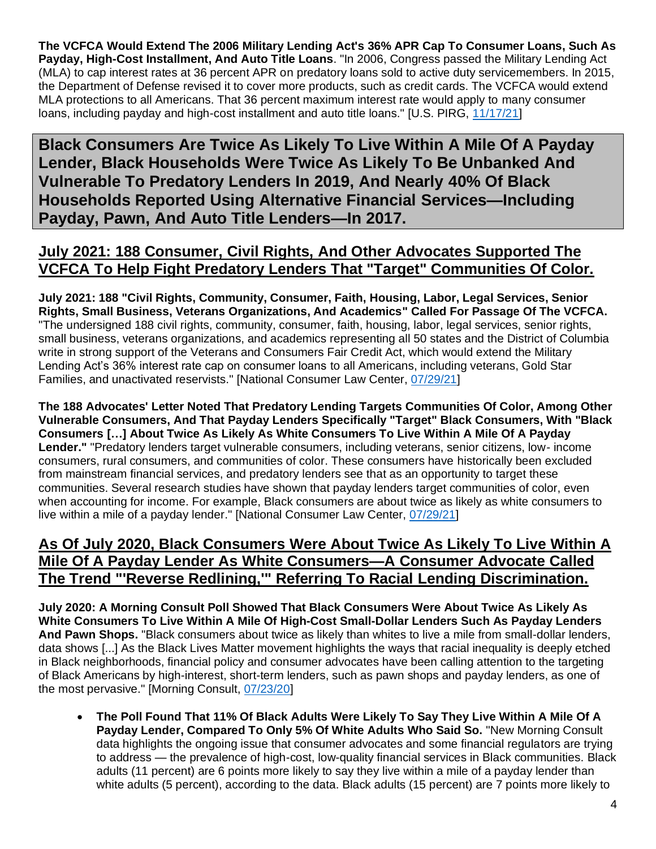**The VCFCA Would Extend The 2006 Military Lending Act's 36% APR Cap To Consumer Loans, Such As Payday, High-Cost Installment, And Auto Title Loans**. "In 2006, Congress passed the Military Lending Act (MLA) to cap interest rates at 36 percent APR on predatory loans sold to active duty servicemembers. In 2015, the Department of Defense revised it to cover more products, such as credit cards. The VCFCA would extend MLA protections to all Americans. That 36 percent maximum interest rate would apply to many consumer loans, including payday and high-cost installment and auto title loans." [U.S. PIRG, [11/17/21\]](https://uspirg.org/news/usp/statement-bipartisan-introduction-veterans-and-consumers-fair-credit-act-marks-important)

**Black Consumers Are Twice As Likely To Live Within A Mile Of A Payday Lender, Black Households Were Twice As Likely To Be Unbanked And Vulnerable To Predatory Lenders In 2019, And Nearly 40% Of Black Households Reported Using Alternative Financial Services—Including Payday, Pawn, And Auto Title Lenders—In 2017.**

#### **July 2021: 188 Consumer, Civil Rights, And Other Advocates Supported The VCFCA To Help Fight Predatory Lenders That "Target" Communities Of Color.**

**July 2021: 188 "Civil Rights, Community, Consumer, Faith, Housing, Labor, Legal Services, Senior Rights, Small Business, Veterans Organizations, And Academics" Called For Passage Of The VCFCA.** "The undersigned 188 civil rights, community, consumer, faith, housing, labor, legal services, senior rights, small business, veterans organizations, and academics representing all 50 states and the District of Columbia write in strong support of the Veterans and Consumers Fair Credit Act, which would extend the Military Lending Act's 36% interest rate cap on consumer loans to all Americans, including veterans, Gold Star Families, and unactivated reservists." [National Consumer Law Center, [07/29/21\]](https://www.nclc.org/images/pdf/high_cost_small_loans/Ltr_S_2508.pdf)

**The 188 Advocates' Letter Noted That Predatory Lending Targets Communities Of Color, Among Other Vulnerable Consumers, And That Payday Lenders Specifically "Target" Black Consumers, With "Black Consumers […] About Twice As Likely As White Consumers To Live Within A Mile Of A Payday Lender."** "Predatory lenders target vulnerable consumers, including veterans, senior citizens, low- income consumers, rural consumers, and communities of color. These consumers have historically been excluded from mainstream financial services, and predatory lenders see that as an opportunity to target these communities. Several research studies have shown that payday lenders target communities of color, even when accounting for income. For example, Black consumers are about twice as likely as white consumers to live within a mile of a payday lender." [National Consumer Law Center, [07/29/21\]](https://www.nclc.org/images/pdf/high_cost_small_loans/Ltr_S_2508.pdf)

#### **As Of July 2020, Black Consumers Were About Twice As Likely To Live Within A Mile Of A Payday Lender As White Consumers—A Consumer Advocate Called The Trend "'Reverse Redlining,'" Referring To Racial Lending Discrimination.**

**July 2020: A Morning Consult Poll Showed That Black Consumers Were About Twice As Likely As White Consumers To Live Within A Mile Of High-Cost Small-Dollar Lenders Such As Payday Lenders And Pawn Shops.** "Black consumers about twice as likely than whites to live a mile from small-dollar lenders, data shows [...] As the Black Lives Matter movement highlights the ways that racial inequality is deeply etched in Black neighborhoods, financial policy and consumer advocates have been calling attention to the targeting of Black Americans by high-interest, short-term lenders, such as pawn shops and payday lenders, as one of the most pervasive." [Morning Consult, [07/23/20\]](https://morningconsult.com/2020/07/23/black-consumers-payday-loan-banking-services/)

• **The Poll Found That 11% Of Black Adults Were Likely To Say They Live Within A Mile Of A Payday Lender, Compared To Only 5% Of White Adults Who Said So.** "New Morning Consult data highlights the ongoing issue that consumer advocates and some financial regulators are trying to address — the prevalence of high-cost, low-quality financial services in Black communities. Black adults (11 percent) are 6 points more likely to say they live within a mile of a payday lender than white adults (5 percent), according to the data. Black adults (15 percent) are 7 points more likely to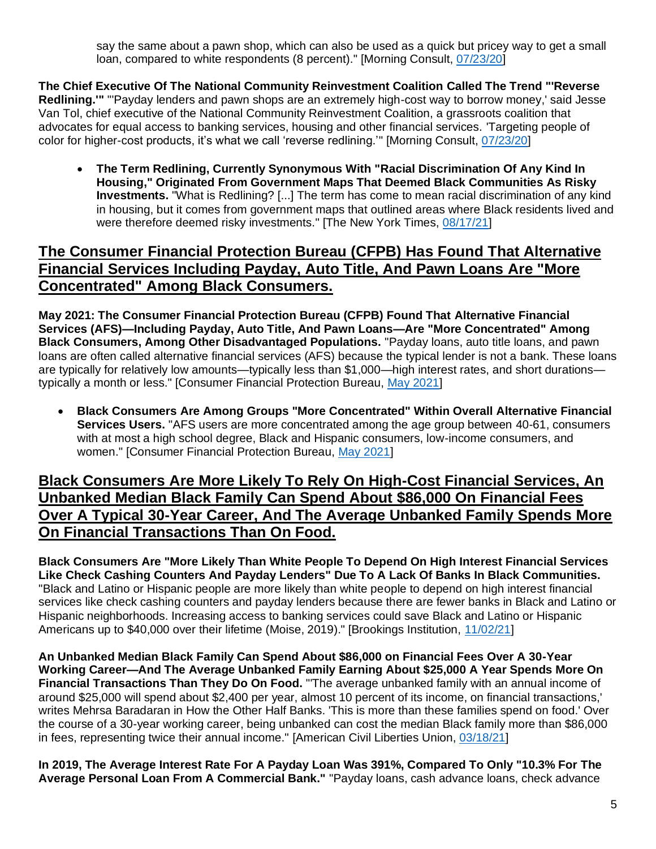say the same about a pawn shop, which can also be used as a quick but pricey way to get a small loan, compared to white respondents (8 percent)." [Morning Consult, [07/23/20\]](https://morningconsult.com/2020/07/23/black-consumers-payday-loan-banking-services/)

**The Chief Executive Of The National Community Reinvestment Coalition Called The Trend "'Reverse Redlining.'"** "'Payday lenders and pawn shops are an extremely high-cost way to borrow money,' said Jesse Van Tol, chief executive of the National Community Reinvestment Coalition, a grassroots coalition that advocates for equal access to banking services, housing and other financial services. 'Targeting people of color for higher-cost products, it's what we call 'reverse redlining.'" [Morning Consult, [07/23/20\]](https://morningconsult.com/2020/07/23/black-consumers-payday-loan-banking-services/)

• **The Term Redlining, Currently Synonymous With "Racial Discrimination Of Any Kind In Housing," Originated From Government Maps That Deemed Black Communities As Risky Investments.** "What is Redlining? [...] The term has come to mean racial discrimination of any kind in housing, but it comes from government maps that outlined areas where Black residents lived and were therefore deemed risky investments." [The New York Times, [08/17/21\]](https://www.nytimes.com/2021/08/17/realestate/what-is-redlining.html)

#### **The Consumer Financial Protection Bureau (CFPB) Has Found That Alternative Financial Services Including Payday, Auto Title, And Pawn Loans Are "More Concentrated" Among Black Consumers.**

**May 2021: The Consumer Financial Protection Bureau (CFPB) Found That Alternative Financial Services (AFS)—Including Payday, Auto Title, And Pawn Loans—Are "More Concentrated" Among Black Consumers, Among Other Disadvantaged Populations.** "Payday loans, auto title loans, and pawn loans are often called alternative financial services (AFS) because the typical lender is not a bank. These loans are typically for relatively low amounts—typically less than \$1,000—high interest rates, and short durations typically a month or less." [Consumer Financial Protection Bureau, [May 2021\]](https://files.consumerfinance.gov/f/documents/cfpb_consumer-use-of-payday-auto_title-pawn_loans_research-brief_2021-05.pdf)

• **Black Consumers Are Among Groups "More Concentrated" Within Overall Alternative Financial Services Users.** "AFS users are more concentrated among the age group between 40-61, consumers with at most a high school degree, Black and Hispanic consumers, low-income consumers, and women." [Consumer Financial Protection Bureau, [May 2021\]](https://files.consumerfinance.gov/f/documents/cfpb_consumer-use-of-payday-auto_title-pawn_loans_research-brief_2021-05.pdf)

#### **Black Consumers Are More Likely To Rely On High-Cost Financial Services, An Unbanked Median Black Family Can Spend About \$86,000 On Financial Fees Over A Typical 30-Year Career, And The Average Unbanked Family Spends More On Financial Transactions Than On Food.**

**Black Consumers Are "More Likely Than White People To Depend On High Interest Financial Services Like Check Cashing Counters And Payday Lenders" Due To A Lack Of Banks In Black Communities.**  "Black and Latino or Hispanic people are more likely than white people to depend on high interest financial services like check cashing counters and payday lenders because there are fewer banks in Black and Latino or Hispanic neighborhoods. Increasing access to banking services could save Black and Latino or Hispanic Americans up to \$40,000 over their lifetime (Moise, 2019)." [Brookings Institution, [11/02/21\]](https://www.brookings.edu/research/an-analysis-of-financial-institutions-in-black-majority-communities-black-borrowers-and-depositors-face-considerable-challenges-in-accessing-banking-services/)

**An Unbanked Median Black Family Can Spend About \$86,000 on Financial Fees Over A 30-Year Working Career—And The Average Unbanked Family Earning About \$25,000 A Year Spends More On Financial Transactions Than They Do On Food.** "'The average unbanked family with an annual income of around \$25,000 will spend about \$2,400 per year, almost 10 percent of its income, on financial transactions,' writes Mehrsa Baradaran in How the Other Half Banks. 'This is more than these families spend on food.' Over the course of a 30-year working career, being unbanked can cost the median Black family more than \$86,000 in fees, representing twice their annual income." [American Civil Liberties Union, [03/18/21\]](https://www.aclu.org/news/racial-justice/why-we-need-the-post-office-to-close-the-racial-wealth-gap/)

**In 2019, The Average Interest Rate For A Payday Loan Was 391%, Compared To Only "10.3% For The Average Personal Loan From A Commercial Bank."** "Payday loans, cash advance loans, check advance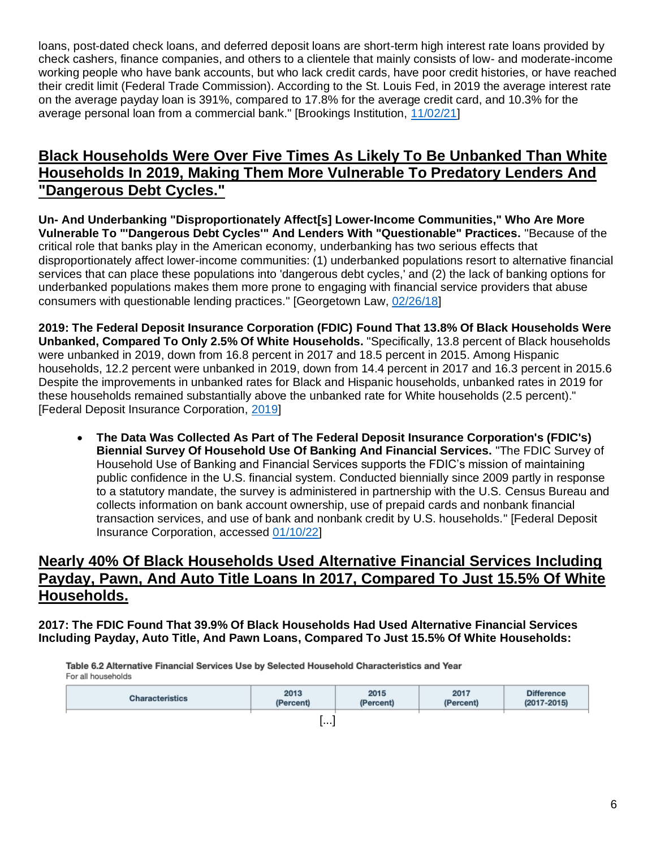loans, post-dated check loans, and deferred deposit loans are short-term high interest rate loans provided by check cashers, finance companies, and others to a clientele that mainly consists of low- and moderate-income working people who have bank accounts, but who lack credit cards, have poor credit histories, or have reached their credit limit (Federal Trade Commission). According to the St. Louis Fed, in 2019 the average interest rate on the average payday loan is 391%, compared to 17.8% for the average credit card, and 10.3% for the average personal loan from a commercial bank." [Brookings Institution, [11/02/21\]](https://www.brookings.edu/research/an-analysis-of-financial-institutions-in-black-majority-communities-black-borrowers-and-depositors-face-considerable-challenges-in-accessing-banking-services/)

#### **Black Households Were Over Five Times As Likely To Be Unbanked Than White Households In 2019, Making Them More Vulnerable To Predatory Lenders And "Dangerous Debt Cycles."**

**Un- And Underbanking "Disproportionately Affect[s] Lower-Income Communities," Who Are More Vulnerable To "'Dangerous Debt Cycles'" And Lenders With "Questionable" Practices.** "Because of the critical role that banks play in the American economy, underbanking has two serious effects that disproportionately affect lower-income communities: (1) underbanked populations resort to alternative financial services that can place these populations into 'dangerous debt cycles,' and (2) the lack of banking options for underbanked populations makes them more prone to engaging with financial service providers that abuse consumers with questionable lending practices." [Georgetown Law, [02/26/18\]](https://www.law.georgetown.edu/poverty-journal/blog/underbanking-in-the-united-states/)

**2019: The Federal Deposit Insurance Corporation (FDIC) Found That 13.8% Of Black Households Were Unbanked, Compared To Only 2.5% Of White Households.** "Specifically, 13.8 percent of Black households were unbanked in 2019, down from 16.8 percent in 2017 and 18.5 percent in 2015. Among Hispanic households, 12.2 percent were unbanked in 2019, down from 14.4 percent in 2017 and 16.3 percent in 2015.6 Despite the improvements in unbanked rates for Black and Hispanic households, unbanked rates in 2019 for these households remained substantially above the unbanked rate for White households (2.5 percent)." [Federal Deposit Insurance Corporation, [2019\]](https://www.fdic.gov/analysis/household-survey/2019report.pdf)

• **The Data Was Collected As Part of The Federal Deposit Insurance Corporation's (FDIC's) Biennial Survey Of Household Use Of Banking And Financial Services.** "The FDIC Survey of Household Use of Banking and Financial Services supports the FDIC's mission of maintaining public confidence in the U.S. financial system. Conducted biennially since 2009 partly in response to a statutory mandate, the survey is administered in partnership with the U.S. Census Bureau and collects information on bank account ownership, use of prepaid cards and nonbank financial transaction services, and use of bank and nonbank credit by U.S. households." [Federal Deposit Insurance Corporation, accessed [01/10/22\]](https://www.fdic.gov/analysis/household-survey/index.html)

#### **Nearly 40% Of Black Households Used Alternative Financial Services Including Payday, Pawn, And Auto Title Loans In 2017, Compared To Just 15.5% Of White Households.**

**2017: The FDIC Found That 39.9% Of Black Households Had Used Alternative Financial Services Including Payday, Auto Title, And Pawn Loans, Compared To Just 15.5% Of White Households:**

Table 6.2 Alternative Financial Services Use by Selected Household Characteristics and Year For all households

| <b>Characteristics</b> | 2013      | 2015      | 2017      | <b>Difference</b> |
|------------------------|-----------|-----------|-----------|-------------------|
|                        | (Percent) | (Percent) | (Percent) | $(2017 - 2015)$   |
|                        | .         |           |           |                   |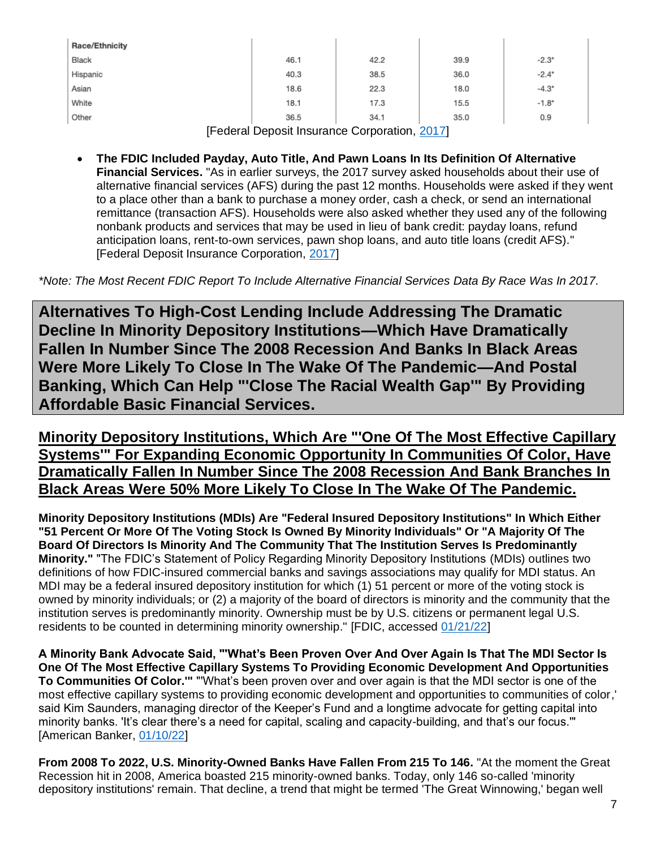| <b>Race/Ethnicity</b>          |      |      |      |         |  |
|--------------------------------|------|------|------|---------|--|
| Black                          | 46.1 | 42.2 | 39.9 | $-2.3*$ |  |
| Hispanic                       | 40.3 | 38.5 | 36.0 | $-2.4*$ |  |
| Asian                          | 18.6 | 22.3 | 18.0 | $-4.3*$ |  |
| White                          | 18.1 | 17.3 | 15.5 | $-1.8*$ |  |
| Other                          | 36.5 | 34.1 | 35.0 | 0.9     |  |
| --<br>. .<br>$\sim$<br>_ _ _ _ |      |      |      |         |  |

[Federal Deposit Insurance Corporation, [2017\]](https://www.fdic.gov/analysis/household-survey/2017/2017report.pdf)

• **The FDIC Included Payday, Auto Title, And Pawn Loans In Its Definition Of Alternative Financial Services.** "As in earlier surveys, the 2017 survey asked households about their use of alternative financial services (AFS) during the past 12 months. Households were asked if they went to a place other than a bank to purchase a money order, cash a check, or send an international remittance (transaction AFS). Households were also asked whether they used any of the following nonbank products and services that may be used in lieu of bank credit: payday loans, refund anticipation loans, rent-to-own services, pawn shop loans, and auto title loans (credit AFS)." [Federal Deposit Insurance Corporation, [2017\]](https://www.fdic.gov/analysis/household-survey/2017/2017report.pdf)

*\*Note: The Most Recent FDIC Report To Include Alternative Financial Services Data By Race Was In 2017.*

**Alternatives To High-Cost Lending Include Addressing The Dramatic Decline In Minority Depository Institutions—Which Have Dramatically Fallen In Number Since The 2008 Recession And Banks In Black Areas Were More Likely To Close In The Wake Of The Pandemic—And Postal Banking, Which Can Help "'Close The Racial Wealth Gap'" By Providing Affordable Basic Financial Services.**

**Minority Depository Institutions, Which Are "'One Of The Most Effective Capillary Systems'" For Expanding Economic Opportunity In Communities Of Color, Have Dramatically Fallen In Number Since The 2008 Recession And Bank Branches In Black Areas Were 50% More Likely To Close In The Wake Of The Pandemic.**

**Minority Depository Institutions (MDIs) Are "Federal Insured Depository Institutions" In Which Either "51 Percent Or More Of The Voting Stock Is Owned By Minority Individuals" Or "A Majority Of The Board Of Directors Is Minority And The Community That The Institution Serves Is Predominantly Minority."** "The FDIC's Statement of Policy Regarding Minority Depository Institutions (MDIs) outlines two definitions of how FDIC-insured commercial banks and savings associations may qualify for MDI status. An MDI may be a federal insured depository institution for which (1) 51 percent or more of the voting stock is owned by minority individuals; or (2) a majority of the board of directors is minority and the community that the institution serves is predominantly minority. Ownership must be by U.S. citizens or permanent legal U.S. residents to be counted in determining minority ownership." [FDIC, accessed [01/21/22\]](https://www.fdic.gov/regulations/resources/minority/mdi.html)

**A Minority Bank Advocate Said, "'What's Been Proven Over And Over Again Is That The MDI Sector Is One Of The Most Effective Capillary Systems To Providing Economic Development And Opportunities To Communities Of Color.'"** "'What's been proven over and over again is that the MDI sector is one of the most effective capillary systems to providing economic development and opportunities to communities of color,' said Kim Saunders, managing director of the Keeper's Fund and a longtime advocate for getting capital into minority banks. 'It's clear there's a need for capital, scaling and capacity-building, and that's our focus.'" [American Banker, [01/10/22\]](https://www.americanbanker.com/news/despite-big-influx-of-capital-black-banks-say-more-is-needed)

**From 2008 To 2022, U.S. Minority-Owned Banks Have Fallen From 215 To 146.** "At the moment the Great Recession hit in 2008, America boasted 215 minority-owned banks. Today, only 146 so-called 'minority depository institutions' remain. That decline, a trend that might be termed 'The Great Winnowing,' began well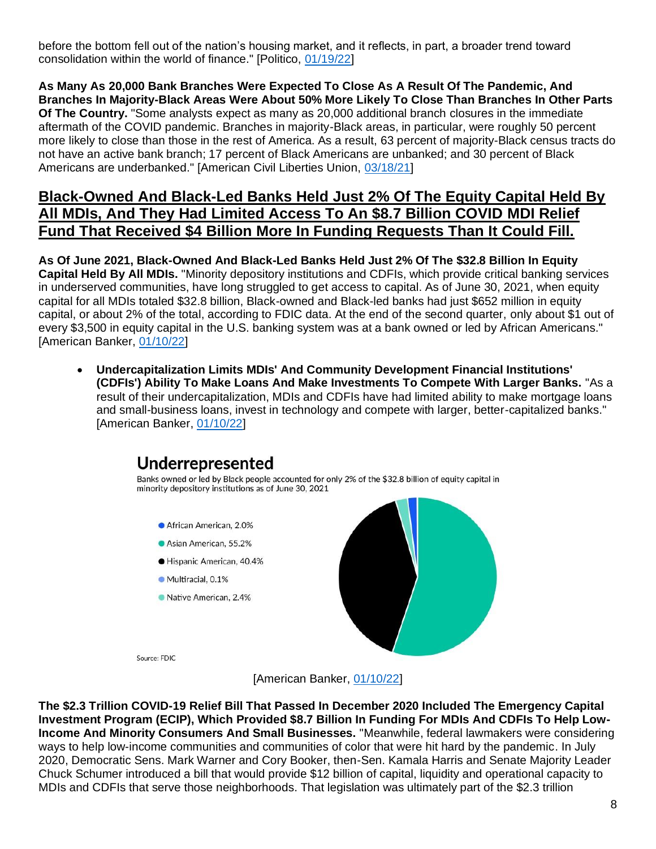before the bottom fell out of the nation's housing market, and it reflects, in part, a broader trend toward consolidation within the world of finance." [Politico, [01/19/22\]](https://www.politico.com/news/agenda/2022/01/19/minority-owned-banks-527315)

**As Many As 20,000 Bank Branches Were Expected To Close As A Result Of The Pandemic, And Branches In Majority-Black Areas Were About 50% More Likely To Close Than Branches In Other Parts Of The Country.** "Some analysts expect as many as 20,000 additional branch closures in the immediate aftermath of the COVID pandemic. Branches in majority-Black areas, in particular, were roughly 50 percent more likely to close than those in the rest of America. As a result, 63 percent of majority-Black census tracts do not have an active bank branch; 17 percent of Black Americans are unbanked; and 30 percent of Black Americans are underbanked." [American Civil Liberties Union, [03/18/21\]](https://www.aclu.org/news/racial-justice/why-we-need-the-post-office-to-close-the-racial-wealth-gap/)

#### **Black-Owned And Black-Led Banks Held Just 2% Of The Equity Capital Held By All MDIs, And They Had Limited Access To An \$8.7 Billion COVID MDI Relief Fund That Received \$4 Billion More In Funding Requests Than It Could Fill.**

**As Of June 2021, Black-Owned And Black-Led Banks Held Just 2% Of The \$32.8 Billion In Equity Capital Held By All MDIs.** "Minority depository institutions and CDFIs, which provide critical banking services in underserved communities, have long struggled to get access to capital. As of June 30, 2021, when equity capital for all MDIs totaled \$32.8 billion, Black-owned and Black-led banks had just \$652 million in equity capital, or about 2% of the total, according to FDIC data. At the end of the second quarter, only about \$1 out of every \$3,500 in equity capital in the U.S. banking system was at a bank owned or led by African Americans." [American Banker, [01/10/22\]](https://www.americanbanker.com/news/despite-big-influx-of-capital-black-banks-say-more-is-needed)

• **Undercapitalization Limits MDIs' And Community Development Financial Institutions' (CDFIs') Ability To Make Loans And Make Investments To Compete With Larger Banks.** "As a result of their undercapitalization, MDIs and CDFIs have had limited ability to make mortgage loans and small-business loans, invest in technology and compete with larger, better-capitalized banks." [American Banker, [01/10/22\]](https://www.americanbanker.com/news/despite-big-influx-of-capital-black-banks-say-more-is-needed)

# Underrepresented

Banks owned or led by Black people accounted for only 2% of the \$32.8 billion of equity capital in minority depository institutions as of June 30, 2021

- African American, 2.0%
- Asian American, 55.2%
- · Hispanic American, 40.4%
- Multiracial, 0.1%
- Native American, 2.4%



Source: FDIC

[American Banker, [01/10/22\]](https://www.americanbanker.com/news/despite-big-influx-of-capital-black-banks-say-more-is-needed)

**The \$2.3 Trillion COVID-19 Relief Bill That Passed In December 2020 Included The Emergency Capital Investment Program (ECIP), Which Provided \$8.7 Billion In Funding For MDIs And CDFIs To Help Low-Income And Minority Consumers And Small Businesses.** "Meanwhile, federal lawmakers were considering ways to help low-income communities and communities of color that were hit hard by the pandemic. In July 2020, Democratic Sens. Mark Warner and Cory Booker, then-Sen. Kamala Harris and Senate Majority Leader Chuck Schumer introduced a bill that would provide \$12 billion of capital, liquidity and operational capacity to MDIs and CDFIs that serve those neighborhoods. That legislation was ultimately part of the \$2.3 trillion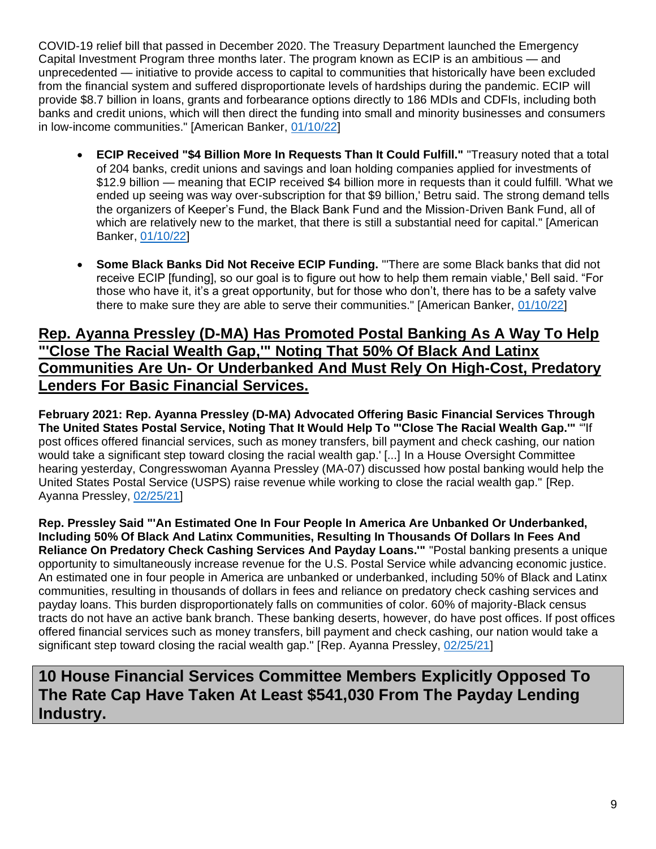COVID-19 relief bill that passed in December 2020. The Treasury Department launched the Emergency Capital Investment Program three months later. The program known as ECIP is an ambitious — and unprecedented — initiative to provide access to capital to communities that historically have been excluded from the financial system and suffered disproportionate levels of hardships during the pandemic. ECIP will provide \$8.7 billion in loans, grants and forbearance options directly to 186 MDIs and CDFIs, including both banks and credit unions, which will then direct the funding into small and minority businesses and consumers in low-income communities." [American Banker, [01/10/22\]](https://www.americanbanker.com/news/despite-big-influx-of-capital-black-banks-say-more-is-needed)

- **ECIP Received "\$4 Billion More In Requests Than It Could Fulfill."** "Treasury noted that a total of 204 banks, credit unions and savings and loan holding companies applied for investments of \$12.9 billion — meaning that ECIP received \$4 billion more in requests than it could fulfill. 'What we ended up seeing was way over-subscription for that \$9 billion,' Betru said. The strong demand tells the organizers of Keeper's Fund, the Black Bank Fund and the Mission-Driven Bank Fund, all of which are relatively new to the market, that there is still a substantial need for capital." [American Banker, [01/10/22\]](https://www.americanbanker.com/news/despite-big-influx-of-capital-black-banks-say-more-is-needed)
- **Some Black Banks Did Not Receive ECIP Funding.** "'There are some Black banks that did not receive ECIP [funding], so our goal is to figure out how to help them remain viable,' Bell said. "For those who have it, it's a great opportunity, but for those who don't, there has to be a safety valve there to make sure they are able to serve their communities." [American Banker, [01/10/22\]](https://www.americanbanker.com/news/despite-big-influx-of-capital-black-banks-say-more-is-needed)

#### **Rep. Ayanna Pressley (D-MA) Has Promoted Postal Banking As A Way To Help "'Close The Racial Wealth Gap,'" Noting That 50% Of Black And Latinx Communities Are Un- Or Underbanked And Must Rely On High-Cost, Predatory Lenders For Basic Financial Services.**

**February 2021: Rep. Ayanna Pressley (D-MA) Advocated Offering Basic Financial Services Through The United States Postal Service, Noting That It Would Help To "'Close The Racial Wealth Gap.'"** "'If post offices offered financial services, such as money transfers, bill payment and check cashing, our nation would take a significant step toward closing the racial wealth gap.' [...] In a House Oversight Committee hearing yesterday, Congresswoman Ayanna Pressley (MA-07) discussed how postal banking would help the United States Postal Service (USPS) raise revenue while working to close the racial wealth gap." [Rep. Ayanna Pressley, [02/25/21\]](https://pressley.house.gov/media/press-releases/oversight-hearing-pressley-calls-postal-banking-advance-racial-and-economic)

**Rep. Pressley Said "'An Estimated One In Four People In America Are Unbanked Or Underbanked, Including 50% Of Black And Latinx Communities, Resulting In Thousands Of Dollars In Fees And Reliance On Predatory Check Cashing Services And Payday Loans.'"** "Postal banking presents a unique opportunity to simultaneously increase revenue for the U.S. Postal Service while advancing economic justice. An estimated one in four people in America are unbanked or underbanked, including 50% of Black and Latinx communities, resulting in thousands of dollars in fees and reliance on predatory check cashing services and payday loans. This burden disproportionately falls on communities of color. 60% of majority-Black census tracts do not have an active bank branch. These banking deserts, however, do have post offices. If post offices offered financial services such as money transfers, bill payment and check cashing, our nation would take a significant step toward closing the racial wealth gap." [Rep. Ayanna Pressley, [02/25/21\]](https://pressley.house.gov/media/press-releases/oversight-hearing-pressley-calls-postal-banking-advance-racial-and-economic)

### **10 House Financial Services Committee Members Explicitly Opposed To The Rate Cap Have Taken At Least \$541,030 From The Payday Lending Industry.**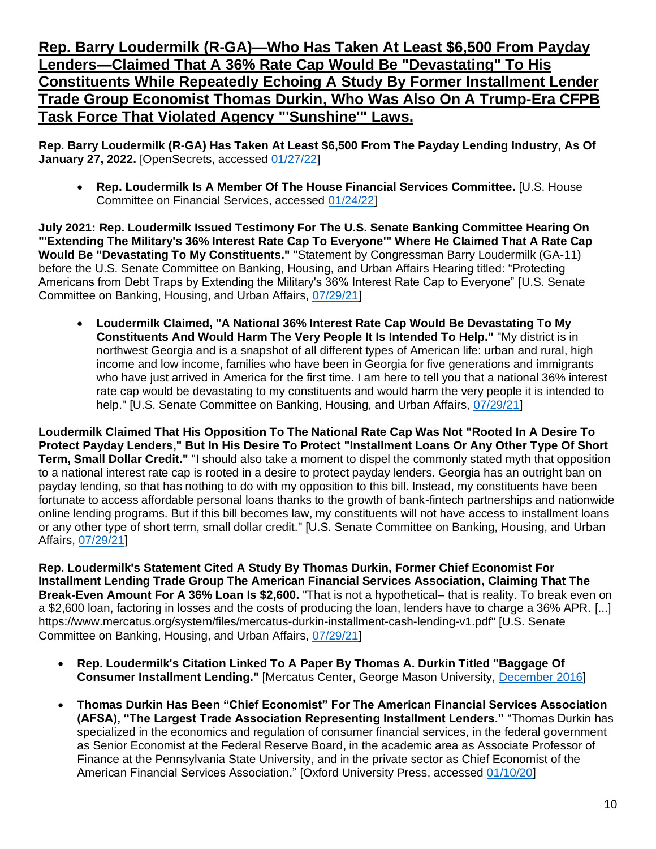**Rep. Barry Loudermilk (R-GA)—Who Has Taken At Least \$6,500 From Payday Lenders—Claimed That A 36% Rate Cap Would Be "Devastating" To His Constituents While Repeatedly Echoing A Study By Former Installment Lender Trade Group Economist Thomas Durkin, Who Was Also On A Trump-Era CFPB Task Force That Violated Agency "'Sunshine'" Laws.**

**Rep. Barry Loudermilk (R-GA) Has Taken At Least \$6,500 From The Payday Lending Industry, As Of January 27, 2022.** [OpenSecrets, accessed [01/27/22\]](https://www.opensecrets.org/industries/summary.php?ind=F1420&cycle=All&recipdetail=H&sortorder=A&mem=Y&page=3)

• **Rep. Loudermilk Is A Member Of The House Financial Services Committee.** [U.S. House Committee on Financial Services, accessed [01/24/22\]](https://financialservices.house.gov/about/committee-membership.htm)

**July 2021: Rep. Loudermilk Issued Testimony For The U.S. Senate Banking Committee Hearing On "'Extending The Military's 36% Interest Rate Cap To Everyone'" Where He Claimed That A Rate Cap Would Be "Devastating To My Constituents."** "Statement by Congressman Barry Loudermilk (GA-11) before the U.S. Senate Committee on Banking, Housing, and Urban Affairs Hearing titled: "Protecting Americans from Debt Traps by Extending the Military's 36% Interest Rate Cap to Everyone" [U.S. Senate Committee on Banking, Housing, and Urban Affairs, [07/29/21\]](https://www.banking.senate.gov/imo/media/doc/Loudermilk%20Testimony%207-29-21.pdf)

• **Loudermilk Claimed, "A National 36% Interest Rate Cap Would Be Devastating To My Constituents And Would Harm The Very People It Is Intended To Help."** "My district is in northwest Georgia and is a snapshot of all different types of American life: urban and rural, high income and low income, families who have been in Georgia for five generations and immigrants who have just arrived in America for the first time. I am here to tell you that a national 36% interest rate cap would be devastating to my constituents and would harm the very people it is intended to help." [U.S. Senate Committee on Banking, Housing, and Urban Affairs, [07/29/21\]](https://www.banking.senate.gov/imo/media/doc/Loudermilk%20Testimony%207-29-21.pdf)

**Loudermilk Claimed That His Opposition To The National Rate Cap Was Not "Rooted In A Desire To Protect Payday Lenders," But In His Desire To Protect "Installment Loans Or Any Other Type Of Short Term, Small Dollar Credit."** "I should also take a moment to dispel the commonly stated myth that opposition to a national interest rate cap is rooted in a desire to protect payday lenders. Georgia has an outright ban on payday lending, so that has nothing to do with my opposition to this bill. Instead, my constituents have been fortunate to access affordable personal loans thanks to the growth of bank-fintech partnerships and nationwide online lending programs. But if this bill becomes law, my constituents will not have access to installment loans or any other type of short term, small dollar credit." [U.S. Senate Committee on Banking, Housing, and Urban Affairs, [07/29/21\]](https://www.banking.senate.gov/imo/media/doc/Loudermilk%20Testimony%207-29-21.pdf)

**Rep. Loudermilk's Statement Cited A Study By Thomas Durkin, Former Chief Economist For Installment Lending Trade Group The American Financial Services Association, Claiming That The Break-Even Amount For A 36% Loan Is \$2,600.** "That is not a hypothetical– that is reality. To break even on a \$2,600 loan, factoring in losses and the costs of producing the loan, lenders have to charge a 36% APR. [...] https://www.mercatus.org/system/files/mercatus-durkin-installment-cash-lending-v1.pdf" [U.S. Senate Committee on Banking, Housing, and Urban Affairs, [07/29/21\]](https://www.banking.senate.gov/imo/media/doc/Loudermilk%20Testimony%207-29-21.pdf)

- **Rep. Loudermilk's Citation Linked To A Paper By Thomas A. Durkin Titled "Baggage Of Consumer Installment Lending."** [Mercatus Center, George Mason University, [December 2016\]](https://www.mercatus.org/system/files/mercatus-durkin-installment-cash-lending-v1.pdf)
- **Thomas Durkin Has Been "Chief Economist" For The American Financial Services Association (AFSA), "The Largest Trade Association Representing Installment Lenders."** "Thomas Durkin has specialized in the economics and regulation of consumer financial services, in the federal government as Senior Economist at the Federal Reserve Board, in the academic area as Associate Professor of Finance at the Pennsylvania State University, and in the private sector as Chief Economist of the American Financial Services Association." [Oxford University Press, accessed [01/10/20\]](https://global.oup.com/academic/product/truth-in-lending-9780195172959?cc=us&lang=en&)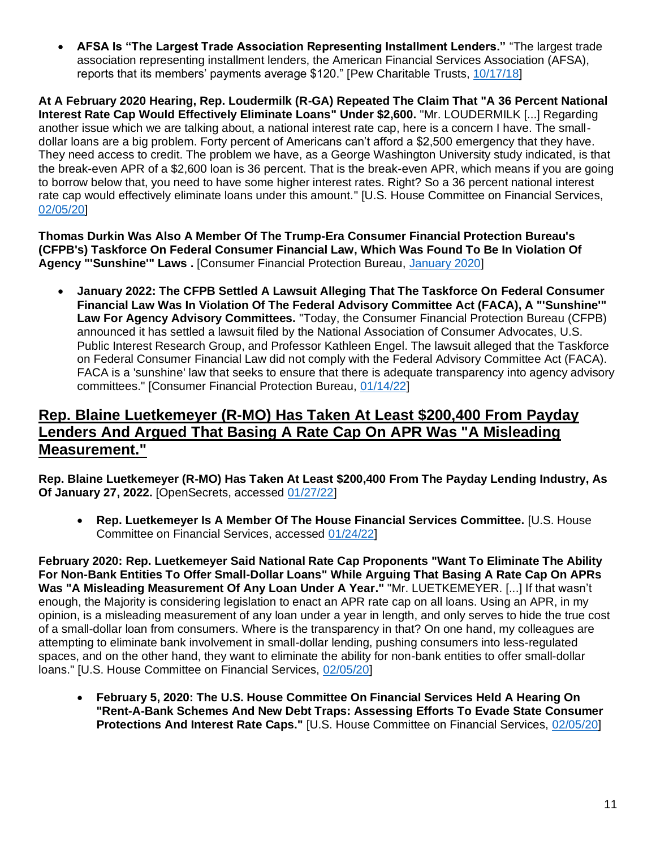• **AFSA Is "The Largest Trade Association Representing Installment Lenders."** "The largest trade association representing installment lenders, the American Financial Services Association (AFSA), reports that its members' payments average \$120." [Pew Charitable Trusts, [10/17/18\]](https://www.pewtrusts.org/en/research-and-analysis/reports/2018/10/17/state-laws-put-installment-loan-borrowers-at-risk)

**At A February 2020 Hearing, Rep. Loudermilk (R-GA) Repeated The Claim That "A 36 Percent National Interest Rate Cap Would Effectively Eliminate Loans" Under \$2,600.** "Mr. LOUDERMILK [...] Regarding another issue which we are talking about, a national interest rate cap, here is a concern I have. The smalldollar loans are a big problem. Forty percent of Americans can't afford a \$2,500 emergency that they have. They need access to credit. The problem we have, as a George Washington University study indicated, is that the break-even APR of a \$2,600 loan is 36 percent. That is the break-even APR, which means if you are going to borrow below that, you need to have some higher interest rates. Right? So a 36 percent national interest rate cap would effectively eliminate loans under this amount." [U.S. House Committee on Financial Services, [02/05/20\]](https://financialservices.house.gov/uploadedfiles/chrg-116hhrg42805.pdf)

**Thomas Durkin Was Also A Member Of The Trump-Era Consumer Financial Protection Bureau's (CFPB's) Taskforce On Federal Consumer Financial Law, Which Was Found To Be In Violation Of Agency "'Sunshine'" Laws .** [Consumer Financial Protection Bureau, [January 2020\]](https://files.consumerfinance.gov/f/documents/cfpb_taskforce-biographies.pdf)

• **January 2022: The CFPB Settled A Lawsuit Alleging That The Taskforce On Federal Consumer Financial Law Was In Violation Of The Federal Advisory Committee Act (FACA), A "'Sunshine'" Law For Agency Advisory Committees.** "Today, the Consumer Financial Protection Bureau (CFPB) announced it has settled a lawsuit filed by the National Association of Consumer Advocates, U.S. Public Interest Research Group, and Professor Kathleen Engel. The lawsuit alleged that the Taskforce on Federal Consumer Financial Law did not comply with the Federal Advisory Committee Act (FACA). FACA is a 'sunshine' law that seeks to ensure that there is adequate transparency into agency advisory committees." [Consumer Financial Protection Bureau, [01/14/22\]](https://www.consumerfinance.gov/about-us/newsroom/cfpb-announces-settlement-regarding-the-2019-taskforce-on-federal-consumer-financial-law/)

#### **Rep. Blaine Luetkemeyer (R-MO) Has Taken At Least \$200,400 From Payday Lenders And Argued That Basing A Rate Cap On APR Was "A Misleading Measurement."**

**Rep. Blaine Luetkemeyer (R-MO) Has Taken At Least \$200,400 From The Payday Lending Industry, As Of January 27, 2022.** [OpenSecrets, accessed [01/27/22\]](https://www.opensecrets.org/industries/summary.php?ind=F1420&cycle=All&recipdetail=H&sortorder=A&mem=Y&page=1)

• **Rep. Luetkemeyer Is A Member Of The House Financial Services Committee.** [U.S. House Committee on Financial Services, accessed [01/24/22\]](https://financialservices.house.gov/about/committee-membership.htm)

**February 2020: Rep. Luetkemeyer Said National Rate Cap Proponents "Want To Eliminate The Ability For Non-Bank Entities To Offer Small-Dollar Loans" While Arguing That Basing A Rate Cap On APRs Was "A Misleading Measurement Of Any Loan Under A Year."** "Mr. LUETKEMEYER. [...] If that wasn't enough, the Majority is considering legislation to enact an APR rate cap on all loans. Using an APR, in my opinion, is a misleading measurement of any loan under a year in length, and only serves to hide the true cost of a small-dollar loan from consumers. Where is the transparency in that? On one hand, my colleagues are attempting to eliminate bank involvement in small-dollar lending, pushing consumers into less-regulated spaces, and on the other hand, they want to eliminate the ability for non-bank entities to offer small-dollar loans." [U.S. House Committee on Financial Services, [02/05/20\]](https://financialservices.house.gov/uploadedfiles/chrg-116hhrg42805.pdf)

• **February 5, 2020: The U.S. House Committee On Financial Services Held A Hearing On "Rent-A-Bank Schemes And New Debt Traps: Assessing Efforts To Evade State Consumer Protections And Interest Rate Caps."** [U.S. House Committee on Financial Services, [02/05/20\]](https://financialservices.house.gov/uploadedfiles/chrg-116hhrg42805.pdf)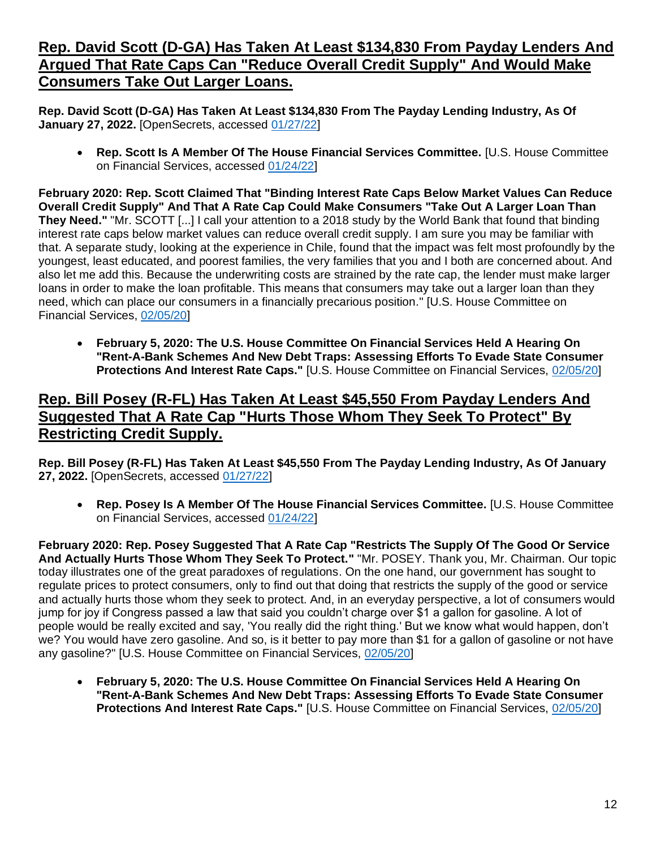#### **Rep. David Scott (D-GA) Has Taken At Least \$134,830 From Payday Lenders And Argued That Rate Caps Can "Reduce Overall Credit Supply" And Would Make Consumers Take Out Larger Loans.**

**Rep. David Scott (D-GA) Has Taken At Least \$134,830 From The Payday Lending Industry, As Of January 27, 2022.** [OpenSecrets, accessed [01/27/22\]](https://www.opensecrets.org/industries/summary.php?ind=F1420&cycle=All&recipdetail=H&sortorder=A&mem=Y&page=1)

• **Rep. Scott Is A Member Of The House Financial Services Committee.** [U.S. House Committee on Financial Services, accessed [01/24/22\]](https://financialservices.house.gov/about/committee-membership.htm)

**February 2020: Rep. Scott Claimed That "Binding Interest Rate Caps Below Market Values Can Reduce Overall Credit Supply" And That A Rate Cap Could Make Consumers "Take Out A Larger Loan Than They Need."** "Mr. SCOTT [...] I call your attention to a 2018 study by the World Bank that found that binding interest rate caps below market values can reduce overall credit supply. I am sure you may be familiar with that. A separate study, looking at the experience in Chile, found that the impact was felt most profoundly by the youngest, least educated, and poorest families, the very families that you and I both are concerned about. And also let me add this. Because the underwriting costs are strained by the rate cap, the lender must make larger loans in order to make the loan profitable. This means that consumers may take out a larger loan than they need, which can place our consumers in a financially precarious position." [U.S. House Committee on Financial Services, [02/05/20\]](https://financialservices.house.gov/uploadedfiles/chrg-116hhrg42805.pdf)

• **February 5, 2020: The U.S. House Committee On Financial Services Held A Hearing On "Rent-A-Bank Schemes And New Debt Traps: Assessing Efforts To Evade State Consumer Protections And Interest Rate Caps."** [U.S. House Committee on Financial Services, [02/05/20\]](https://financialservices.house.gov/uploadedfiles/chrg-116hhrg42805.pdf)

#### **Rep. Bill Posey (R-FL) Has Taken At Least \$45,550 From Payday Lenders And Suggested That A Rate Cap "Hurts Those Whom They Seek To Protect" By Restricting Credit Supply.**

**Rep. Bill Posey (R-FL) Has Taken At Least \$45,550 From The Payday Lending Industry, As Of January 27, 2022.** [OpenSecrets, accessed [01/27/22\]](https://www.opensecrets.org/industries/summary.php?ind=F1420&cycle=All&recipdetail=H&sortorder=A&mem=Y&page=1)

• **Rep. Posey Is A Member Of The House Financial Services Committee.** [U.S. House Committee on Financial Services, accessed [01/24/22\]](https://financialservices.house.gov/about/committee-membership.htm)

**February 2020: Rep. Posey Suggested That A Rate Cap "Restricts The Supply Of The Good Or Service And Actually Hurts Those Whom They Seek To Protect."** "Mr. POSEY. Thank you, Mr. Chairman. Our topic today illustrates one of the great paradoxes of regulations. On the one hand, our government has sought to regulate prices to protect consumers, only to find out that doing that restricts the supply of the good or service and actually hurts those whom they seek to protect. And, in an everyday perspective, a lot of consumers would jump for joy if Congress passed a law that said you couldn't charge over \$1 a gallon for gasoline. A lot of people would be really excited and say, 'You really did the right thing.' But we know what would happen, don't we? You would have zero gasoline. And so, is it better to pay more than \$1 for a gallon of gasoline or not have any gasoline?" [U.S. House Committee on Financial Services, [02/05/20\]](https://financialservices.house.gov/uploadedfiles/chrg-116hhrg42805.pdf)

• **February 5, 2020: The U.S. House Committee On Financial Services Held A Hearing On "Rent-A-Bank Schemes And New Debt Traps: Assessing Efforts To Evade State Consumer Protections And Interest Rate Caps."** [U.S. House Committee on Financial Services, [02/05/20\]](https://financialservices.house.gov/uploadedfiles/chrg-116hhrg42805.pdf)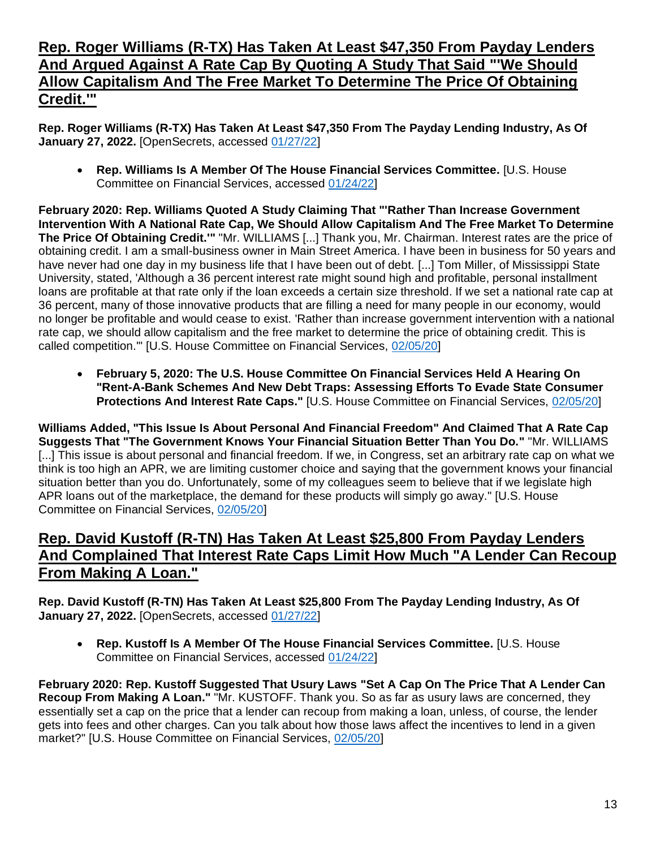#### **Rep. Roger Williams (R-TX) Has Taken At Least \$47,350 From Payday Lenders And Argued Against A Rate Cap By Quoting A Study That Said "'We Should Allow Capitalism And The Free Market To Determine The Price Of Obtaining Credit.'"**

**Rep. Roger Williams (R-TX) Has Taken At Least \$47,350 From The Payday Lending Industry, As Of January 27, 2022.** [OpenSecrets, accessed [01/27/22\]](https://www.opensecrets.org/industries/summary.php?ind=F1420&cycle=All&recipdetail=H&sortorder=A&mem=Y&page=1)

• **Rep. Williams Is A Member Of The House Financial Services Committee.** [U.S. House Committee on Financial Services, accessed [01/24/22\]](https://financialservices.house.gov/about/committee-membership.htm)

**February 2020: Rep. Williams Quoted A Study Claiming That "'Rather Than Increase Government Intervention With A National Rate Cap, We Should Allow Capitalism And The Free Market To Determine The Price Of Obtaining Credit.'"** "Mr. WILLIAMS [...] Thank you, Mr. Chairman. Interest rates are the price of obtaining credit. I am a small-business owner in Main Street America. I have been in business for 50 years and have never had one day in my business life that I have been out of debt. [...] Tom Miller, of Mississippi State University, stated, 'Although a 36 percent interest rate might sound high and profitable, personal installment loans are profitable at that rate only if the loan exceeds a certain size threshold. If we set a national rate cap at 36 percent, many of those innovative products that are filling a need for many people in our economy, would no longer be profitable and would cease to exist. 'Rather than increase government intervention with a national rate cap, we should allow capitalism and the free market to determine the price of obtaining credit. This is called competition.'" [U.S. House Committee on Financial Services, [02/05/20\]](https://financialservices.house.gov/uploadedfiles/chrg-116hhrg42805.pdf)

• **February 5, 2020: The U.S. House Committee On Financial Services Held A Hearing On "Rent-A-Bank Schemes And New Debt Traps: Assessing Efforts To Evade State Consumer Protections And Interest Rate Caps."** [U.S. House Committee on Financial Services, [02/05/20\]](https://financialservices.house.gov/uploadedfiles/chrg-116hhrg42805.pdf)

**Williams Added, "This Issue Is About Personal And Financial Freedom" And Claimed That A Rate Cap Suggests That "The Government Knows Your Financial Situation Better Than You Do."** "Mr. WILLIAMS [...] This issue is about personal and financial freedom. If we, in Congress, set an arbitrary rate cap on what we think is too high an APR, we are limiting customer choice and saying that the government knows your financial situation better than you do. Unfortunately, some of my colleagues seem to believe that if we legislate high APR loans out of the marketplace, the demand for these products will simply go away." [U.S. House Committee on Financial Services, [02/05/20\]](https://financialservices.house.gov/uploadedfiles/chrg-116hhrg42805.pdf)

#### **Rep. David Kustoff (R-TN) Has Taken At Least \$25,800 From Payday Lenders And Complained That Interest Rate Caps Limit How Much "A Lender Can Recoup From Making A Loan."**

**Rep. David Kustoff (R-TN) Has Taken At Least \$25,800 From The Payday Lending Industry, As Of January 27, 2022.** [OpenSecrets, accessed [01/27/22\]](https://www.opensecrets.org/industries/summary.php?ind=F1420&cycle=All&recipdetail=H&sortorder=A&mem=Y&page=2)

• **Rep. Kustoff Is A Member Of The House Financial Services Committee.** [U.S. House Committee on Financial Services, accessed [01/24/22\]](https://financialservices.house.gov/about/committee-membership.htm)

**February 2020: Rep. Kustoff Suggested That Usury Laws "Set A Cap On The Price That A Lender Can Recoup From Making A Loan."** "Mr. KUSTOFF. Thank you. So as far as usury laws are concerned, they essentially set a cap on the price that a lender can recoup from making a loan, unless, of course, the lender gets into fees and other charges. Can you talk about how those laws affect the incentives to lend in a given market?" [U.S. House Committee on Financial Services, [02/05/20\]](https://financialservices.house.gov/uploadedfiles/chrg-116hhrg42805.pdf)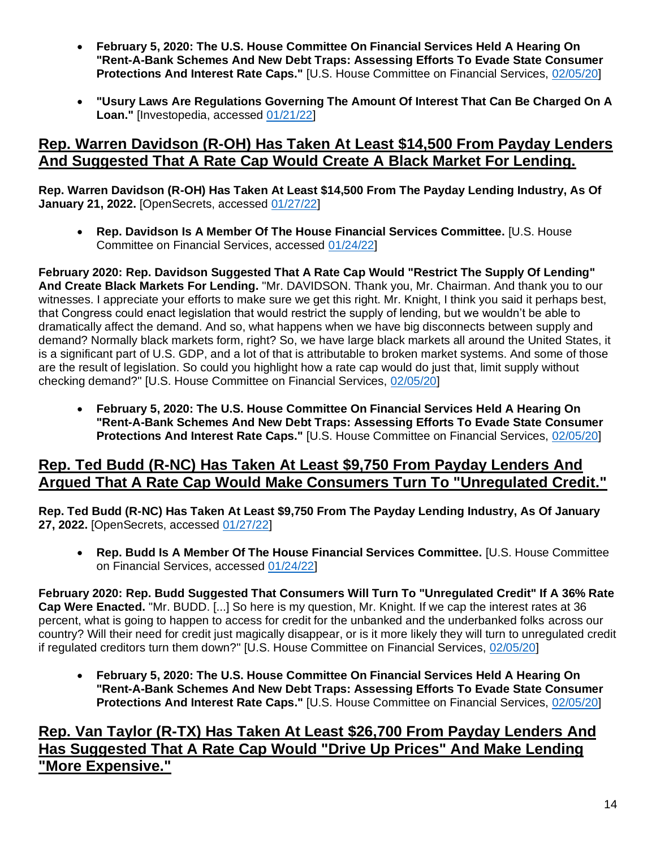- **February 5, 2020: The U.S. House Committee On Financial Services Held A Hearing On "Rent-A-Bank Schemes And New Debt Traps: Assessing Efforts To Evade State Consumer Protections And Interest Rate Caps."** [U.S. House Committee on Financial Services, [02/05/20\]](https://financialservices.house.gov/uploadedfiles/chrg-116hhrg42805.pdf)
- **"Usury Laws Are Regulations Governing The Amount Of Interest That Can Be Charged On A Loan."** [Investopedia, accessed [01/21/22\]](https://www.investopedia.com/terms/u/usury-laws.asp)

#### **Rep. Warren Davidson (R-OH) Has Taken At Least \$14,500 From Payday Lenders And Suggested That A Rate Cap Would Create A Black Market For Lending.**

**Rep. Warren Davidson (R-OH) Has Taken At Least \$14,500 From The Payday Lending Industry, As Of January 21, 2022.** [OpenSecrets, accessed [01/27/22\]](https://www.opensecrets.org/industries/summary.php?ind=F1420&cycle=All&recipdetail=H&sortorder=A&mem=Y&page=2)

• **Rep. Davidson Is A Member Of The House Financial Services Committee.** [U.S. House Committee on Financial Services, accessed [01/24/22\]](https://financialservices.house.gov/about/committee-membership.htm)

**February 2020: Rep. Davidson Suggested That A Rate Cap Would "Restrict The Supply Of Lending" And Create Black Markets For Lending.** "Mr. DAVIDSON. Thank you, Mr. Chairman. And thank you to our witnesses. I appreciate your efforts to make sure we get this right. Mr. Knight, I think you said it perhaps best, that Congress could enact legislation that would restrict the supply of lending, but we wouldn't be able to dramatically affect the demand. And so, what happens when we have big disconnects between supply and demand? Normally black markets form, right? So, we have large black markets all around the United States, it is a significant part of U.S. GDP, and a lot of that is attributable to broken market systems. And some of those are the result of legislation. So could you highlight how a rate cap would do just that, limit supply without checking demand?" [U.S. House Committee on Financial Services, [02/05/20\]](https://financialservices.house.gov/uploadedfiles/chrg-116hhrg42805.pdf)

• **February 5, 2020: The U.S. House Committee On Financial Services Held A Hearing On "Rent-A-Bank Schemes And New Debt Traps: Assessing Efforts To Evade State Consumer Protections And Interest Rate Caps."** [U.S. House Committee on Financial Services, [02/05/20\]](https://financialservices.house.gov/uploadedfiles/chrg-116hhrg42805.pdf)

#### **Rep. Ted Budd (R-NC) Has Taken At Least \$9,750 From Payday Lenders And Argued That A Rate Cap Would Make Consumers Turn To "Unregulated Credit."**

**Rep. Ted Budd (R-NC) Has Taken At Least \$9,750 From The Payday Lending Industry, As Of January 27, 2022.** [OpenSecrets, accessed [01/27/22\]](https://www.opensecrets.org/industries/summary.php?ind=F1420&cycle=All&recipdetail=H&sortorder=A&mem=Y&page=3)

• **Rep. Budd Is A Member Of The House Financial Services Committee.** [U.S. House Committee on Financial Services, accessed [01/24/22\]](https://financialservices.house.gov/about/committee-membership.htm)

**February 2020: Rep. Budd Suggested That Consumers Will Turn To "Unregulated Credit" If A 36% Rate Cap Were Enacted.** "Mr. BUDD. [...] So here is my question, Mr. Knight. If we cap the interest rates at 36 percent, what is going to happen to access for credit for the unbanked and the underbanked folks across our country? Will their need for credit just magically disappear, or is it more likely they will turn to unregulated credit if regulated creditors turn them down?" [U.S. House Committee on Financial Services, [02/05/20\]](https://financialservices.house.gov/uploadedfiles/chrg-116hhrg42805.pdf)

• **February 5, 2020: The U.S. House Committee On Financial Services Held A Hearing On "Rent-A-Bank Schemes And New Debt Traps: Assessing Efforts To Evade State Consumer Protections And Interest Rate Caps."** [U.S. House Committee on Financial Services, [02/05/20\]](https://financialservices.house.gov/uploadedfiles/chrg-116hhrg42805.pdf)

#### **Rep. Van Taylor (R-TX) Has Taken At Least \$26,700 From Payday Lenders And Has Suggested That A Rate Cap Would "Drive Up Prices" And Make Lending "More Expensive."**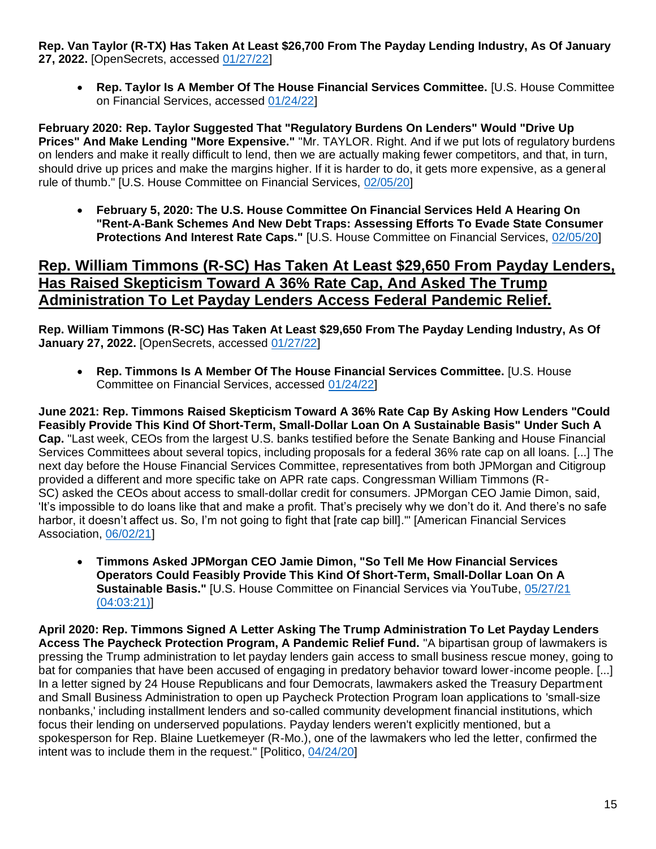**Rep. Van Taylor (R-TX) Has Taken At Least \$26,700 From The Payday Lending Industry, As Of January 27, 2022.** [OpenSecrets, accessed [01/27/22\]](https://www.opensecrets.org/industries/summary.php?ind=F1420&cycle=All&recipdetail=H&sortorder=A&mem=Y&page=2)

• **Rep. Taylor Is A Member Of The House Financial Services Committee.** [U.S. House Committee on Financial Services, accessed [01/24/22\]](https://financialservices.house.gov/about/committee-membership.htm)

**February 2020: Rep. Taylor Suggested That "Regulatory Burdens On Lenders" Would "Drive Up Prices" And Make Lending "More Expensive."** "Mr. TAYLOR. Right. And if we put lots of regulatory burdens on lenders and make it really difficult to lend, then we are actually making fewer competitors, and that, in turn, should drive up prices and make the margins higher. If it is harder to do, it gets more expensive, as a general rule of thumb." [U.S. House Committee on Financial Services, [02/05/20\]](https://financialservices.house.gov/uploadedfiles/chrg-116hhrg42805.pdf)

• **February 5, 2020: The U.S. House Committee On Financial Services Held A Hearing On "Rent-A-Bank Schemes And New Debt Traps: Assessing Efforts To Evade State Consumer Protections And Interest Rate Caps."** [U.S. House Committee on Financial Services, [02/05/20\]](https://financialservices.house.gov/uploadedfiles/chrg-116hhrg42805.pdf)

#### **Rep. William Timmons (R-SC) Has Taken At Least \$29,650 From Payday Lenders, Has Raised Skepticism Toward A 36% Rate Cap, And Asked The Trump Administration To Let Payday Lenders Access Federal Pandemic Relief.**

**Rep. William Timmons (R-SC) Has Taken At Least \$29,650 From The Payday Lending Industry, As Of January 27, 2022.** [OpenSecrets, accessed [01/27/22\]](https://www.opensecrets.org/industries/summary.php?ind=F1420&cycle=All&recipdetail=H&sortorder=A&mem=Y&page=1)

• **Rep. Timmons Is A Member Of The House Financial Services Committee.** [U.S. House Committee on Financial Services, accessed [01/24/22\]](https://financialservices.house.gov/about/committee-membership.htm)

**June 2021: Rep. Timmons Raised Skepticism Toward A 36% Rate Cap By Asking How Lenders "Could Feasibly Provide This Kind Of Short-Term, Small-Dollar Loan On A Sustainable Basis" Under Such A Cap.** "Last week, CEOs from the largest U.S. banks testified before the Senate Banking and House Financial Services Committees about several topics, including proposals for a federal 36% rate cap on all loans. [...] The next day before the House Financial Services Committee, representatives from both JPMorgan and Citigroup provided a different and more specific take on APR rate caps. Congressman William Timmons (R-SC) asked the CEOs about access to small-dollar credit for consumers. JPMorgan CEO Jamie Dimon, said, 'It's impossible to do loans like that and make a profit. That's precisely why we don't do it. And there's no safe harbor, it doesn't affect us. So, I'm not going to fight that [rate cap bill].'" [American Financial Services Association, [06/02/21\]](https://afsaonline.org/2021/06/02/bank-ceos-speak-out-against-rate-caps/)

• **Timmons Asked JPMorgan CEO Jamie Dimon, "So Tell Me How Financial Services Operators Could Feasibly Provide This Kind Of Short-Term, Small-Dollar Loan On A Sustainable Basis."** [U.S. House Committee on Financial Services via YouTube, [05/27/21](https://youtu.be/Tspaxncgkjc?t=14601) [\(04:03:21\)\]](https://youtu.be/Tspaxncgkjc?t=14601)

**April 2020: Rep. Timmons Signed A Letter Asking The Trump Administration To Let Payday Lenders Access The Paycheck Protection Program, A Pandemic Relief Fund.** "A bipartisan group of lawmakers is pressing the Trump administration to let payday lenders gain access to small business rescue money, going to bat for companies that have been accused of engaging in predatory behavior toward lower-income people. [...] In a letter signed by 24 House Republicans and four Democrats, lawmakers asked the Treasury Department and Small Business Administration to open up Paycheck Protection Program loan applications to 'small-size nonbanks,' including installment lenders and so-called community development financial institutions, which focus their lending on underserved populations. Payday lenders weren't explicitly mentioned, but a spokesperson for Rep. Blaine Luetkemeyer (R-Mo.), one of the lawmakers who led the letter, confirmed the intent was to include them in the request." [Politico, [04/24/20\]](https://www.politico.com/news/2020/04/24/lawmakers-press-for-small-business-loans-for-payday-lenders-207636)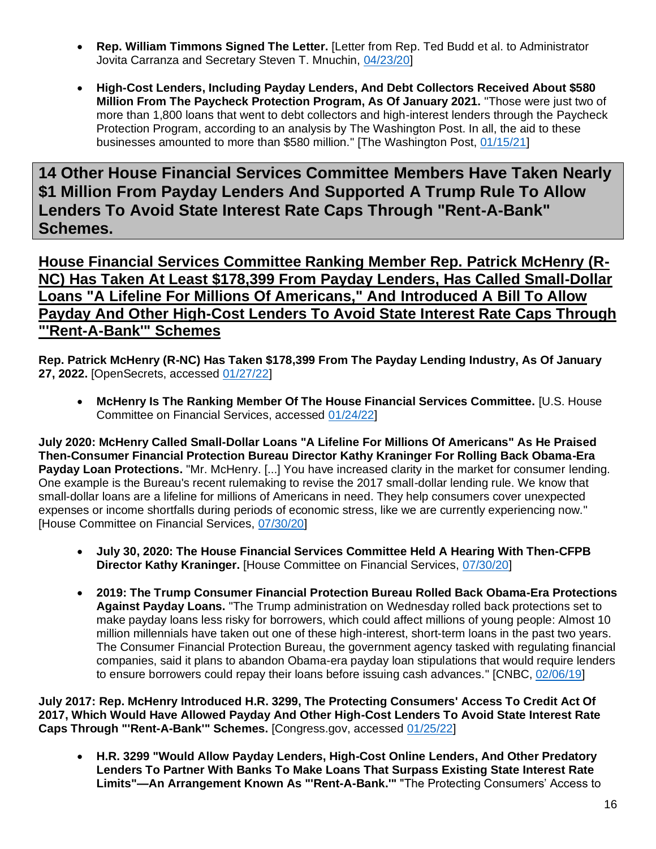- **Rep. William Timmons Signed The Letter.** [Letter from Rep. Ted Budd et al. to Administrator Jovita Carranza and Secretary Steven T. Mnuchin, [04/23/20\]](https://www.sfnet.com/docs/default-source/tsl-tslexpress/budd-ppp-letter-final-header-revised-9-am-4-22-2020-fc-edits.pdf)
- **High-Cost Lenders, Including Payday Lenders, And Debt Collectors Received About \$580 Million From The Paycheck Protection Program, As Of January 2021.** "Those were just two of more than 1,800 loans that went to debt collectors and high-interest lenders through the Paycheck Protection Program, according to an analysis by The Washington Post. In all, the aid to these businesses amounted to more than \$580 million." [The Washington Post, [01/15/21\]](https://www.washingtonpost.com/business/2021/01/15/debt-collectors-payday-ppp/)

**14 Other House Financial Services Committee Members Have Taken Nearly \$1 Million From Payday Lenders And Supported A Trump Rule To Allow Lenders To Avoid State Interest Rate Caps Through "Rent-A-Bank" Schemes.**

**House Financial Services Committee Ranking Member Rep. Patrick McHenry (R-NC) Has Taken At Least \$178,399 From Payday Lenders, Has Called Small-Dollar Loans "A Lifeline For Millions Of Americans," And Introduced A Bill To Allow Payday And Other High-Cost Lenders To Avoid State Interest Rate Caps Through "'Rent-A-Bank'" Schemes**

**Rep. Patrick McHenry (R-NC) Has Taken \$178,399 From The Payday Lending Industry, As Of January 27, 2022.** [OpenSecrets, accessed [01/27/22\]](https://www.opensecrets.org/industries/summary.php?ind=F1420&cycle=All&recipdetail=H&sortorder=A&mem=Y&page=1)

• **McHenry Is The Ranking Member Of The House Financial Services Committee.** [U.S. House Committee on Financial Services, accessed [01/24/22\]](https://financialservices.house.gov/about/committee-membership.htm)

**July 2020: McHenry Called Small-Dollar Loans "A Lifeline For Millions Of Americans" As He Praised Then-Consumer Financial Protection Bureau Director Kathy Kraninger For Rolling Back Obama-Era Payday Loan Protections.** "Mr. McHenry. [...] You have increased clarity in the market for consumer lending. One example is the Bureau's recent rulemaking to revise the 2017 small-dollar lending rule. We know that small-dollar loans are a lifeline for millions of Americans in need. They help consumers cover unexpected expenses or income shortfalls during periods of economic stress, like we are currently experiencing now." [House Committee on Financial Services, [07/30/20\]](https://www.govinfo.gov/content/pkg/CHRG-116hhrg43343/html/CHRG-116hhrg43343.htm)

- **July 30, 2020: The House Financial Services Committee Held A Hearing With Then-CFPB Director Kathy Kraninger.** [House Committee on Financial Services, [07/30/20\]](https://www.govinfo.gov/content/pkg/CHRG-116hhrg43343/html/CHRG-116hhrg43343.htm)
- **2019: The Trump Consumer Financial Protection Bureau Rolled Back Obama-Era Protections Against Payday Loans.** "The Trump administration on Wednesday rolled back protections set to make payday loans less risky for borrowers, which could affect millions of young people: Almost 10 million millennials have taken out one of these high-interest, short-term loans in the past two years. The Consumer Financial Protection Bureau, the government agency tasked with regulating financial companies, said it plans to abandon Obama-era payday loan stipulations that would require lenders to ensure borrowers could repay their loans before issuing cash advances." [CNBC, [02/06/19\]](https://www.cnbc.com/2019/02/06/trump-administration-rolls-back-payday-loan-protections.html)

**July 2017: Rep. McHenry Introduced H.R. 3299, The Protecting Consumers' Access To Credit Act Of 2017, Which Would Have Allowed Payday And Other High-Cost Lenders To Avoid State Interest Rate Caps Through "'Rent-A-Bank'" Schemes.** [Congress.gov, accessed [01/25/22\]](https://www.congress.gov/bill/115th-congress/house-bill/3299/cosponsors?q=%7B%22search%22%3A%5B%22hr3299%22%2C%22hr3299%22%5D%7D&r=3&s=10)

• **H.R. 3299 "Would Allow Payday Lenders, High-Cost Online Lenders, And Other Predatory Lenders To Partner With Banks To Make Loans That Surpass Existing State Interest Rate Limits"—An Arrangement Known As "'Rent-A-Bank.'"** "The Protecting Consumers' Access to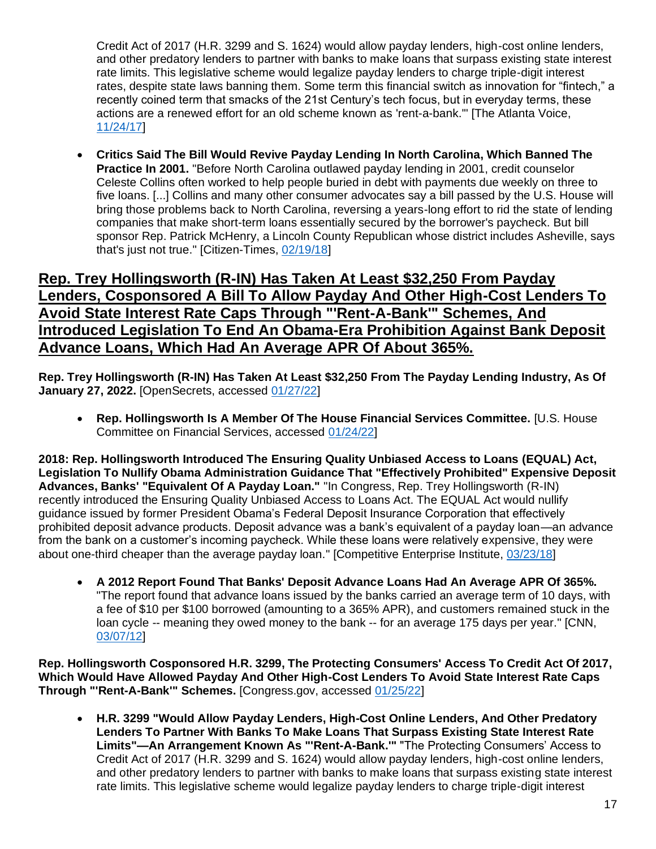Credit Act of 2017 (H.R. 3299 and S. 1624) would allow payday lenders, high-cost online lenders, and other predatory lenders to partner with banks to make loans that surpass existing state interest rate limits. This legislative scheme would legalize payday lenders to charge triple-digit interest rates, despite state laws banning them. Some term this financial switch as innovation for "fintech," a recently coined term that smacks of the 21st Century's tech focus, but in everyday terms, these actions are a renewed effort for an old scheme known as 'rent-a-bank.'" [The Atlanta Voice, [11/24/17\]](https://theatlantavoice.com/payday-lenders-want-to-charge-triple-digit-interest-on-your-loans-and-congress-wants-to-help-them/)

• **Critics Said The Bill Would Revive Payday Lending In North Carolina, Which Banned The Practice In 2001.** "Before North Carolina outlawed payday lending in 2001, credit counselor Celeste Collins often worked to help people buried in debt with payments due weekly on three to five loans. [...] Collins and many other consumer advocates say a bill passed by the U.S. House will bring those problems back to North Carolina, reversing a years-long effort to rid the state of lending companies that make short-term loans essentially secured by the borrower's paycheck. But bill sponsor Rep. Patrick McHenry, a Lincoln County Republican whose district includes Asheville, says that's just not true." [Citizen-Times, [02/19/18\]](https://www.citizen-times.com/story/news/local/2018/02/19/critics-say-mchenry-bill-would-revive-payday-lending-north-carolina-he-disagrees/341372002/)

#### **Rep. Trey Hollingsworth (R-IN) Has Taken At Least \$32,250 From Payday Lenders, Cosponsored A Bill To Allow Payday And Other High-Cost Lenders To Avoid State Interest Rate Caps Through "'Rent-A-Bank'" Schemes, And Introduced Legislation To End An Obama-Era Prohibition Against Bank Deposit Advance Loans, Which Had An Average APR Of About 365%.**

**Rep. Trey Hollingsworth (R-IN) Has Taken At Least \$32,250 From The Payday Lending Industry, As Of January 27, 2022.** [OpenSecrets, accessed [01/27/22\]](https://www.opensecrets.org/industries/summary.php?ind=F1420&cycle=All&recipdetail=H&sortorder=A&mem=Y&page=1)

• **Rep. Hollingsworth Is A Member Of The House Financial Services Committee.** [U.S. House Committee on Financial Services, accessed [01/24/22\]](https://financialservices.house.gov/about/committee-membership.htm)

**2018: Rep. Hollingsworth Introduced The Ensuring Quality Unbiased Access to Loans (EQUAL) Act, Legislation To Nullify Obama Administration Guidance That "Effectively Prohibited" Expensive Deposit Advances, Banks' "Equivalent Of A Payday Loan."** "In Congress, Rep. Trey Hollingsworth (R-IN) recently introduced the Ensuring Quality Unbiased Access to Loans Act. The EQUAL Act would nullify guidance issued by former President Obama's Federal Deposit Insurance Corporation that effectively prohibited deposit advance products. Deposit advance was a bank's equivalent of a payday loan—an advance from the bank on a customer's incoming paycheck. While these loans were relatively expensive, they were about one-third cheaper than the average payday loan." [Competitive Enterprise Institute, [03/23/18\]](https://cei.org/blog/3-proposals-to-temper-the-federal-payday-loan-rule/)

• **A 2012 Report Found That Banks' Deposit Advance Loans Had An Average APR Of 365%.**  "The report found that advance loans issued by the banks carried an average term of 10 days, with a fee of \$10 per \$100 borrowed (amounting to a 365% APR), and customers remained stuck in the loan cycle -- meaning they owed money to the bank -- for an average 175 days per year." [CNN, [03/07/12\]](https://money.cnn.com/2012/03/07/pf/payday-loans-banks/index.htm)

**Rep. Hollingsworth Cosponsored H.R. 3299, The Protecting Consumers' Access To Credit Act Of 2017, Which Would Have Allowed Payday And Other High-Cost Lenders To Avoid State Interest Rate Caps Through "'Rent-A-Bank'" Schemes.** [Congress.gov, accessed [01/25/22\]](https://www.congress.gov/bill/115th-congress/house-bill/3299/cosponsors?q=%7B%22search%22%3A%5B%22hr3299%22%2C%22hr3299%22%5D%7D&r=3&s=10)

• **H.R. 3299 "Would Allow Payday Lenders, High-Cost Online Lenders, And Other Predatory Lenders To Partner With Banks To Make Loans That Surpass Existing State Interest Rate Limits"—An Arrangement Known As "'Rent-A-Bank.'"** "The Protecting Consumers' Access to Credit Act of 2017 (H.R. 3299 and S. 1624) would allow payday lenders, high-cost online lenders, and other predatory lenders to partner with banks to make loans that surpass existing state interest rate limits. This legislative scheme would legalize payday lenders to charge triple-digit interest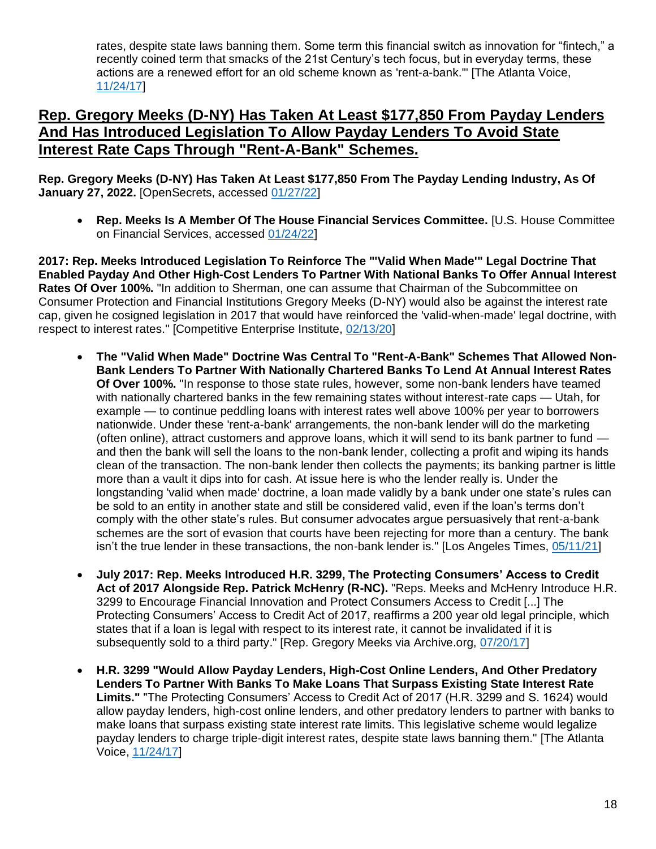rates, despite state laws banning them. Some term this financial switch as innovation for "fintech," a recently coined term that smacks of the 21st Century's tech focus, but in everyday terms, these actions are a renewed effort for an old scheme known as 'rent-a-bank.'" [The Atlanta Voice, [11/24/17\]](https://theatlantavoice.com/payday-lenders-want-to-charge-triple-digit-interest-on-your-loans-and-congress-wants-to-help-them/)

#### **Rep. Gregory Meeks (D-NY) Has Taken At Least \$177,850 From Payday Lenders And Has Introduced Legislation To Allow Payday Lenders To Avoid State Interest Rate Caps Through "Rent-A-Bank" Schemes.**

**Rep. Gregory Meeks (D-NY) Has Taken At Least \$177,850 From The Payday Lending Industry, As Of January 27, 2022.** [OpenSecrets, accessed [01/27/22\]](https://www.opensecrets.org/industries/summary.php?ind=F1420&cycle=All&recipdetail=H&sortorder=A&mem=Y&page=1)

• **Rep. Meeks Is A Member Of The House Financial Services Committee.** [U.S. House Committee on Financial Services, accessed [01/24/22\]](https://financialservices.house.gov/about/committee-membership.htm)

**2017: Rep. Meeks Introduced Legislation To Reinforce The "'Valid When Made'" Legal Doctrine That Enabled Payday And Other High-Cost Lenders To Partner With National Banks To Offer Annual Interest Rates Of Over 100%.** "In addition to Sherman, one can assume that Chairman of the Subcommittee on Consumer Protection and Financial Institutions Gregory Meeks (D-NY) would also be against the interest rate cap, given he cosigned legislation in 2017 that would have reinforced the 'valid-when-made' legal doctrine, with respect to interest rates." [Competitive Enterprise Institute, [02/13/20\]](https://cei.org/blog/democratic-witnesses-oppose-interest-rate-cap/)

- **The "Valid When Made" Doctrine Was Central To "Rent-A-Bank" Schemes That Allowed Non-Bank Lenders To Partner With Nationally Chartered Banks To Lend At Annual Interest Rates Of Over 100%.** "In response to those state rules, however, some non-bank lenders have teamed with nationally chartered banks in the few remaining states without interest-rate caps — Utah, for example — to continue peddling loans with interest rates well above 100% per year to borrowers nationwide. Under these 'rent-a-bank' arrangements, the non-bank lender will do the marketing (often online), attract customers and approve loans, which it will send to its bank partner to fund and then the bank will sell the loans to the non-bank lender, collecting a profit and wiping its hands clean of the transaction. The non-bank lender then collects the payments; its banking partner is little more than a vault it dips into for cash. At issue here is who the lender really is. Under the longstanding 'valid when made' doctrine, a loan made validly by a bank under one state's rules can be sold to an entity in another state and still be considered valid, even if the loan's terms don't comply with the other state's rules. But consumer advocates argue persuasively that rent-a-bank schemes are the sort of evasion that courts have been rejecting for more than a century. The bank isn't the true lender in these transactions, the non-bank lender is." [Los Angeles Times, [05/11/21\]](https://www.latimes.com/opinion/story/2021-05-11/overturn-occ-true-lender-rule)
- **July 2017: Rep. Meeks Introduced H.R. 3299, The Protecting Consumers' Access to Credit Act of 2017 Alongside Rep. Patrick McHenry (R-NC).** "Reps. Meeks and McHenry Introduce H.R. 3299 to Encourage Financial Innovation and Protect Consumers Access to Credit [...] The Protecting Consumers' Access to Credit Act of 2017, reaffirms a 200 year old legal principle, which states that if a loan is legal with respect to its interest rate, it cannot be invalidated if it is subsequently sold to a third party." [Rep. Gregory Meeks via Archive.org, [07/20/17\]](https://web.archive.org/web/20210427163504/https:/meeks.house.gov/media/press-releases/reps-meeks-and-mchenry-introduces-hr-3299-encourage-financial-innovation-and)
- **H.R. 3299 "Would Allow Payday Lenders, High-Cost Online Lenders, And Other Predatory Lenders To Partner With Banks To Make Loans That Surpass Existing State Interest Rate Limits."** "The Protecting Consumers' Access to Credit Act of 2017 (H.R. 3299 and S. 1624) would allow payday lenders, high-cost online lenders, and other predatory lenders to partner with banks to make loans that surpass existing state interest rate limits. This legislative scheme would legalize payday lenders to charge triple-digit interest rates, despite state laws banning them." [The Atlanta Voice, [11/24/17\]](https://theatlantavoice.com/payday-lenders-want-to-charge-triple-digit-interest-on-your-loans-and-congress-wants-to-help-them/)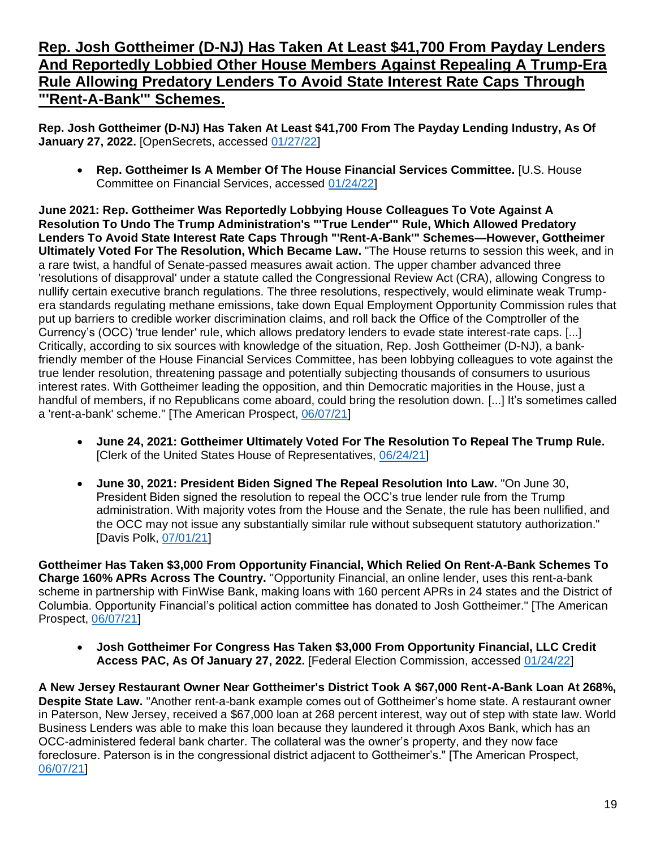#### **Rep. Josh Gottheimer (D-NJ) Has Taken At Least \$41,700 From Payday Lenders And Reportedly Lobbied Other House Members Against Repealing A Trump-Era Rule Allowing Predatory Lenders To Avoid State Interest Rate Caps Through "'Rent-A-Bank'" Schemes.**

**Rep. Josh Gottheimer (D-NJ) Has Taken At Least \$41,700 From The Payday Lending Industry, As Of January 27, 2022.** [OpenSecrets, accessed [01/27/22\]](https://www.opensecrets.org/industries/summary.php?ind=F1420&cycle=All&recipdetail=H&sortorder=A&mem=Y&page=1)

• **Rep. Gottheimer Is A Member Of The House Financial Services Committee.** [U.S. House Committee on Financial Services, accessed [01/24/22\]](https://financialservices.house.gov/about/committee-membership.htm)

**June 2021: Rep. Gottheimer Was Reportedly Lobbying House Colleagues To Vote Against A Resolution To Undo The Trump Administration's "'True Lender'" Rule, Which Allowed Predatory Lenders To Avoid State Interest Rate Caps Through "'Rent-A-Bank'" Schemes—However, Gottheimer Ultimately Voted For The Resolution, Which Became Law.** "The House returns to session this week, and in a rare twist, a handful of Senate-passed measures await action. The upper chamber advanced three 'resolutions of disapproval' under a statute called the Congressional Review Act (CRA), allowing Congress to nullify certain executive branch regulations. The three resolutions, respectively, would eliminate weak Trumpera standards regulating methane emissions, take down Equal Employment Opportunity Commission rules that put up barriers to credible worker discrimination claims, and roll back the Office of the Comptroller of the Currency's (OCC) 'true lender' rule, which allows predatory lenders to evade state interest-rate caps. [...] Critically, according to six sources with knowledge of the situation, Rep. Josh Gottheimer (D-NJ), a bankfriendly member of the House Financial Services Committee, has been lobbying colleagues to vote against the true lender resolution, threatening passage and potentially subjecting thousands of consumers to usurious interest rates. With Gottheimer leading the opposition, and thin Democratic majorities in the House, just a handful of members, if no Republicans come aboard, could bring the resolution down. [...] It's sometimes called a 'rent-a-bank' scheme." [The American Prospect, [06/07/21\]](https://prospect.org/power/house-democrat-leading-effort-against-key-consumer-protection-josh-gottheimer/)

- **June 24, 2021: Gottheimer Ultimately Voted For The Resolution To Repeal The Trump Rule.**  [Clerk of the United States House of Representatives, [06/24/21\]](https://clerk.house.gov/Votes/2021181)
- **June 30, 2021: President Biden Signed The Repeal Resolution Into Law.** "On June 30, President Biden signed the resolution to repeal the OCC's true lender rule from the Trump administration. With majority votes from the House and the Senate, the rule has been nullified, and the OCC may not issue any substantially similar rule without subsequent statutory authorization." [Davis Polk, [07/01/21\]](https://www.davispolk.com/insights/client-update/occs-true-lender-rule-has-been-repealed#_ftn1)

**Gottheimer Has Taken \$3,000 From Opportunity Financial, Which Relied On Rent-A-Bank Schemes To Charge 160% APRs Across The Country.** "Opportunity Financial, an online lender, uses this rent-a-bank scheme in partnership with FinWise Bank, making loans with 160 percent APRs in 24 states and the District of Columbia. Opportunity Financial's political action committee has donated to Josh Gottheimer." [The American Prospect, [06/07/21\]](https://prospect.org/power/house-democrat-leading-effort-against-key-consumer-protection-josh-gottheimer/)

• **Josh Gottheimer For Congress Has Taken \$3,000 From Opportunity Financial, LLC Credit Access PAC, As Of January 27, 2022.** [Federal Election Commission, accessed [01/24/22\]](https://www.fec.gov/data/disbursements/?data_type=processed&committee_id=C00757401&recipient_name=C00573949&recipient_name=C00652164)

**A New Jersey Restaurant Owner Near Gottheimer's District Took A \$67,000 Rent-A-Bank Loan At 268%, Despite State Law.** "Another rent-a-bank example comes out of Gottheimer's home state. A restaurant owner in Paterson, New Jersey, received a \$67,000 loan at 268 percent interest, way out of step with state law. World Business Lenders was able to make this loan because they laundered it through Axos Bank, which has an OCC-administered federal bank charter. The collateral was the owner's property, and they now face foreclosure. Paterson is in the congressional district adjacent to Gottheimer's." [The American Prospect, [06/07/21\]](https://prospect.org/power/house-democrat-leading-effort-against-key-consumer-protection-josh-gottheimer/)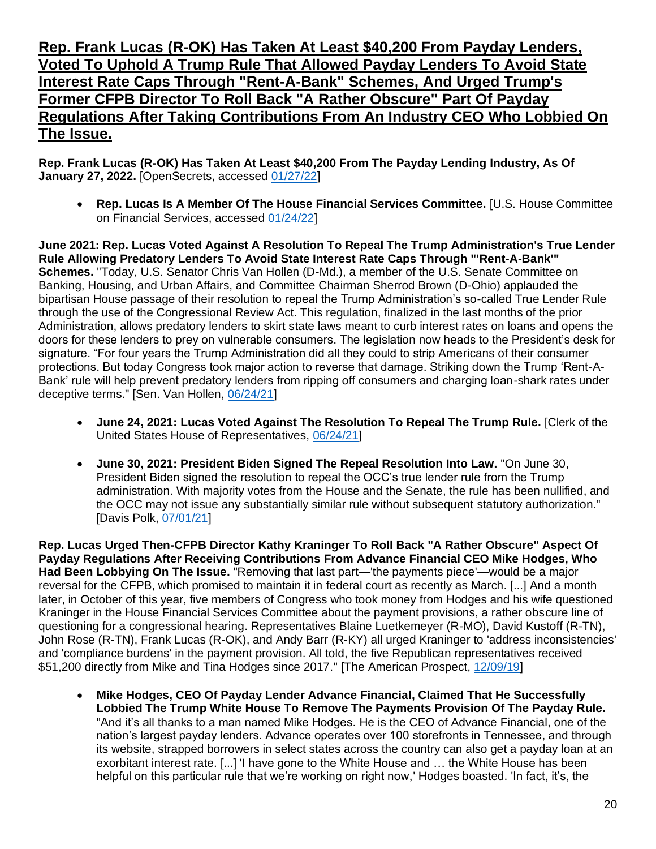#### **Rep. Frank Lucas (R-OK) Has Taken At Least \$40,200 From Payday Lenders, Voted To Uphold A Trump Rule That Allowed Payday Lenders To Avoid State Interest Rate Caps Through "Rent-A-Bank" Schemes, And Urged Trump's Former CFPB Director To Roll Back "A Rather Obscure" Part Of Payday Regulations After Taking Contributions From An Industry CEO Who Lobbied On The Issue.**

**Rep. Frank Lucas (R-OK) Has Taken At Least \$40,200 From The Payday Lending Industry, As Of January 27, 2022.** [OpenSecrets, accessed [01/27/22\]](https://www.opensecrets.org/industries/summary.php?ind=F1420&cycle=All&recipdetail=H&sortorder=A&mem=Y&page=1)

• **Rep. Lucas Is A Member Of The House Financial Services Committee.** [U.S. House Committee on Financial Services, accessed [01/24/22\]](https://financialservices.house.gov/about/committee-membership.htm)

**June 2021: Rep. Lucas Voted Against A Resolution To Repeal The Trump Administration's True Lender Rule Allowing Predatory Lenders To Avoid State Interest Rate Caps Through "'Rent-A-Bank'" Schemes.** "Today, U.S. Senator Chris Van Hollen (D-Md.), a member of the U.S. Senate Committee on Banking, Housing, and Urban Affairs, and Committee Chairman Sherrod Brown (D-Ohio) applauded the bipartisan House passage of their resolution to repeal the Trump Administration's so-called True Lender Rule through the use of the Congressional Review Act. This regulation, finalized in the last months of the prior Administration, allows predatory lenders to skirt state laws meant to curb interest rates on loans and opens the doors for these lenders to prey on vulnerable consumers. The legislation now heads to the President's desk for signature. "For four years the Trump Administration did all they could to strip Americans of their consumer protections. But today Congress took major action to reverse that damage. Striking down the Trump 'Rent-A-Bank' rule will help prevent predatory lenders from ripping off consumers and charging loan-shark rates under deceptive terms." [Sen. Van Hollen, [06/24/21\]](https://www.vanhollen.senate.gov/news/press-releases/house-passes-van-hollen-brown-legislation-to-strike-down-trump-era-rent-a-bank-rule-sending-it-to-the-presidents-desk)

- **June 24, 2021: Lucas Voted Against The Resolution To Repeal The Trump Rule.** [Clerk of the United States House of Representatives, [06/24/21\]](https://clerk.house.gov/Votes/2021181)
- **June 30, 2021: President Biden Signed The Repeal Resolution Into Law.** "On June 30, President Biden signed the resolution to repeal the OCC's true lender rule from the Trump administration. With majority votes from the House and the Senate, the rule has been nullified, and the OCC may not issue any substantially similar rule without subsequent statutory authorization." [Davis Polk, [07/01/21\]](https://www.davispolk.com/insights/client-update/occs-true-lender-rule-has-been-repealed#_ftn1)

**Rep. Lucas Urged Then-CFPB Director Kathy Kraninger To Roll Back "A Rather Obscure" Aspect Of Payday Regulations After Receiving Contributions From Advance Financial CEO Mike Hodges, Who Had Been Lobbying On The Issue.** "Removing that last part—'the payments piece'—would be a major reversal for the CFPB, which promised to maintain it in federal court as recently as March. [...] And a month later, in October of this year, five members of Congress who took money from Hodges and his wife questioned Kraninger in the House Financial Services Committee about the payment provisions, a rather obscure line of questioning for a congressional hearing. Representatives Blaine Luetkemeyer (R-MO), David Kustoff (R-TN), John Rose (R-TN), Frank Lucas (R-OK), and Andy Barr (R-KY) all urged Kraninger to 'address inconsistencies' and 'compliance burdens' in the payment provision. All told, the five Republican representatives received \$51,200 directly from Mike and Tina Hodges since 2017." [The American Prospect, [12/09/19\]](https://prospect.org/power/how-to-buy-a-regulation-in-six-short-months/)

• **Mike Hodges, CEO Of Payday Lender Advance Financial, Claimed That He Successfully Lobbied The Trump White House To Remove The Payments Provision Of The Payday Rule.**  "And it's all thanks to a man named Mike Hodges. He is the CEO of Advance Financial, one of the nation's largest payday lenders. Advance operates over 100 storefronts in Tennessee, and through its website, strapped borrowers in select states across the country can also get a payday loan at an exorbitant interest rate. [...] 'I have gone to the White House and … the White House has been helpful on this particular rule that we're working on right now,' Hodges boasted. 'In fact, it's, the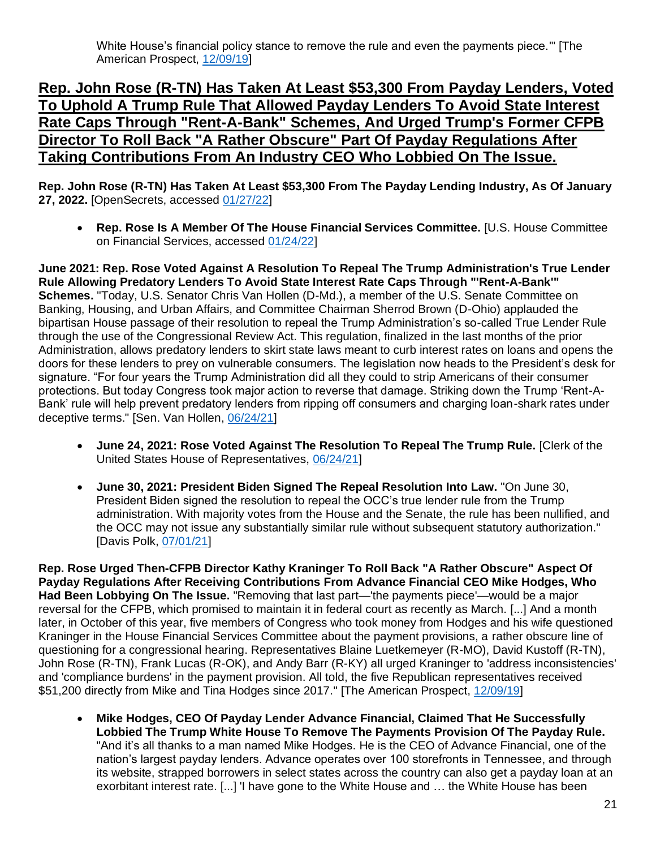#### **Rep. John Rose (R-TN) Has Taken At Least \$53,300 From Payday Lenders, Voted To Uphold A Trump Rule That Allowed Payday Lenders To Avoid State Interest Rate Caps Through "Rent-A-Bank" Schemes, And Urged Trump's Former CFPB Director To Roll Back "A Rather Obscure" Part Of Payday Regulations After Taking Contributions From An Industry CEO Who Lobbied On The Issue.**

**Rep. John Rose (R-TN) Has Taken At Least \$53,300 From The Payday Lending Industry, As Of January 27, 2022.** [OpenSecrets, accessed [01/27/22\]](https://www.opensecrets.org/industries/summary.php?ind=F1420&cycle=All&recipdetail=H&sortorder=A&mem=Y&page=1)

• **Rep. Rose Is A Member Of The House Financial Services Committee.** [U.S. House Committee on Financial Services, accessed [01/24/22\]](https://financialservices.house.gov/about/committee-membership.htm)

**June 2021: Rep. Rose Voted Against A Resolution To Repeal The Trump Administration's True Lender Rule Allowing Predatory Lenders To Avoid State Interest Rate Caps Through "'Rent-A-Bank'" Schemes.** "Today, U.S. Senator Chris Van Hollen (D-Md.), a member of the U.S. Senate Committee on Banking, Housing, and Urban Affairs, and Committee Chairman Sherrod Brown (D-Ohio) applauded the bipartisan House passage of their resolution to repeal the Trump Administration's so-called True Lender Rule through the use of the Congressional Review Act. This regulation, finalized in the last months of the prior Administration, allows predatory lenders to skirt state laws meant to curb interest rates on loans and opens the doors for these lenders to prey on vulnerable consumers. The legislation now heads to the President's desk for signature. "For four years the Trump Administration did all they could to strip Americans of their consumer protections. But today Congress took major action to reverse that damage. Striking down the Trump 'Rent-A-Bank' rule will help prevent predatory lenders from ripping off consumers and charging loan-shark rates under deceptive terms." [Sen. Van Hollen, [06/24/21\]](https://www.vanhollen.senate.gov/news/press-releases/house-passes-van-hollen-brown-legislation-to-strike-down-trump-era-rent-a-bank-rule-sending-it-to-the-presidents-desk)

- **June 24, 2021: Rose Voted Against The Resolution To Repeal The Trump Rule.** [Clerk of the United States House of Representatives, [06/24/21\]](https://clerk.house.gov/Votes/2021181)
- **June 30, 2021: President Biden Signed The Repeal Resolution Into Law.** "On June 30, President Biden signed the resolution to repeal the OCC's true lender rule from the Trump administration. With majority votes from the House and the Senate, the rule has been nullified, and the OCC may not issue any substantially similar rule without subsequent statutory authorization." [Davis Polk, [07/01/21\]](https://www.davispolk.com/insights/client-update/occs-true-lender-rule-has-been-repealed#_ftn1)

**Rep. Rose Urged Then-CFPB Director Kathy Kraninger To Roll Back "A Rather Obscure" Aspect Of Payday Regulations After Receiving Contributions From Advance Financial CEO Mike Hodges, Who Had Been Lobbying On The Issue.** "Removing that last part—'the payments piece'—would be a major reversal for the CFPB, which promised to maintain it in federal court as recently as March. [...] And a month later, in October of this year, five members of Congress who took money from Hodges and his wife questioned Kraninger in the House Financial Services Committee about the payment provisions, a rather obscure line of questioning for a congressional hearing. Representatives Blaine Luetkemeyer (R-MO), David Kustoff (R-TN), John Rose (R-TN), Frank Lucas (R-OK), and Andy Barr (R-KY) all urged Kraninger to 'address inconsistencies' and 'compliance burdens' in the payment provision. All told, the five Republican representatives received \$51,200 directly from Mike and Tina Hodges since 2017." [The American Prospect, [12/09/19\]](https://prospect.org/power/how-to-buy-a-regulation-in-six-short-months/)

• **Mike Hodges, CEO Of Payday Lender Advance Financial, Claimed That He Successfully Lobbied The Trump White House To Remove The Payments Provision Of The Payday Rule.**  "And it's all thanks to a man named Mike Hodges. He is the CEO of Advance Financial, one of the nation's largest payday lenders. Advance operates over 100 storefronts in Tennessee, and through its website, strapped borrowers in select states across the country can also get a payday loan at an exorbitant interest rate. [...] 'I have gone to the White House and … the White House has been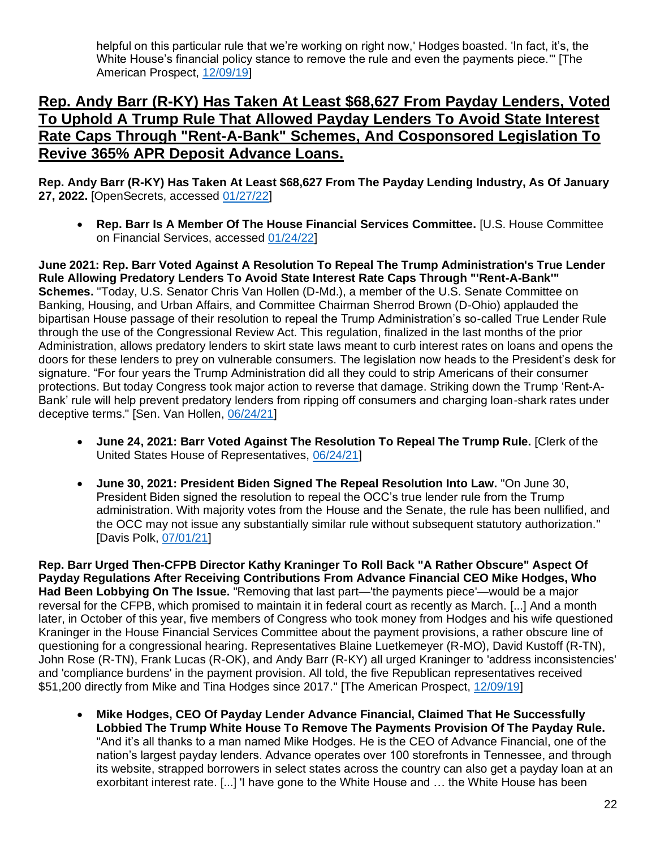helpful on this particular rule that we're working on right now,' Hodges boasted. 'In fact, it's, the White House's financial policy stance to remove the rule and even the payments piece.'" [The American Prospect, [12/09/19\]](https://prospect.org/power/how-to-buy-a-regulation-in-six-short-months/)

#### **Rep. Andy Barr (R-KY) Has Taken At Least \$68,627 From Payday Lenders, Voted To Uphold A Trump Rule That Allowed Payday Lenders To Avoid State Interest Rate Caps Through "Rent-A-Bank" Schemes, And Cosponsored Legislation To Revive 365% APR Deposit Advance Loans.**

**Rep. Andy Barr (R-KY) Has Taken At Least \$68,627 From The Payday Lending Industry, As Of January 27, 2022.** [OpenSecrets, accessed [01/27/22\]](https://www.opensecrets.org/industries/summary.php?ind=F1420&cycle=All&recipdetail=H&sortorder=A&mem=Y&page=1)

• **Rep. Barr Is A Member Of The House Financial Services Committee.** [U.S. House Committee on Financial Services, accessed [01/24/22\]](https://financialservices.house.gov/about/committee-membership.htm)

**June 2021: Rep. Barr Voted Against A Resolution To Repeal The Trump Administration's True Lender Rule Allowing Predatory Lenders To Avoid State Interest Rate Caps Through "'Rent-A-Bank'" Schemes.** "Today, U.S. Senator Chris Van Hollen (D-Md.), a member of the U.S. Senate Committee on Banking, Housing, and Urban Affairs, and Committee Chairman Sherrod Brown (D-Ohio) applauded the bipartisan House passage of their resolution to repeal the Trump Administration's so-called True Lender Rule through the use of the Congressional Review Act. This regulation, finalized in the last months of the prior Administration, allows predatory lenders to skirt state laws meant to curb interest rates on loans and opens the doors for these lenders to prey on vulnerable consumers. The legislation now heads to the President's desk for signature. "For four years the Trump Administration did all they could to strip Americans of their consumer protections. But today Congress took major action to reverse that damage. Striking down the Trump 'Rent-A-Bank' rule will help prevent predatory lenders from ripping off consumers and charging loan-shark rates under deceptive terms." [Sen. Van Hollen, [06/24/21\]](https://www.vanhollen.senate.gov/news/press-releases/house-passes-van-hollen-brown-legislation-to-strike-down-trump-era-rent-a-bank-rule-sending-it-to-the-presidents-desk)

- **June 24, 2021: Barr Voted Against The Resolution To Repeal The Trump Rule.** [Clerk of the United States House of Representatives, [06/24/21\]](https://clerk.house.gov/Votes/2021181)
- **June 30, 2021: President Biden Signed The Repeal Resolution Into Law.** "On June 30, President Biden signed the resolution to repeal the OCC's true lender rule from the Trump administration. With majority votes from the House and the Senate, the rule has been nullified, and the OCC may not issue any substantially similar rule without subsequent statutory authorization." [Davis Polk, [07/01/21\]](https://www.davispolk.com/insights/client-update/occs-true-lender-rule-has-been-repealed#_ftn1)

**Rep. Barr Urged Then-CFPB Director Kathy Kraninger To Roll Back "A Rather Obscure" Aspect Of Payday Regulations After Receiving Contributions From Advance Financial CEO Mike Hodges, Who Had Been Lobbying On The Issue.** "Removing that last part—'the payments piece'—would be a major reversal for the CFPB, which promised to maintain it in federal court as recently as March. [...] And a month later, in October of this year, five members of Congress who took money from Hodges and his wife questioned Kraninger in the House Financial Services Committee about the payment provisions, a rather obscure line of questioning for a congressional hearing. Representatives Blaine Luetkemeyer (R-MO), David Kustoff (R-TN), John Rose (R-TN), Frank Lucas (R-OK), and Andy Barr (R-KY) all urged Kraninger to 'address inconsistencies' and 'compliance burdens' in the payment provision. All told, the five Republican representatives received \$51,200 directly from Mike and Tina Hodges since 2017." [The American Prospect, [12/09/19\]](https://prospect.org/power/how-to-buy-a-regulation-in-six-short-months/)

• **Mike Hodges, CEO Of Payday Lender Advance Financial, Claimed That He Successfully Lobbied The Trump White House To Remove The Payments Provision Of The Payday Rule.**  "And it's all thanks to a man named Mike Hodges. He is the CEO of Advance Financial, one of the nation's largest payday lenders. Advance operates over 100 storefronts in Tennessee, and through its website, strapped borrowers in select states across the country can also get a payday loan at an exorbitant interest rate. [...] 'I have gone to the White House and … the White House has been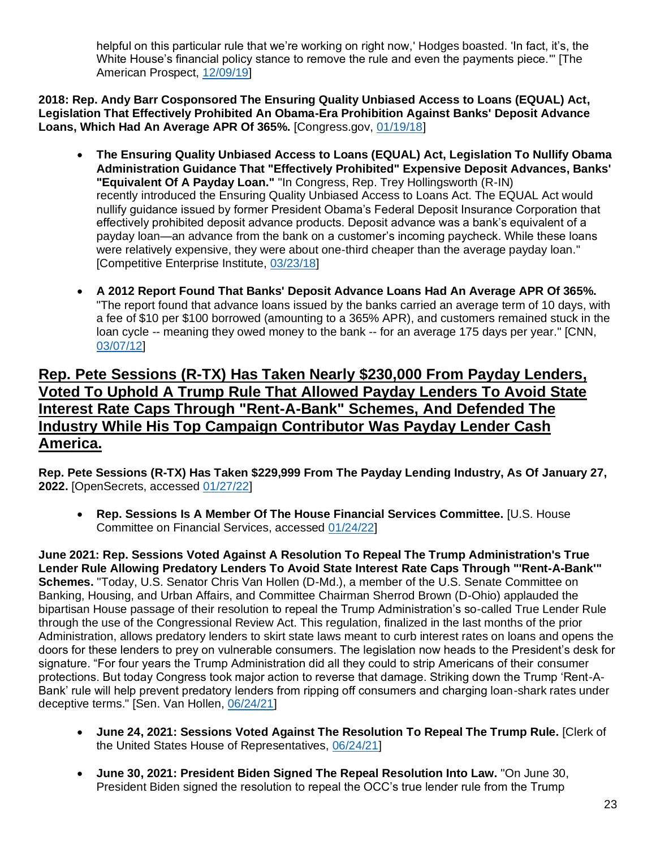helpful on this particular rule that we're working on right now,' Hodges boasted. 'In fact, it's, the White House's financial policy stance to remove the rule and even the payments piece.'" [The American Prospect, [12/09/19\]](https://prospect.org/power/how-to-buy-a-regulation-in-six-short-months/)

**2018: Rep. Andy Barr Cosponsored The Ensuring Quality Unbiased Access to Loans (EQUAL) Act, Legislation That Effectively Prohibited An Obama-Era Prohibition Against Banks' Deposit Advance Loans, Which Had An Average APR Of 365%.** [Congress.gov, [01/19/18\]](https://www.congress.gov/bill/115th-congress/house-bill/4861/cosponsors?q=%7B%22search%22%3A%5B%22%5C%22Ensuring+Quality+Unbiased+Access+to+Loans%5C%22%22%2C%22%5C%22Ensuring%22%2C%22Quality%22%2C%22Unbiased%22%2C%22Access%22%2C%22to%22%2C%22Loans%5C%22%22%5D%7D&r=2&s=8)

- **The Ensuring Quality Unbiased Access to Loans (EQUAL) Act, Legislation To Nullify Obama Administration Guidance That "Effectively Prohibited" Expensive Deposit Advances, Banks' "Equivalent Of A Payday Loan."** "In Congress, Rep. Trey Hollingsworth (R-IN) recently introduced the Ensuring Quality Unbiased Access to Loans Act. The EQUAL Act would nullify guidance issued by former President Obama's Federal Deposit Insurance Corporation that effectively prohibited deposit advance products. Deposit advance was a bank's equivalent of a payday loan—an advance from the bank on a customer's incoming paycheck. While these loans were relatively expensive, they were about one-third cheaper than the average payday loan." [Competitive Enterprise Institute, [03/23/18\]](https://cei.org/blog/3-proposals-to-temper-the-federal-payday-loan-rule/)
- **A 2012 Report Found That Banks' Deposit Advance Loans Had An Average APR Of 365%.**  "The report found that advance loans issued by the banks carried an average term of 10 days, with a fee of \$10 per \$100 borrowed (amounting to a 365% APR), and customers remained stuck in the loan cycle -- meaning they owed money to the bank -- for an average 175 days per year." [CNN, [03/07/12\]](https://money.cnn.com/2012/03/07/pf/payday-loans-banks/index.htm)

#### **Rep. Pete Sessions (R-TX) Has Taken Nearly \$230,000 From Payday Lenders, Voted To Uphold A Trump Rule That Allowed Payday Lenders To Avoid State Interest Rate Caps Through "Rent-A-Bank" Schemes, And Defended The Industry While His Top Campaign Contributor Was Payday Lender Cash America.**

**Rep. Pete Sessions (R-TX) Has Taken \$229,999 From The Payday Lending Industry, As Of January 27, 2022.** [OpenSecrets, accessed [01/27/22\]](https://www.opensecrets.org/industries/summary.php?ind=F1420&cycle=All&recipdetail=H&sortorder=A&mem=Y&page=1)

• **Rep. Sessions Is A Member Of The House Financial Services Committee.** [U.S. House Committee on Financial Services, accessed [01/24/22\]](https://financialservices.house.gov/about/committee-membership.htm)

**June 2021: Rep. Sessions Voted Against A Resolution To Repeal The Trump Administration's True Lender Rule Allowing Predatory Lenders To Avoid State Interest Rate Caps Through "'Rent-A-Bank'" Schemes.** "Today, U.S. Senator Chris Van Hollen (D-Md.), a member of the U.S. Senate Committee on Banking, Housing, and Urban Affairs, and Committee Chairman Sherrod Brown (D-Ohio) applauded the bipartisan House passage of their resolution to repeal the Trump Administration's so-called True Lender Rule through the use of the Congressional Review Act. This regulation, finalized in the last months of the prior Administration, allows predatory lenders to skirt state laws meant to curb interest rates on loans and opens the doors for these lenders to prey on vulnerable consumers. The legislation now heads to the President's desk for signature. "For four years the Trump Administration did all they could to strip Americans of their consumer protections. But today Congress took major action to reverse that damage. Striking down the Trump 'Rent-A-Bank' rule will help prevent predatory lenders from ripping off consumers and charging loan-shark rates under deceptive terms." [Sen. Van Hollen, [06/24/21\]](https://www.vanhollen.senate.gov/news/press-releases/house-passes-van-hollen-brown-legislation-to-strike-down-trump-era-rent-a-bank-rule-sending-it-to-the-presidents-desk)

- **June 24, 2021: Sessions Voted Against The Resolution To Repeal The Trump Rule.** [Clerk of the United States House of Representatives, [06/24/21\]](https://clerk.house.gov/Votes/2021181)
- **June 30, 2021: President Biden Signed The Repeal Resolution Into Law.** "On June 30, President Biden signed the resolution to repeal the OCC's true lender rule from the Trump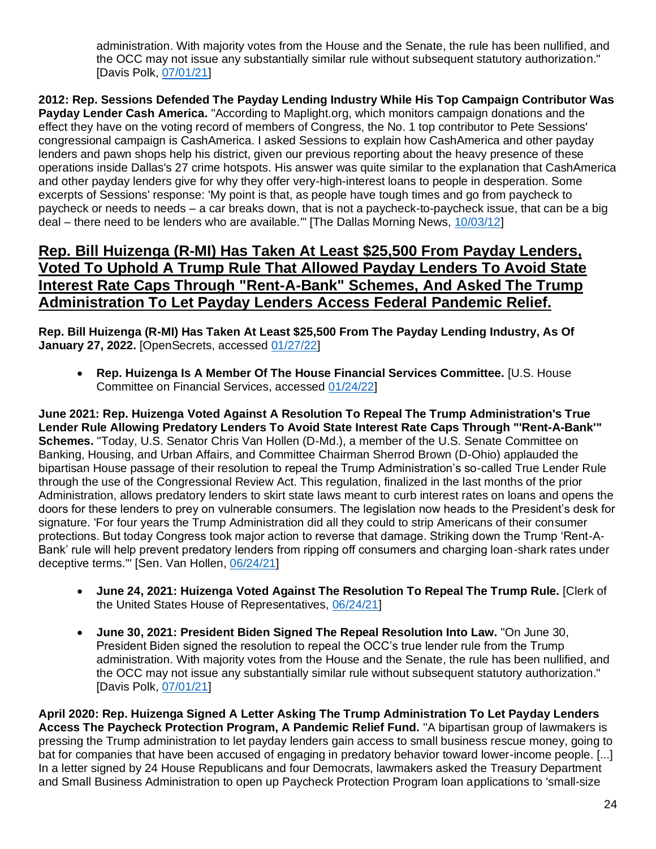administration. With majority votes from the House and the Senate, the rule has been nullified, and the OCC may not issue any substantially similar rule without subsequent statutory authorization." [Davis Polk, [07/01/21\]](https://www.davispolk.com/insights/client-update/occs-true-lender-rule-has-been-repealed#_ftn1)

**2012: Rep. Sessions Defended The Payday Lending Industry While His Top Campaign Contributor Was Payday Lender Cash America.** "According to Maplight.org, which monitors campaign donations and the effect they have on the voting record of members of Congress, the No. 1 top contributor to Pete Sessions' congressional campaign is CashAmerica. I asked Sessions to explain how CashAmerica and other payday lenders and pawn shops help his district, given our previous reporting about the heavy presence of these operations inside Dallas's 27 crime hotspots. His answer was quite similar to the explanation that CashAmerica and other payday lenders give for why they offer very-high-interest loans to people in desperation. Some excerpts of Sessions' response: 'My point is that, as people have tough times and go from paycheck to paycheck or needs to needs – a car breaks down, that is not a paycheck-to-paycheck issue, that can be a big deal – there need to be lenders who are available.'" [The Dallas Morning News, [10/03/12\]](https://www.dallasnews.com/opinion/2012/10/03/pete-sessions-and-dallas-explosion-of-payday-lenders/)

#### **Rep. Bill Huizenga (R-MI) Has Taken At Least \$25,500 From Payday Lenders, Voted To Uphold A Trump Rule That Allowed Payday Lenders To Avoid State Interest Rate Caps Through "Rent-A-Bank" Schemes, And Asked The Trump Administration To Let Payday Lenders Access Federal Pandemic Relief.**

**Rep. Bill Huizenga (R-MI) Has Taken At Least \$25,500 From The Payday Lending Industry, As Of January 27, 2022.** [OpenSecrets, accessed [01/27/22\]](https://www.opensecrets.org/industries/summary.php?ind=F1420&cycle=All&recipdetail=H&sortorder=A&mem=Y&page=2)

• **Rep. Huizenga Is A Member Of The House Financial Services Committee.** [U.S. House Committee on Financial Services, accessed [01/24/22\]](https://financialservices.house.gov/about/committee-membership.htm)

**June 2021: Rep. Huizenga Voted Against A Resolution To Repeal The Trump Administration's True Lender Rule Allowing Predatory Lenders To Avoid State Interest Rate Caps Through "'Rent-A-Bank'" Schemes.** "Today, U.S. Senator Chris Van Hollen (D-Md.), a member of the U.S. Senate Committee on Banking, Housing, and Urban Affairs, and Committee Chairman Sherrod Brown (D-Ohio) applauded the bipartisan House passage of their resolution to repeal the Trump Administration's so-called True Lender Rule through the use of the Congressional Review Act. This regulation, finalized in the last months of the prior Administration, allows predatory lenders to skirt state laws meant to curb interest rates on loans and opens the doors for these lenders to prey on vulnerable consumers. The legislation now heads to the President's desk for signature. 'For four years the Trump Administration did all they could to strip Americans of their consumer protections. But today Congress took major action to reverse that damage. Striking down the Trump 'Rent-A-Bank' rule will help prevent predatory lenders from ripping off consumers and charging loan-shark rates under deceptive terms.'" [Sen. Van Hollen, [06/24/21\]](https://www.vanhollen.senate.gov/news/press-releases/house-passes-van-hollen-brown-legislation-to-strike-down-trump-era-rent-a-bank-rule-sending-it-to-the-presidents-desk)

- **June 24, 2021: Huizenga Voted Against The Resolution To Repeal The Trump Rule.** [Clerk of the United States House of Representatives, [06/24/21\]](https://clerk.house.gov/Votes/2021181)
- **June 30, 2021: President Biden Signed The Repeal Resolution Into Law.** "On June 30, President Biden signed the resolution to repeal the OCC's true lender rule from the Trump administration. With majority votes from the House and the Senate, the rule has been nullified, and the OCC may not issue any substantially similar rule without subsequent statutory authorization." [Davis Polk, [07/01/21\]](https://www.davispolk.com/insights/client-update/occs-true-lender-rule-has-been-repealed#_ftn1)

**April 2020: Rep. Huizenga Signed A Letter Asking The Trump Administration To Let Payday Lenders Access The Paycheck Protection Program, A Pandemic Relief Fund.** "A bipartisan group of lawmakers is pressing the Trump administration to let payday lenders gain access to small business rescue money, going to bat for companies that have been accused of engaging in predatory behavior toward lower-income people. [...] In a letter signed by 24 House Republicans and four Democrats, lawmakers asked the Treasury Department and Small Business Administration to open up Paycheck Protection Program loan applications to 'small-size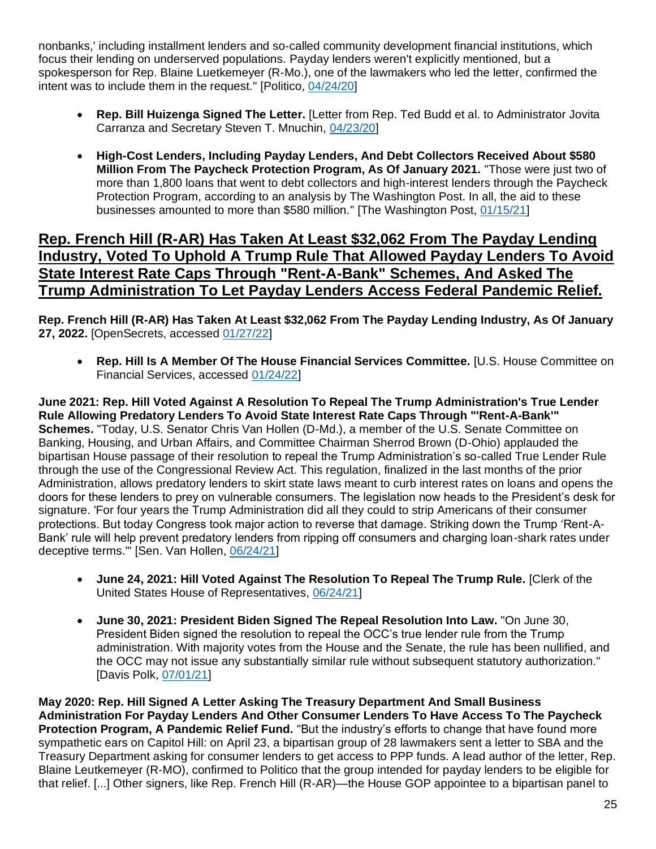nonbanks,' including installment lenders and so-called community development financial institutions, which focus their lending on underserved populations. Payday lenders weren't explicitly mentioned, but a spokesperson for Rep. Blaine Luetkemeyer (R-Mo.), one of the lawmakers who led the letter, confirmed the intent was to include them in the request." [Politico, [04/24/20\]](https://www.politico.com/news/2020/04/24/lawmakers-press-for-small-business-loans-for-payday-lenders-207636)

- **Rep. Bill Huizenga Signed The Letter.** [Letter from Rep. Ted Budd et al. to Administrator Jovita Carranza and Secretary Steven T. Mnuchin, [04/23/20\]](https://www.sfnet.com/docs/default-source/tsl-tslexpress/budd-ppp-letter-final-header-revised-9-am-4-22-2020-fc-edits.pdf)
- **High-Cost Lenders, Including Payday Lenders, And Debt Collectors Received About \$580 Million From The Paycheck Protection Program, As Of January 2021.** "Those were just two of more than 1,800 loans that went to debt collectors and high-interest lenders through the Paycheck Protection Program, according to an analysis by The Washington Post. In all, the aid to these businesses amounted to more than \$580 million." [The Washington Post, [01/15/21\]](https://www.washingtonpost.com/business/2021/01/15/debt-collectors-payday-ppp/)

#### **Rep. French Hill (R-AR) Has Taken At Least \$32,062 From The Payday Lending Industry, Voted To Uphold A Trump Rule That Allowed Payday Lenders To Avoid State Interest Rate Caps Through "Rent-A-Bank" Schemes, And Asked The Trump Administration To Let Payday Lenders Access Federal Pandemic Relief.**

**Rep. French Hill (R-AR) Has Taken At Least \$32,062 From The Payday Lending Industry, As Of January 27, 2022.** [OpenSecrets, accessed [01/27/22\]](https://www.opensecrets.org/industries/summary.php?ind=F1420&cycle=All&recipdetail=H&sortorder=A&mem=Y&page=1)

• **Rep. Hill Is A Member Of The House Financial Services Committee.** [U.S. House Committee on Financial Services, accessed [01/24/22\]](https://financialservices.house.gov/about/committee-membership.htm)

**June 2021: Rep. Hill Voted Against A Resolution To Repeal The Trump Administration's True Lender Rule Allowing Predatory Lenders To Avoid State Interest Rate Caps Through "'Rent-A-Bank'" Schemes.** "Today, U.S. Senator Chris Van Hollen (D-Md.), a member of the U.S. Senate Committee on Banking, Housing, and Urban Affairs, and Committee Chairman Sherrod Brown (D-Ohio) applauded the bipartisan House passage of their resolution to repeal the Trump Administration's so-called True Lender Rule through the use of the Congressional Review Act. This regulation, finalized in the last months of the prior Administration, allows predatory lenders to skirt state laws meant to curb interest rates on loans and opens the doors for these lenders to prey on vulnerable consumers. The legislation now heads to the President's desk for signature. 'For four years the Trump Administration did all they could to strip Americans of their consumer protections. But today Congress took major action to reverse that damage. Striking down the Trump 'Rent-A-Bank' rule will help prevent predatory lenders from ripping off consumers and charging loan-shark rates under deceptive terms.'" [Sen. Van Hollen, [06/24/21\]](https://www.vanhollen.senate.gov/news/press-releases/house-passes-van-hollen-brown-legislation-to-strike-down-trump-era-rent-a-bank-rule-sending-it-to-the-presidents-desk)

- **June 24, 2021: Hill Voted Against The Resolution To Repeal The Trump Rule.** [Clerk of the United States House of Representatives, [06/24/21\]](https://clerk.house.gov/Votes/2021181)
- **June 30, 2021: President Biden Signed The Repeal Resolution Into Law.** "On June 30, President Biden signed the resolution to repeal the OCC's true lender rule from the Trump administration. With majority votes from the House and the Senate, the rule has been nullified, and the OCC may not issue any substantially similar rule without subsequent statutory authorization." [Davis Polk, [07/01/21\]](https://www.davispolk.com/insights/client-update/occs-true-lender-rule-has-been-repealed#_ftn1)

**May 2020: Rep. Hill Signed A Letter Asking The Treasury Department And Small Business Administration For Payday Lenders And Other Consumer Lenders To Have Access To The Paycheck Protection Program, A Pandemic Relief Fund.** "But the industry's efforts to change that have found more sympathetic ears on Capitol Hill: on April 23, a bipartisan group of 28 lawmakers sent a letter to SBA and the Treasury Department asking for consumer lenders to get access to PPP funds. A lead author of the letter, Rep. Blaine Leutkemeyer (R-MO), confirmed to Politico that the group intended for payday lenders to be eligible for that relief. [...] Other signers, like Rep. French Hill (R-AR)—the House GOP appointee to a bipartisan panel to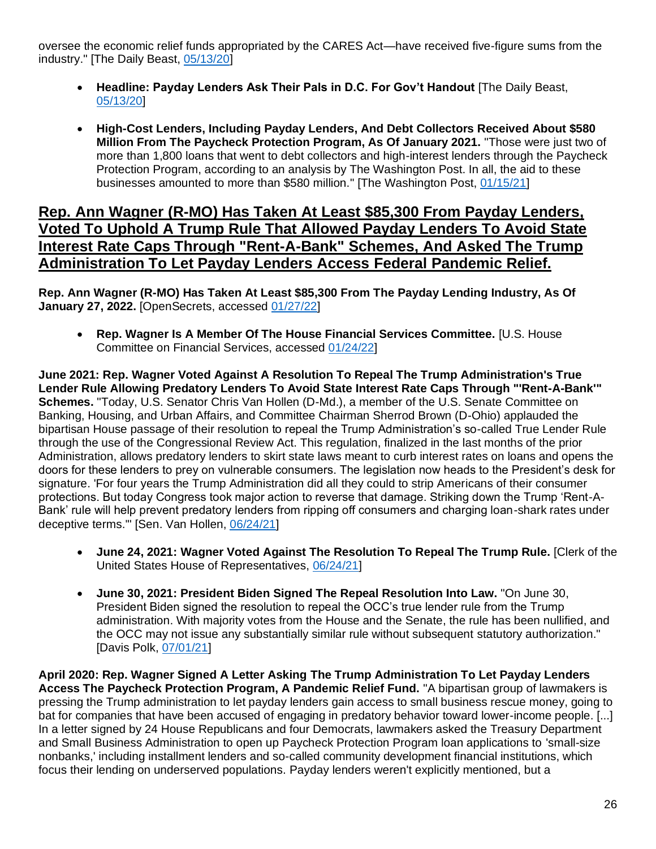oversee the economic relief funds appropriated by the CARES Act—have received five-figure sums from the industry." [The Daily Beast, [05/13/20\]](https://www.thedailybeast.com/payday-lenders-ask-their-pals-in-dc-for-govt-handout)

- **Headline: Payday Lenders Ask Their Pals in D.C. For Gov't Handout** [The Daily Beast, [05/13/20\]](https://www.thedailybeast.com/payday-lenders-ask-their-pals-in-dc-for-govt-handout)
- **High-Cost Lenders, Including Payday Lenders, And Debt Collectors Received About \$580 Million From The Paycheck Protection Program, As Of January 2021.** "Those were just two of more than 1,800 loans that went to debt collectors and high-interest lenders through the Paycheck Protection Program, according to an analysis by The Washington Post. In all, the aid to these businesses amounted to more than \$580 million." [The Washington Post, [01/15/21\]](https://www.washingtonpost.com/business/2021/01/15/debt-collectors-payday-ppp/)

#### **Rep. Ann Wagner (R-MO) Has Taken At Least \$85,300 From Payday Lenders, Voted To Uphold A Trump Rule That Allowed Payday Lenders To Avoid State Interest Rate Caps Through "Rent-A-Bank" Schemes, And Asked The Trump Administration To Let Payday Lenders Access Federal Pandemic Relief.**

**Rep. Ann Wagner (R-MO) Has Taken At Least \$85,300 From The Payday Lending Industry, As Of January 27, 2022.** [OpenSecrets, accessed [01/27/22\]](https://www.opensecrets.org/industries/summary.php?ind=F1420&cycle=All&recipdetail=H&sortorder=A&mem=Y&page=1)

• **Rep. Wagner Is A Member Of The House Financial Services Committee.** [U.S. House Committee on Financial Services, accessed [01/24/22\]](https://financialservices.house.gov/about/committee-membership.htm)

**June 2021: Rep. Wagner Voted Against A Resolution To Repeal The Trump Administration's True Lender Rule Allowing Predatory Lenders To Avoid State Interest Rate Caps Through "'Rent-A-Bank'" Schemes.** "Today, U.S. Senator Chris Van Hollen (D-Md.), a member of the U.S. Senate Committee on Banking, Housing, and Urban Affairs, and Committee Chairman Sherrod Brown (D-Ohio) applauded the bipartisan House passage of their resolution to repeal the Trump Administration's so-called True Lender Rule through the use of the Congressional Review Act. This regulation, finalized in the last months of the prior Administration, allows predatory lenders to skirt state laws meant to curb interest rates on loans and opens the doors for these lenders to prey on vulnerable consumers. The legislation now heads to the President's desk for signature. 'For four years the Trump Administration did all they could to strip Americans of their consumer protections. But today Congress took major action to reverse that damage. Striking down the Trump 'Rent-A-Bank' rule will help prevent predatory lenders from ripping off consumers and charging loan-shark rates under deceptive terms." [Sen. Van Hollen, [06/24/21\]](https://www.vanhollen.senate.gov/news/press-releases/house-passes-van-hollen-brown-legislation-to-strike-down-trump-era-rent-a-bank-rule-sending-it-to-the-presidents-desk)

- **June 24, 2021: Wagner Voted Against The Resolution To Repeal The Trump Rule.** [Clerk of the United States House of Representatives, [06/24/21\]](https://clerk.house.gov/Votes/2021181)
- **June 30, 2021: President Biden Signed The Repeal Resolution Into Law.** "On June 30, President Biden signed the resolution to repeal the OCC's true lender rule from the Trump administration. With majority votes from the House and the Senate, the rule has been nullified, and the OCC may not issue any substantially similar rule without subsequent statutory authorization." [Davis Polk, [07/01/21\]](https://www.davispolk.com/insights/client-update/occs-true-lender-rule-has-been-repealed#_ftn1)

**April 2020: Rep. Wagner Signed A Letter Asking The Trump Administration To Let Payday Lenders Access The Paycheck Protection Program, A Pandemic Relief Fund.** "A bipartisan group of lawmakers is pressing the Trump administration to let payday lenders gain access to small business rescue money, going to bat for companies that have been accused of engaging in predatory behavior toward lower-income people. [...] In a letter signed by 24 House Republicans and four Democrats, lawmakers asked the Treasury Department and Small Business Administration to open up Paycheck Protection Program loan applications to 'small-size nonbanks,' including installment lenders and so-called community development financial institutions, which focus their lending on underserved populations. Payday lenders weren't explicitly mentioned, but a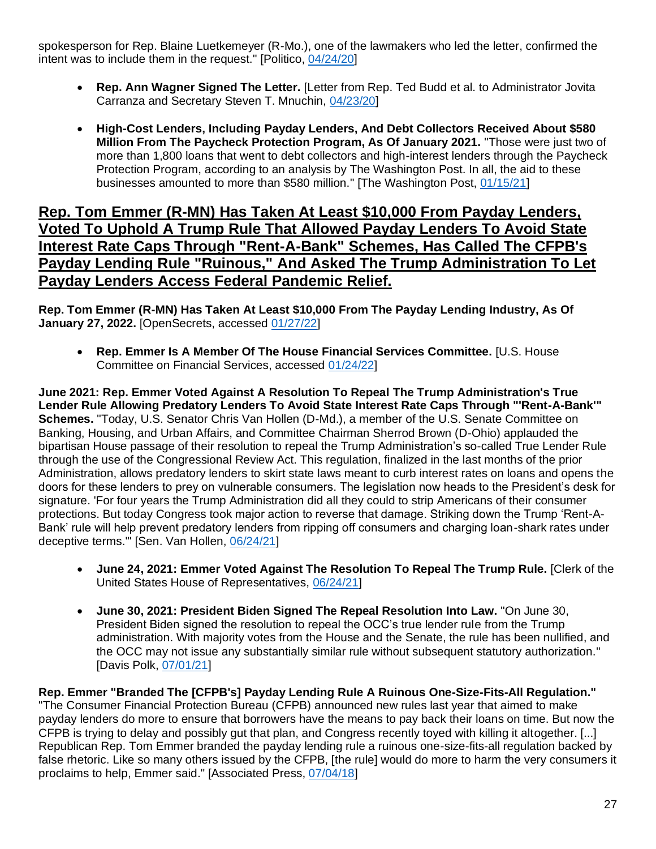spokesperson for Rep. Blaine Luetkemeyer (R-Mo.), one of the lawmakers who led the letter, confirmed the intent was to include them in the request." [Politico, [04/24/20\]](https://www.politico.com/news/2020/04/24/lawmakers-press-for-small-business-loans-for-payday-lenders-207636)

- **Rep. Ann Wagner Signed The Letter.** [Letter from Rep. Ted Budd et al. to Administrator Jovita Carranza and Secretary Steven T. Mnuchin, [04/23/20\]](https://www.sfnet.com/docs/default-source/tsl-tslexpress/budd-ppp-letter-final-header-revised-9-am-4-22-2020-fc-edits.pdf)
- **High-Cost Lenders, Including Payday Lenders, And Debt Collectors Received About \$580 Million From The Paycheck Protection Program, As Of January 2021.** "Those were just two of more than 1,800 loans that went to debt collectors and high-interest lenders through the Paycheck Protection Program, according to an analysis by The Washington Post. In all, the aid to these businesses amounted to more than \$580 million." [The Washington Post, [01/15/21\]](https://www.washingtonpost.com/business/2021/01/15/debt-collectors-payday-ppp/)

#### **Rep. Tom Emmer (R-MN) Has Taken At Least \$10,000 From Payday Lenders, Voted To Uphold A Trump Rule That Allowed Payday Lenders To Avoid State Interest Rate Caps Through "Rent-A-Bank" Schemes, Has Called The CFPB's Payday Lending Rule "Ruinous," And Asked The Trump Administration To Let Payday Lenders Access Federal Pandemic Relief.**

**Rep. Tom Emmer (R-MN) Has Taken At Least \$10,000 From The Payday Lending Industry, As Of January 27, 2022.** [OpenSecrets, accessed [01/27/22\]](https://www.opensecrets.org/industries/summary.php?ind=F1420&cycle=All&recipdetail=H&sortorder=A&mem=Y&page=3)

• **Rep. Emmer Is A Member Of The House Financial Services Committee.** [U.S. House Committee on Financial Services, accessed [01/24/22\]](https://financialservices.house.gov/about/committee-membership.htm)

**June 2021: Rep. Emmer Voted Against A Resolution To Repeal The Trump Administration's True Lender Rule Allowing Predatory Lenders To Avoid State Interest Rate Caps Through "'Rent-A-Bank'" Schemes.** "Today, U.S. Senator Chris Van Hollen (D-Md.), a member of the U.S. Senate Committee on Banking, Housing, and Urban Affairs, and Committee Chairman Sherrod Brown (D-Ohio) applauded the bipartisan House passage of their resolution to repeal the Trump Administration's so-called True Lender Rule through the use of the Congressional Review Act. This regulation, finalized in the last months of the prior Administration, allows predatory lenders to skirt state laws meant to curb interest rates on loans and opens the doors for these lenders to prey on vulnerable consumers. The legislation now heads to the President's desk for signature. 'For four years the Trump Administration did all they could to strip Americans of their consumer protections. But today Congress took major action to reverse that damage. Striking down the Trump 'Rent-A-Bank' rule will help prevent predatory lenders from ripping off consumers and charging loan-shark rates under deceptive terms.'" [Sen. Van Hollen, [06/24/21\]](https://www.vanhollen.senate.gov/news/press-releases/house-passes-van-hollen-brown-legislation-to-strike-down-trump-era-rent-a-bank-rule-sending-it-to-the-presidents-desk)

- **June 24, 2021: Emmer Voted Against The Resolution To Repeal The Trump Rule.** [Clerk of the United States House of Representatives, [06/24/21\]](https://clerk.house.gov/Votes/2021181)
- **June 30, 2021: President Biden Signed The Repeal Resolution Into Law.** "On June 30, President Biden signed the resolution to repeal the OCC's true lender rule from the Trump administration. With majority votes from the House and the Senate, the rule has been nullified, and the OCC may not issue any substantially similar rule without subsequent statutory authorization." [Davis Polk, [07/01/21\]](https://www.davispolk.com/insights/client-update/occs-true-lender-rule-has-been-repealed#_ftn1)

**Rep. Emmer "Branded The [CFPB's] Payday Lending Rule A Ruinous One-Size-Fits-All Regulation."** "The Consumer Financial Protection Bureau (CFPB) announced new rules last year that aimed to make payday lenders do more to ensure that borrowers have the means to pay back their loans on time. But now the CFPB is trying to delay and possibly gut that plan, and Congress recently toyed with killing it altogether. [...] Republican Rep. Tom Emmer branded the payday lending rule a ruinous one-size-fits-all regulation backed by false rhetoric. Like so many others issued by the CFPB, [the rule] would do more to harm the very consumers it proclaims to help, Emmer said." [Associated Press, [07/04/18\]](https://apnews.com/article/ddbc75954d764580953220f683ff64ba)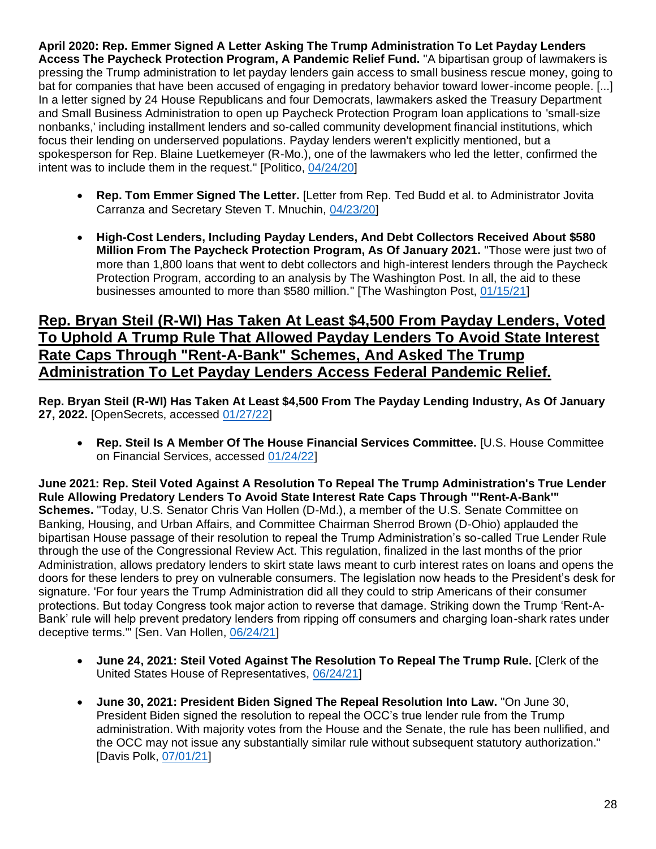**April 2020: Rep. Emmer Signed A Letter Asking The Trump Administration To Let Payday Lenders Access The Paycheck Protection Program, A Pandemic Relief Fund.** "A bipartisan group of lawmakers is pressing the Trump administration to let payday lenders gain access to small business rescue money, going to bat for companies that have been accused of engaging in predatory behavior toward lower-income people. [...] In a letter signed by 24 House Republicans and four Democrats, lawmakers asked the Treasury Department and Small Business Administration to open up Paycheck Protection Program loan applications to 'small-size nonbanks,' including installment lenders and so-called community development financial institutions, which focus their lending on underserved populations. Payday lenders weren't explicitly mentioned, but a spokesperson for Rep. Blaine Luetkemeyer (R-Mo.), one of the lawmakers who led the letter, confirmed the intent was to include them in the request." [Politico, [04/24/20\]](https://www.politico.com/news/2020/04/24/lawmakers-press-for-small-business-loans-for-payday-lenders-207636)

- **Rep. Tom Emmer Signed The Letter.** [Letter from Rep. Ted Budd et al. to Administrator Jovita Carranza and Secretary Steven T. Mnuchin, [04/23/20\]](https://www.sfnet.com/docs/default-source/tsl-tslexpress/budd-ppp-letter-final-header-revised-9-am-4-22-2020-fc-edits.pdf)
- **High-Cost Lenders, Including Payday Lenders, And Debt Collectors Received About \$580 Million From The Paycheck Protection Program, As Of January 2021.** "Those were just two of more than 1,800 loans that went to debt collectors and high-interest lenders through the Paycheck Protection Program, according to an analysis by The Washington Post. In all, the aid to these businesses amounted to more than \$580 million." [The Washington Post, [01/15/21\]](https://www.washingtonpost.com/business/2021/01/15/debt-collectors-payday-ppp/)

#### **Rep. Bryan Steil (R-WI) Has Taken At Least \$4,500 From Payday Lenders, Voted To Uphold A Trump Rule That Allowed Payday Lenders To Avoid State Interest Rate Caps Through "Rent-A-Bank" Schemes, And Asked The Trump Administration To Let Payday Lenders Access Federal Pandemic Relief.**

**Rep. Bryan Steil (R-WI) Has Taken At Least \$4,500 From The Payday Lending Industry, As Of January 27, 2022.** [OpenSecrets, accessed [01/27/22\]](https://www.opensecrets.org/industries/summary.php?ind=F1420&cycle=All&recipdetail=H&sortorder=A&mem=Y&page=4)

• **Rep. Steil Is A Member Of The House Financial Services Committee.** [U.S. House Committee on Financial Services, accessed [01/24/22\]](https://financialservices.house.gov/about/committee-membership.htm)

**June 2021: Rep. Steil Voted Against A Resolution To Repeal The Trump Administration's True Lender Rule Allowing Predatory Lenders To Avoid State Interest Rate Caps Through "'Rent-A-Bank'" Schemes.** "Today, U.S. Senator Chris Van Hollen (D-Md.), a member of the U.S. Senate Committee on Banking, Housing, and Urban Affairs, and Committee Chairman Sherrod Brown (D-Ohio) applauded the bipartisan House passage of their resolution to repeal the Trump Administration's so-called True Lender Rule through the use of the Congressional Review Act. This regulation, finalized in the last months of the prior Administration, allows predatory lenders to skirt state laws meant to curb interest rates on loans and opens the doors for these lenders to prey on vulnerable consumers. The legislation now heads to the President's desk for signature. 'For four years the Trump Administration did all they could to strip Americans of their consumer protections. But today Congress took major action to reverse that damage. Striking down the Trump 'Rent-A-Bank' rule will help prevent predatory lenders from ripping off consumers and charging loan-shark rates under deceptive terms.'" [Sen. Van Hollen, [06/24/21\]](https://www.vanhollen.senate.gov/news/press-releases/house-passes-van-hollen-brown-legislation-to-strike-down-trump-era-rent-a-bank-rule-sending-it-to-the-presidents-desk)

- **June 24, 2021: Steil Voted Against The Resolution To Repeal The Trump Rule.** [Clerk of the United States House of Representatives, [06/24/21\]](https://clerk.house.gov/Votes/2021181)
- **June 30, 2021: President Biden Signed The Repeal Resolution Into Law.** "On June 30, President Biden signed the resolution to repeal the OCC's true lender rule from the Trump administration. With majority votes from the House and the Senate, the rule has been nullified, and the OCC may not issue any substantially similar rule without subsequent statutory authorization." [Davis Polk, [07/01/21\]](https://www.davispolk.com/insights/client-update/occs-true-lender-rule-has-been-repealed#_ftn1)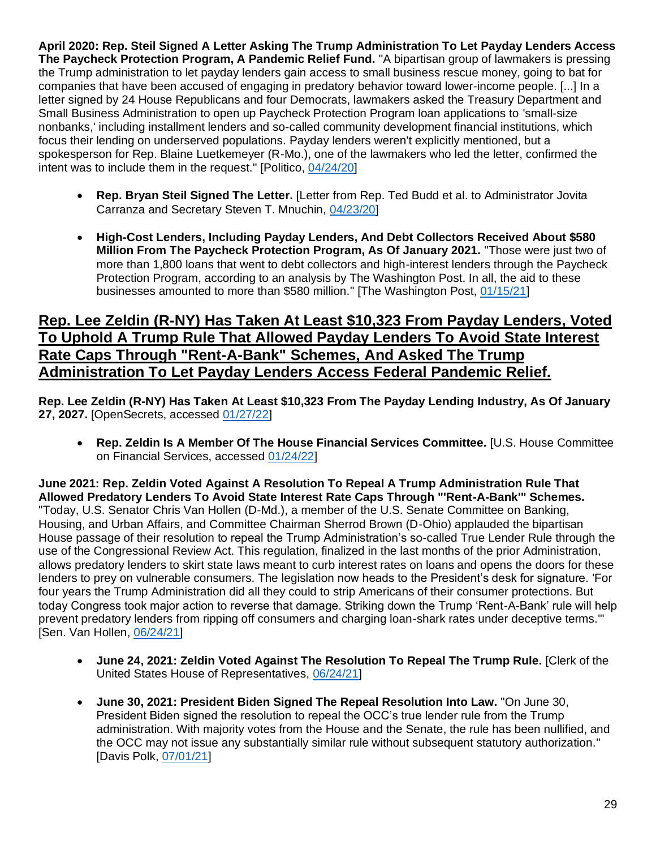**April 2020: Rep. Steil Signed A Letter Asking The Trump Administration To Let Payday Lenders Access The Paycheck Protection Program, A Pandemic Relief Fund.** "A bipartisan group of lawmakers is pressing the Trump administration to let payday lenders gain access to small business rescue money, going to bat for companies that have been accused of engaging in predatory behavior toward lower-income people. [...] In a letter signed by 24 House Republicans and four Democrats, lawmakers asked the Treasury Department and Small Business Administration to open up Paycheck Protection Program loan applications to 'small-size nonbanks,' including installment lenders and so-called community development financial institutions, which focus their lending on underserved populations. Payday lenders weren't explicitly mentioned, but a spokesperson for Rep. Blaine Luetkemeyer (R-Mo.), one of the lawmakers who led the letter, confirmed the intent was to include them in the request." [Politico, [04/24/20\]](https://www.politico.com/news/2020/04/24/lawmakers-press-for-small-business-loans-for-payday-lenders-207636)

- **Rep. Bryan Steil Signed The Letter.** [Letter from Rep. Ted Budd et al. to Administrator Jovita Carranza and Secretary Steven T. Mnuchin, [04/23/20\]](https://www.sfnet.com/docs/default-source/tsl-tslexpress/budd-ppp-letter-final-header-revised-9-am-4-22-2020-fc-edits.pdf)
- **High-Cost Lenders, Including Payday Lenders, And Debt Collectors Received About \$580 Million From The Paycheck Protection Program, As Of January 2021.** "Those were just two of more than 1,800 loans that went to debt collectors and high-interest lenders through the Paycheck Protection Program, according to an analysis by The Washington Post. In all, the aid to these businesses amounted to more than \$580 million." [The Washington Post, [01/15/21\]](https://www.washingtonpost.com/business/2021/01/15/debt-collectors-payday-ppp/)

#### **Rep. Lee Zeldin (R-NY) Has Taken At Least \$10,323 From Payday Lenders, Voted To Uphold A Trump Rule That Allowed Payday Lenders To Avoid State Interest Rate Caps Through "Rent-A-Bank" Schemes, And Asked The Trump Administration To Let Payday Lenders Access Federal Pandemic Relief.**

**Rep. Lee Zeldin (R-NY) Has Taken At Least \$10,323 From The Payday Lending Industry, As Of January 27, 2027.** [OpenSecrets, accessed [01/27/22\]](https://www.opensecrets.org/industries/summary.php?ind=F1420&cycle=All&recipdetail=H&sortorder=A&mem=Y&page=3)

• **Rep. Zeldin Is A Member Of The House Financial Services Committee.** [U.S. House Committee on Financial Services, accessed [01/24/22\]](https://financialservices.house.gov/about/committee-membership.htm)

**June 2021: Rep. Zeldin Voted Against A Resolution To Repeal A Trump Administration Rule That Allowed Predatory Lenders To Avoid State Interest Rate Caps Through "'Rent-A-Bank'" Schemes.**  "Today, U.S. Senator Chris Van Hollen (D-Md.), a member of the U.S. Senate Committee on Banking, Housing, and Urban Affairs, and Committee Chairman Sherrod Brown (D-Ohio) applauded the bipartisan House passage of their resolution to repeal the Trump Administration's so-called True Lender Rule through the use of the Congressional Review Act. This regulation, finalized in the last months of the prior Administration, allows predatory lenders to skirt state laws meant to curb interest rates on loans and opens the doors for these lenders to prey on vulnerable consumers. The legislation now heads to the President's desk for signature. 'For four years the Trump Administration did all they could to strip Americans of their consumer protections. But today Congress took major action to reverse that damage. Striking down the Trump 'Rent-A-Bank' rule will help prevent predatory lenders from ripping off consumers and charging loan-shark rates under deceptive terms.'" [Sen. Van Hollen, [06/24/21\]](https://www.vanhollen.senate.gov/news/press-releases/house-passes-van-hollen-brown-legislation-to-strike-down-trump-era-rent-a-bank-rule-sending-it-to-the-presidents-desk)

- **June 24, 2021: Zeldin Voted Against The Resolution To Repeal The Trump Rule.** [Clerk of the United States House of Representatives, [06/24/21\]](https://clerk.house.gov/Votes/2021181)
- **June 30, 2021: President Biden Signed The Repeal Resolution Into Law.** "On June 30, President Biden signed the resolution to repeal the OCC's true lender rule from the Trump administration. With majority votes from the House and the Senate, the rule has been nullified, and the OCC may not issue any substantially similar rule without subsequent statutory authorization." [Davis Polk, [07/01/21\]](https://www.davispolk.com/insights/client-update/occs-true-lender-rule-has-been-repealed#_ftn1)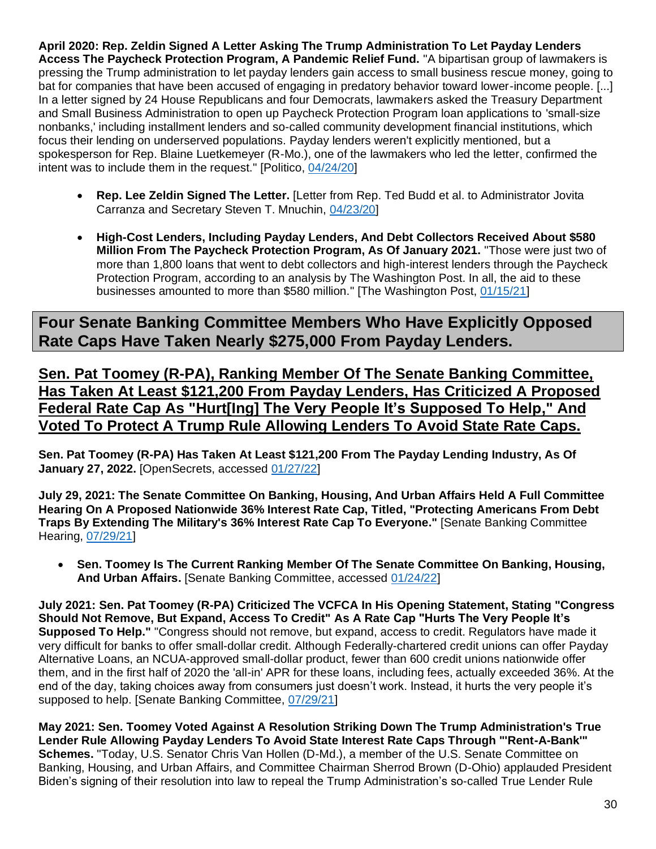**April 2020: Rep. Zeldin Signed A Letter Asking The Trump Administration To Let Payday Lenders Access The Paycheck Protection Program, A Pandemic Relief Fund.** "A bipartisan group of lawmakers is pressing the Trump administration to let payday lenders gain access to small business rescue money, going to bat for companies that have been accused of engaging in predatory behavior toward lower-income people. [...] In a letter signed by 24 House Republicans and four Democrats, lawmakers asked the Treasury Department and Small Business Administration to open up Paycheck Protection Program loan applications to 'small-size nonbanks,' including installment lenders and so-called community development financial institutions, which focus their lending on underserved populations. Payday lenders weren't explicitly mentioned, but a spokesperson for Rep. Blaine Luetkemeyer (R-Mo.), one of the lawmakers who led the letter, confirmed the intent was to include them in the request." [Politico, [04/24/20\]](https://www.politico.com/news/2020/04/24/lawmakers-press-for-small-business-loans-for-payday-lenders-207636)

- **Rep. Lee Zeldin Signed The Letter.** [Letter from Rep. Ted Budd et al. to Administrator Jovita Carranza and Secretary Steven T. Mnuchin, [04/23/20\]](https://www.sfnet.com/docs/default-source/tsl-tslexpress/budd-ppp-letter-final-header-revised-9-am-4-22-2020-fc-edits.pdf)
- **High-Cost Lenders, Including Payday Lenders, And Debt Collectors Received About \$580 Million From The Paycheck Protection Program, As Of January 2021.** "Those were just two of more than 1,800 loans that went to debt collectors and high-interest lenders through the Paycheck Protection Program, according to an analysis by The Washington Post. In all, the aid to these businesses amounted to more than \$580 million." [The Washington Post, [01/15/21\]](https://www.washingtonpost.com/business/2021/01/15/debt-collectors-payday-ppp/)

**Four Senate Banking Committee Members Who Have Explicitly Opposed Rate Caps Have Taken Nearly \$275,000 From Payday Lenders.**

**Sen. Pat Toomey (R-PA), Ranking Member Of The Senate Banking Committee, Has Taken At Least \$121,200 From Payday Lenders, Has Criticized A Proposed Federal Rate Cap As "Hurt[Ing] The Very People It's Supposed To Help," And Voted To Protect A Trump Rule Allowing Lenders To Avoid State Rate Caps.**

**Sen. Pat Toomey (R-PA) Has Taken At Least \$121,200 From The Payday Lending Industry, As Of January 27, 2022.** [OpenSecrets, accessed [01/27/22\]](https://www.opensecrets.org/industries/summary.php?ind=F1420&cycle=All&recipdetail=S&mem=Y)

**July 29, 2021: The Senate Committee On Banking, Housing, And Urban Affairs Held A Full Committee Hearing On A Proposed Nationwide 36% Interest Rate Cap, Titled, "Protecting Americans From Debt Traps By Extending The Military's 36% Interest Rate Cap To Everyone."** [Senate Banking Committee Hearing, [07/29/21\]](https://www.banking.senate.gov/hearings/protecting-americans-from-debt-traps-by-extending-the-militarys-36-interest-rate-cap-to-everyone)

• **Sen. Toomey Is The Current Ranking Member Of The Senate Committee On Banking, Housing, And Urban Affairs.** [Senate Banking Committee, accessed [01/24/22\]](https://www.banking.senate.gov/about/ranking-member)

**July 2021: Sen. Pat Toomey (R-PA) Criticized The VCFCA In His Opening Statement, Stating "Congress Should Not Remove, But Expand, Access To Credit" As A Rate Cap "Hurts The Very People It's Supposed To Help."** "Congress should not remove, but expand, access to credit. Regulators have made it very difficult for banks to offer small-dollar credit. Although Federally-chartered credit unions can offer Payday Alternative Loans, an NCUA-approved small-dollar product, fewer than 600 credit unions nationwide offer them, and in the first half of 2020 the 'all-in' APR for these loans, including fees, actually exceeded 36%. At the end of the day, taking choices away from consumers just doesn't work. Instead, it hurts the very people it's supposed to help. [Senate Banking Committee, [07/29/21\]](https://www.banking.senate.gov/imo/media/doc/Toomey%20Statement%207-29-21.pdf)

**May 2021: Sen. Toomey Voted Against A Resolution Striking Down The Trump Administration's True Lender Rule Allowing Payday Lenders To Avoid State Interest Rate Caps Through "'Rent-A-Bank'" Schemes.** "Today, U.S. Senator Chris Van Hollen (D-Md.), a member of the U.S. Senate Committee on Banking, Housing, and Urban Affairs, and Committee Chairman Sherrod Brown (D-Ohio) applauded President Biden's signing of their resolution into law to repeal the Trump Administration's so-called True Lender Rule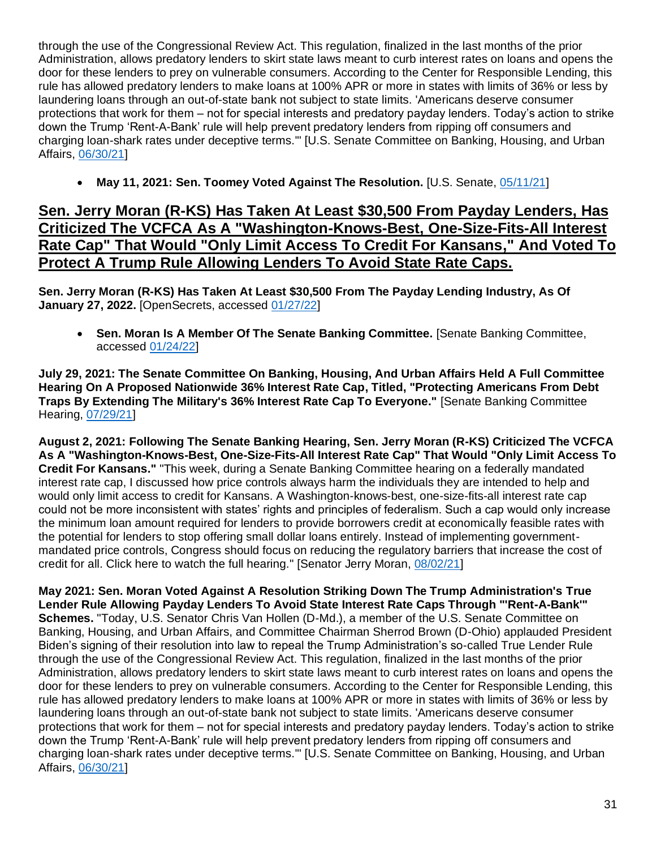through the use of the Congressional Review Act. This regulation, finalized in the last months of the prior Administration, allows predatory lenders to skirt state laws meant to curb interest rates on loans and opens the door for these lenders to prey on vulnerable consumers. According to the Center for Responsible Lending, this rule has allowed predatory lenders to make loans at 100% APR or more in states with limits of 36% or less by laundering loans through an out-of-state bank not subject to state limits. 'Americans deserve consumer protections that work for them – not for special interests and predatory payday lenders. Today's action to strike down the Trump 'Rent-A-Bank' rule will help prevent predatory lenders from ripping off consumers and charging loan-shark rates under deceptive terms.'" [U.S. Senate Committee on Banking, Housing, and Urban Affairs, [06/30/21\]](https://www.banking.senate.gov/newsroom/majority/president-signs-van-hollen-brown-legislation-to-strike-down-trump-era-rent-a-bank-rule)

• **May 11, 2021: Sen. Toomey Voted Against The Resolution.** [U.S. Senate, [05/11/21\]](https://www.senate.gov/legislative/LIS/roll_call_votes/vote1171/vote_117_1_00183.htm)

#### **Sen. Jerry Moran (R-KS) Has Taken At Least \$30,500 From Payday Lenders, Has Criticized The VCFCA As A "Washington-Knows-Best, One-Size-Fits-All Interest Rate Cap" That Would "Only Limit Access To Credit For Kansans," And Voted To Protect A Trump Rule Allowing Lenders To Avoid State Rate Caps.**

**Sen. Jerry Moran (R-KS) Has Taken At Least \$30,500 From The Payday Lending Industry, As Of January 27, 2022.** [OpenSecrets, accessed [01/27/22\]](https://www.opensecrets.org/industries/summary.php?ind=F1420&cycle=All&recipdetail=S&mem=Y)

• **Sen. Moran Is A Member Of The Senate Banking Committee.** [Senate Banking Committee, accessed [01/24/22\]](https://www.banking.senate.gov/about/membership)

**July 29, 2021: The Senate Committee On Banking, Housing, And Urban Affairs Held A Full Committee Hearing On A Proposed Nationwide 36% Interest Rate Cap, Titled, "Protecting Americans From Debt Traps By Extending The Military's 36% Interest Rate Cap To Everyone."** [Senate Banking Committee Hearing, [07/29/21\]](https://www.banking.senate.gov/hearings/protecting-americans-from-debt-traps-by-extending-the-militarys-36-interest-rate-cap-to-everyone)

**August 2, 2021: Following The Senate Banking Hearing, Sen. Jerry Moran (R-KS) Criticized The VCFCA As A "Washington-Knows-Best, One-Size-Fits-All Interest Rate Cap" That Would "Only Limit Access To Credit For Kansans."** "This week, during a Senate Banking Committee hearing on a federally mandated interest rate cap, I discussed how price controls always harm the individuals they are intended to help and would only limit access to credit for Kansans. A Washington-knows-best, one-size-fits-all interest rate cap could not be more inconsistent with states' rights and principles of federalism. Such a cap would only increase the minimum loan amount required for lenders to provide borrowers credit at economically feasible rates with the potential for lenders to stop offering small dollar loans entirely. Instead of implementing governmentmandated price controls, Congress should focus on reducing the regulatory barriers that increase the cost of credit for all. Click here to watch the full hearing." [Senator Jerry Moran, [08/02/21\]](https://www.moran.senate.gov/public/index.cfm/newsletter?ID=C1C24BFC-E34F-434B-9105-899989E1AD54)

**May 2021: Sen. Moran Voted Against A Resolution Striking Down The Trump Administration's True Lender Rule Allowing Payday Lenders To Avoid State Interest Rate Caps Through "'Rent-A-Bank'" Schemes.** "Today, U.S. Senator Chris Van Hollen (D-Md.), a member of the U.S. Senate Committee on Banking, Housing, and Urban Affairs, and Committee Chairman Sherrod Brown (D-Ohio) applauded President Biden's signing of their resolution into law to repeal the Trump Administration's so-called True Lender Rule through the use of the Congressional Review Act. This regulation, finalized in the last months of the prior Administration, allows predatory lenders to skirt state laws meant to curb interest rates on loans and opens the door for these lenders to prey on vulnerable consumers. According to the Center for Responsible Lending, this rule has allowed predatory lenders to make loans at 100% APR or more in states with limits of 36% or less by laundering loans through an out-of-state bank not subject to state limits. 'Americans deserve consumer protections that work for them – not for special interests and predatory payday lenders. Today's action to strike down the Trump 'Rent-A-Bank' rule will help prevent predatory lenders from ripping off consumers and charging loan-shark rates under deceptive terms.'" [U.S. Senate Committee on Banking, Housing, and Urban Affairs, [06/30/21\]](https://www.banking.senate.gov/newsroom/majority/president-signs-van-hollen-brown-legislation-to-strike-down-trump-era-rent-a-bank-rule)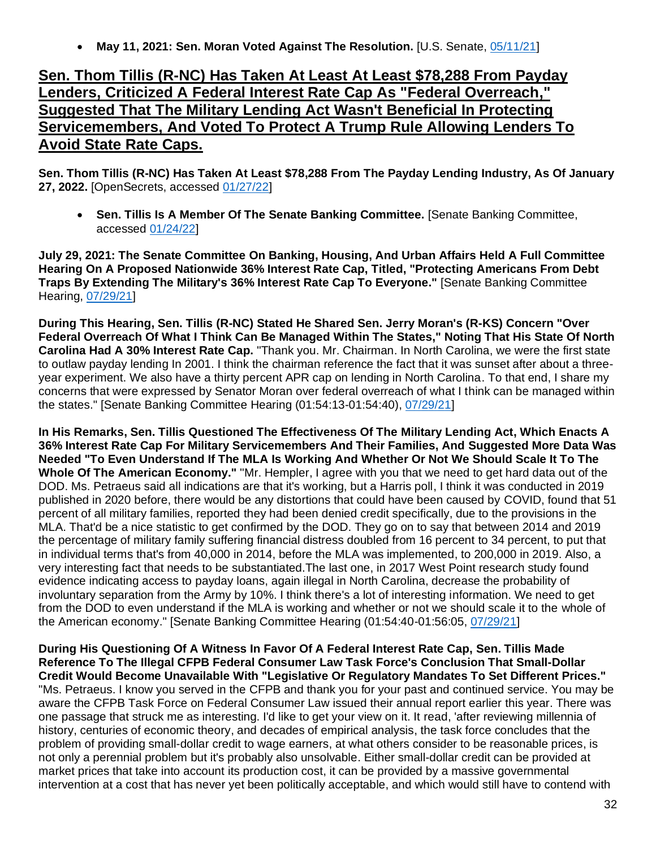• **May 11, 2021: Sen. Moran Voted Against The Resolution.** [U.S. Senate, [05/11/21\]](https://www.senate.gov/legislative/LIS/roll_call_votes/vote1171/vote_117_1_00183.htm)

#### **Sen. Thom Tillis (R-NC) Has Taken At Least At Least \$78,288 From Payday Lenders, Criticized A Federal Interest Rate Cap As "Federal Overreach," Suggested That The Military Lending Act Wasn't Beneficial In Protecting Servicemembers, And Voted To Protect A Trump Rule Allowing Lenders To Avoid State Rate Caps.**

**Sen. Thom Tillis (R-NC) Has Taken At Least \$78,288 From The Payday Lending Industry, As Of January 27, 2022.** [OpenSecrets, accessed [01/27/22\]](https://www.opensecrets.org/industries/summary.php?ind=F1420&cycle=All&recipdetail=S&mem=Y)

• **Sen. Tillis Is A Member Of The Senate Banking Committee.** [Senate Banking Committee, accessed [01/24/22\]](https://www.banking.senate.gov/about/membership)

**July 29, 2021: The Senate Committee On Banking, Housing, And Urban Affairs Held A Full Committee Hearing On A Proposed Nationwide 36% Interest Rate Cap, Titled, "Protecting Americans From Debt Traps By Extending The Military's 36% Interest Rate Cap To Everyone."** [Senate Banking Committee Hearing, [07/29/21\]](https://www.banking.senate.gov/hearings/protecting-americans-from-debt-traps-by-extending-the-militarys-36-interest-rate-cap-to-everyone)

**During This Hearing, Sen. Tillis (R-NC) Stated He Shared Sen. Jerry Moran's (R-KS) Concern "Over Federal Overreach Of What I Think Can Be Managed Within The States," Noting That His State Of North Carolina Had A 30% Interest Rate Cap.** "Thank you. Mr. Chairman. In North Carolina, we were the first state to outlaw payday lending In 2001. I think the chairman reference the fact that it was sunset after about a threeyear experiment. We also have a thirty percent APR cap on lending in North Carolina. To that end, I share my concerns that were expressed by Senator Moran over federal overreach of what I think can be managed within the states." [Senate Banking Committee Hearing (01:54:13-01:54:40), [07/29/21\]](https://www.banking.senate.gov/hearings/protecting-americans-from-debt-traps-by-extending-the-militarys-36-interest-rate-cap-to-everyone)

**In His Remarks, Sen. Tillis Questioned The Effectiveness Of The Military Lending Act, Which Enacts A 36% Interest Rate Cap For Military Servicemembers And Their Families, And Suggested More Data Was Needed "To Even Understand If The MLA Is Working And Whether Or Not We Should Scale It To The Whole Of The American Economy."** "Mr. Hempler, I agree with you that we need to get hard data out of the DOD. Ms. Petraeus said all indications are that it's working, but a Harris poll, I think it was conducted in 2019 published in 2020 before, there would be any distortions that could have been caused by COVID, found that 51 percent of all military families, reported they had been denied credit specifically, due to the provisions in the MLA. That'd be a nice statistic to get confirmed by the DOD. They go on to say that between 2014 and 2019 the percentage of military family suffering financial distress doubled from 16 percent to 34 percent, to put that in individual terms that's from 40,000 in 2014, before the MLA was implemented, to 200,000 in 2019. Also, a very interesting fact that needs to be substantiated.The last one, in 2017 West Point research study found evidence indicating access to payday loans, again illegal in North Carolina, decrease the probability of involuntary separation from the Army by 10%. I think there's a lot of interesting information. We need to get from the DOD to even understand if the MLA is working and whether or not we should scale it to the whole of the American economy." [Senate Banking Committee Hearing (01:54:40-01:56:05, [07/29/21\]](https://www.banking.senate.gov/hearings/protecting-americans-from-debt-traps-by-extending-the-militarys-36-interest-rate-cap-to-everyone)

**During His Questioning Of A Witness In Favor Of A Federal Interest Rate Cap, Sen. Tillis Made Reference To The Illegal CFPB Federal Consumer Law Task Force's Conclusion That Small-Dollar Credit Would Become Unavailable With "Legislative Or Regulatory Mandates To Set Different Prices."** "Ms. Petraeus. I know you served in the CFPB and thank you for your past and continued service. You may be aware the CFPB Task Force on Federal Consumer Law issued their annual report earlier this year. There was one passage that struck me as interesting. I'd like to get your view on it. It read, 'after reviewing millennia of history, centuries of economic theory, and decades of empirical analysis, the task force concludes that the problem of providing small-dollar credit to wage earners, at what others consider to be reasonable prices, is not only a perennial problem but it's probably also unsolvable. Either small-dollar credit can be provided at market prices that take into account its production cost, it can be provided by a massive governmental intervention at a cost that has never yet been politically acceptable, and which would still have to contend with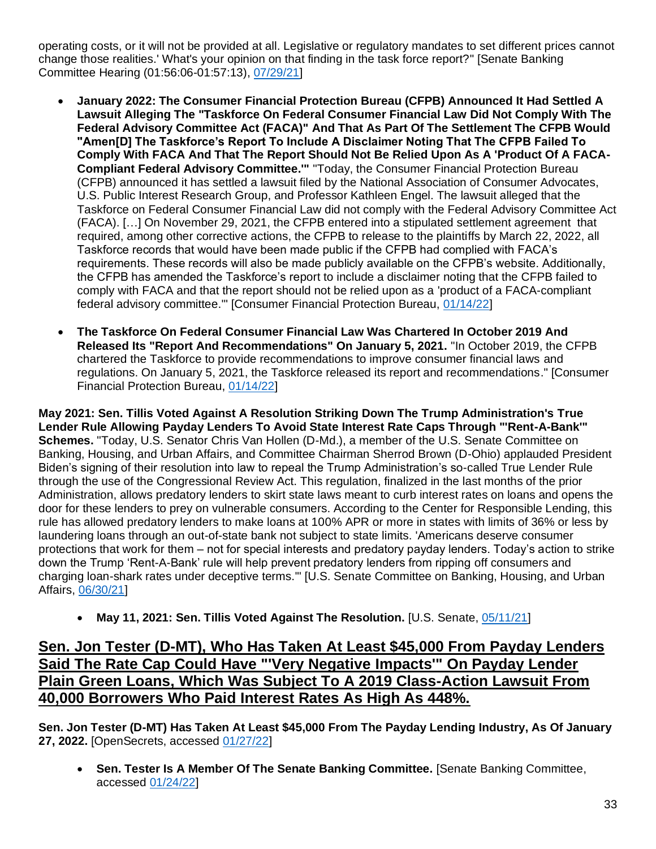operating costs, or it will not be provided at all. Legislative or regulatory mandates to set different prices cannot change those realities.' What's your opinion on that finding in the task force report?" [Senate Banking Committee Hearing (01:56:06-01:57:13), [07/29/21\]](https://www.banking.senate.gov/hearings/protecting-americans-from-debt-traps-by-extending-the-militarys-36-interest-rate-cap-to-everyone)

- **January 2022: The Consumer Financial Protection Bureau (CFPB) Announced It Had Settled A Lawsuit Alleging The "Taskforce On Federal Consumer Financial Law Did Not Comply With The Federal Advisory Committee Act (FACA)" And That As Part Of The Settlement The CFPB Would "Amen[D] The Taskforce's Report To Include A Disclaimer Noting That The CFPB Failed To Comply With FACA And That The Report Should Not Be Relied Upon As A 'Product Of A FACA-Compliant Federal Advisory Committee.'"** "Today, the Consumer Financial Protection Bureau (CFPB) announced it has settled a lawsuit filed by the National Association of Consumer Advocates, U.S. Public Interest Research Group, and Professor Kathleen Engel. The lawsuit alleged that the Taskforce on Federal Consumer Financial Law did not comply with the Federal Advisory Committee Act (FACA). […] On November 29, 2021, the CFPB entered into a stipulated settlement agreement that required, among other corrective actions, the CFPB to release to the plaintiffs by March 22, 2022, all Taskforce records that would have been made public if the CFPB had complied with FACA's requirements. These records will also be made publicly available on the CFPB's website. Additionally, the CFPB has amended the Taskforce's report to include a disclaimer noting that the CFPB failed to comply with FACA and that the report should not be relied upon as a 'product of a FACA-compliant federal advisory committee.'" [Consumer Financial Protection Bureau, [01/14/22\]](https://www.consumerfinance.gov/about-us/newsroom/cfpb-announces-settlement-regarding-the-2019-taskforce-on-federal-consumer-financial-law/)
- **The Taskforce On Federal Consumer Financial Law Was Chartered In October 2019 And Released Its "Report And Recommendations" On January 5, 2021.** "In October 2019, the CFPB chartered the Taskforce to provide recommendations to improve consumer financial laws and regulations. On January 5, 2021, the Taskforce released its report and recommendations." [Consumer Financial Protection Bureau, [01/14/22\]](https://www.consumerfinance.gov/about-us/newsroom/cfpb-announces-settlement-regarding-the-2019-taskforce-on-federal-consumer-financial-law/)

**May 2021: Sen. Tillis Voted Against A Resolution Striking Down The Trump Administration's True Lender Rule Allowing Payday Lenders To Avoid State Interest Rate Caps Through "'Rent-A-Bank'" Schemes.** "Today, U.S. Senator Chris Van Hollen (D-Md.), a member of the U.S. Senate Committee on Banking, Housing, and Urban Affairs, and Committee Chairman Sherrod Brown (D-Ohio) applauded President Biden's signing of their resolution into law to repeal the Trump Administration's so-called True Lender Rule through the use of the Congressional Review Act. This regulation, finalized in the last months of the prior Administration, allows predatory lenders to skirt state laws meant to curb interest rates on loans and opens the door for these lenders to prey on vulnerable consumers. According to the Center for Responsible Lending, this rule has allowed predatory lenders to make loans at 100% APR or more in states with limits of 36% or less by laundering loans through an out-of-state bank not subject to state limits. 'Americans deserve consumer protections that work for them – not for special interests and predatory payday lenders. Today's action to strike down the Trump 'Rent-A-Bank' rule will help prevent predatory lenders from ripping off consumers and charging loan-shark rates under deceptive terms.'" [U.S. Senate Committee on Banking, Housing, and Urban Affairs, [06/30/21\]](https://www.banking.senate.gov/newsroom/majority/president-signs-van-hollen-brown-legislation-to-strike-down-trump-era-rent-a-bank-rule)

• **May 11, 2021: Sen. Tillis Voted Against The Resolution.** [U.S. Senate, [05/11/21\]](https://www.senate.gov/legislative/LIS/roll_call_votes/vote1171/vote_117_1_00183.htm)

#### **Sen. Jon Tester (D-MT), Who Has Taken At Least \$45,000 From Payday Lenders Said The Rate Cap Could Have "'Very Negative Impacts'" On Payday Lender Plain Green Loans, Which Was Subject To A 2019 Class-Action Lawsuit From 40,000 Borrowers Who Paid Interest Rates As High As 448%.**

**Sen. Jon Tester (D-MT) Has Taken At Least \$45,000 From The Payday Lending Industry, As Of January 27, 2022.** [OpenSecrets, accessed [01/27/22\]](https://www.opensecrets.org/industries/summary.php?ind=F1420&cycle=All&recipdetail=S&mem=Y)

• **Sen. Tester Is A Member Of The Senate Banking Committee.** [Senate Banking Committee, accessed [01/24/22\]](https://www.banking.senate.gov/about/membership)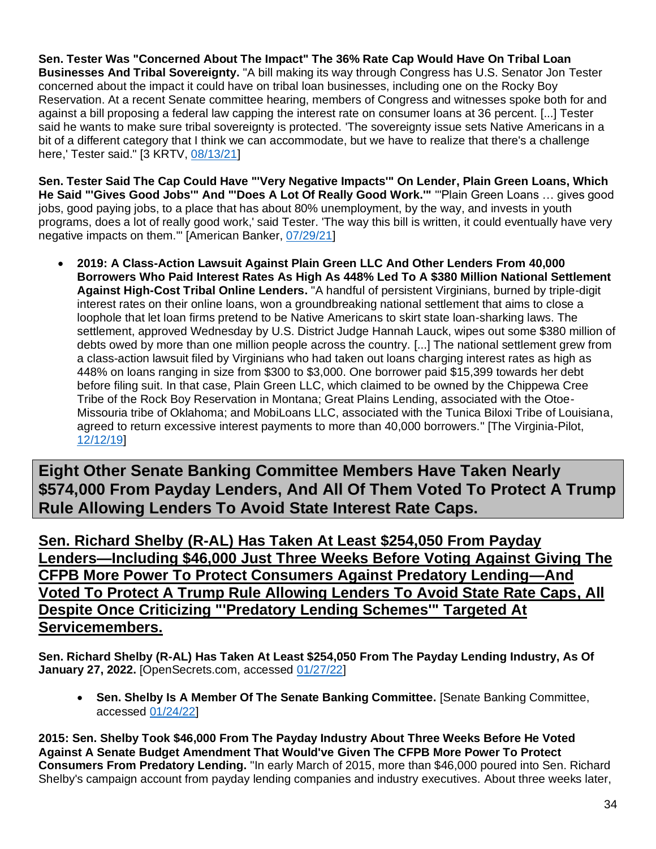**Sen. Tester Was "Concerned About The Impact" The 36% Rate Cap Would Have On Tribal Loan Businesses And Tribal Sovereignty.** "A bill making its way through Congress has U.S. Senator Jon Tester concerned about the impact it could have on tribal loan businesses, including one on the Rocky Boy Reservation. At a recent Senate committee hearing, members of Congress and witnesses spoke both for and against a bill proposing a federal law capping the interest rate on consumer loans at 36 percent. [...] Tester said he wants to make sure tribal sovereignty is protected. 'The sovereignty issue sets Native Americans in a bit of a different category that I think we can accommodate, but we have to realize that there's a challenge here,' Tester said." [3 KRTV, [08/13/21\]](https://www.krtv.com/news/senators-debate-impact-of-proposed-bill-on-tribal-loan-businesses)

**Sen. Tester Said The Cap Could Have "'Very Negative Impacts'" On Lender, Plain Green Loans, Which He Said "'Gives Good Jobs'" And "'Does A Lot Of Really Good Work.'"** "'Plain Green Loans … gives good jobs, good paying jobs, to a place that has about 80% unemployment, by the way, and invests in youth programs, does a lot of really good work,' said Tester. 'The way this bill is written, it could eventually have very negative impacts on them.'" [American Banker, [07/29/21\]](https://www.americanbanker.com/news/proposed-36-apr-cap-is-tough-sell-to-gop-banks)

• **2019: A Class-Action Lawsuit Against Plain Green LLC And Other Lenders From 40,000 Borrowers Who Paid Interest Rates As High As 448% Led To A \$380 Million National Settlement Against High-Cost Tribal Online Lenders.** "A handful of persistent Virginians, burned by triple-digit interest rates on their online loans, won a groundbreaking national settlement that aims to close a loophole that let loan firms pretend to be Native Americans to skirt state loan-sharking laws. The settlement, approved Wednesday by U.S. District Judge Hannah Lauck, wipes out some \$380 million of debts owed by more than one million people across the country. [...] The national settlement grew from a class-action lawsuit filed by Virginians who had taken out loans charging interest rates as high as 448% on loans ranging in size from \$300 to \$3,000. One borrower paid \$15,399 towards her debt before filing suit. In that case, Plain Green LLC, which claimed to be owned by the Chippewa Cree Tribe of the Rock Boy Reservation in Montana; Great Plains Lending, associated with the Otoe-Missouria tribe of Oklahoma; and MobiLoans LLC, associated with the Tunica Biloxi Tribe of Louisiana, agreed to return excessive interest payments to more than 40,000 borrowers." [The Virginia-Pilot, [12/12/19\]](https://www.pilotonline.com/business/consumer/dp-nw-online-lender-settlement-20191212-n7khtxn7tbbsbauzirehwmpgly-story.html)

**Eight Other Senate Banking Committee Members Have Taken Nearly \$574,000 From Payday Lenders, And All Of Them Voted To Protect A Trump Rule Allowing Lenders To Avoid State Interest Rate Caps.**

**Sen. Richard Shelby (R-AL) Has Taken At Least \$254,050 From Payday Lenders—Including \$46,000 Just Three Weeks Before Voting Against Giving The CFPB More Power To Protect Consumers Against Predatory Lending—And Voted To Protect A Trump Rule Allowing Lenders To Avoid State Rate Caps, All Despite Once Criticizing "'Predatory Lending Schemes'" Targeted At Servicemembers.**

**Sen. Richard Shelby (R-AL) Has Taken At Least \$254,050 From The Payday Lending Industry, As Of January 27, 2022.** [OpenSecrets.com, accessed [01/27/22\]](https://www.opensecrets.org/industries/summary.php?ind=F1420&cycle=All&recipdetail=S&mem=Y)

• **Sen. Shelby Is A Member Of The Senate Banking Committee.** [Senate Banking Committee, accessed [01/24/22\]](https://www.banking.senate.gov/about/membership)

**2015: Sen. Shelby Took \$46,000 From The Payday Industry About Three Weeks Before He Voted Against A Senate Budget Amendment That Would've Given The CFPB More Power To Protect Consumers From Predatory Lending.** "In early March of 2015, more than \$46,000 poured into Sen. Richard Shelby's campaign account from payday lending companies and industry executives. About three weeks later,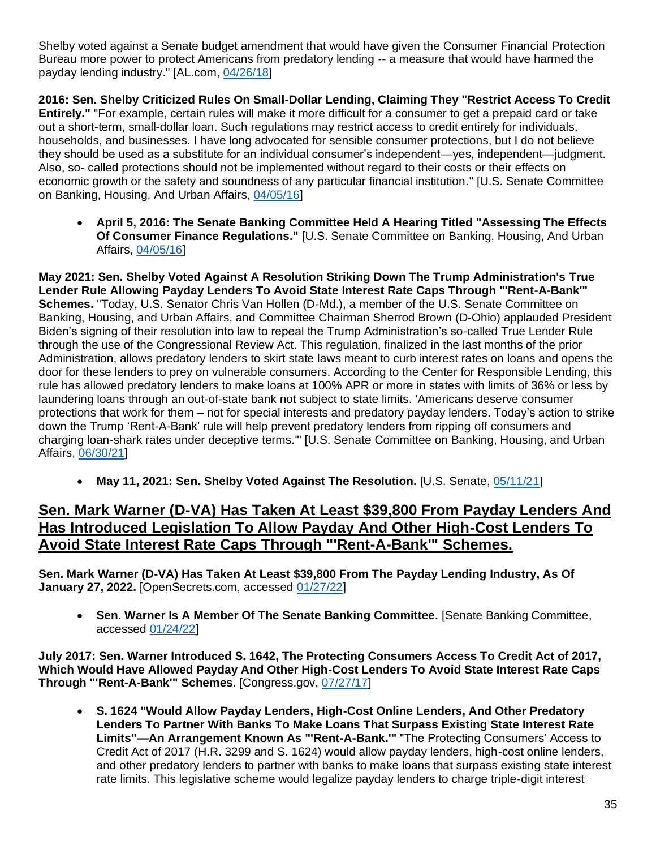Shelby voted against a Senate budget amendment that would have given the Consumer Financial Protection Bureau more power to protect Americans from predatory lending -- a measure that would have harmed the payday lending industry." [AL.com, [04/26/18\]](https://www.al.com/news/2018/04/no_coincidence_that_shelby_sid.html)

**2016: Sen. Shelby Criticized Rules On Small-Dollar Lending, Claiming They "Restrict Access To Credit Entirely."** "For example, certain rules will make it more difficult for a consumer to get a prepaid card or take out a short-term, small-dollar loan. Such regulations may restrict access to credit entirely for individuals, households, and businesses. I have long advocated for sensible consumer protections, but I do not believe they should be used as a substitute for an individual consumer's independent—yes, independent—judgment. Also, so- called protections should not be implemented without regard to their costs or their effects on economic growth or the safety and soundness of any particular financial institution." [U.S. Senate Committee on Banking, Housing, And Urban Affairs, [04/05/16\]](https://www.govinfo.gov/content/pkg/CHRG-114shrg20947/pdf/CHRG-114shrg20947.pdf)

• **April 5, 2016: The Senate Banking Committee Held A Hearing Titled "Assessing The Effects Of Consumer Finance Regulations."** [U.S. Senate Committee on Banking, Housing, And Urban Affairs, [04/05/16\]](https://www.govinfo.gov/content/pkg/CHRG-114shrg20947/pdf/CHRG-114shrg20947.pdf)

**May 2021: Sen. Shelby Voted Against A Resolution Striking Down The Trump Administration's True Lender Rule Allowing Payday Lenders To Avoid State Interest Rate Caps Through "'Rent-A-Bank'" Schemes.** "Today, U.S. Senator Chris Van Hollen (D-Md.), a member of the U.S. Senate Committee on Banking, Housing, and Urban Affairs, and Committee Chairman Sherrod Brown (D-Ohio) applauded President Biden's signing of their resolution into law to repeal the Trump Administration's so-called True Lender Rule through the use of the Congressional Review Act. This regulation, finalized in the last months of the prior Administration, allows predatory lenders to skirt state laws meant to curb interest rates on loans and opens the door for these lenders to prey on vulnerable consumers. According to the Center for Responsible Lending, this rule has allowed predatory lenders to make loans at 100% APR or more in states with limits of 36% or less by laundering loans through an out-of-state bank not subject to state limits. 'Americans deserve consumer protections that work for them – not for special interests and predatory payday lenders. Today's action to strike down the Trump 'Rent-A-Bank' rule will help prevent predatory lenders from ripping off consumers and charging loan-shark rates under deceptive terms.'" [U.S. Senate Committee on Banking, Housing, and Urban Affairs, [06/30/21\]](https://www.banking.senate.gov/newsroom/majority/president-signs-van-hollen-brown-legislation-to-strike-down-trump-era-rent-a-bank-rule)

• **May 11, 2021: Sen. Shelby Voted Against The Resolution.** [U.S. Senate, [05/11/21\]](https://www.senate.gov/legislative/LIS/roll_call_votes/vote1171/vote_117_1_00183.htm)

#### **Sen. Mark Warner (D-VA) Has Taken At Least \$39,800 From Payday Lenders And Has Introduced Legislation To Allow Payday And Other High-Cost Lenders To Avoid State Interest Rate Caps Through "'Rent-A-Bank'" Schemes.**

**Sen. Mark Warner (D-VA) Has Taken At Least \$39,800 From The Payday Lending Industry, As Of January 27, 2022.** [OpenSecrets.com, accessed [01/27/22\]](https://www.opensecrets.org/industries/summary.php?ind=F1420&cycle=All&recipdetail=S&sortorder=A&mem=Y&page=1)

• **Sen. Warner Is A Member Of The Senate Banking Committee.** [Senate Banking Committee, accessed [01/24/22\]](https://www.banking.senate.gov/about/membership)

**July 2017: Sen. Warner Introduced S. 1642, The Protecting Consumers Access To Credit Act of 2017, Which Would Have Allowed Payday And Other High-Cost Lenders To Avoid State Interest Rate Caps Through "'Rent-A-Bank'" Schemes.** [Congress.gov, [07/27/17\]](https://www.congress.gov/bill/115th-congress/senate-bill/1642/cosponsors?r=24&s=1)

• **S. 1624 "Would Allow Payday Lenders, High-Cost Online Lenders, And Other Predatory Lenders To Partner With Banks To Make Loans That Surpass Existing State Interest Rate Limits"—An Arrangement Known As "'Rent-A-Bank.'"** "The Protecting Consumers' Access to Credit Act of 2017 (H.R. 3299 and S. 1624) would allow payday lenders, high-cost online lenders, and other predatory lenders to partner with banks to make loans that surpass existing state interest rate limits. This legislative scheme would legalize payday lenders to charge triple-digit interest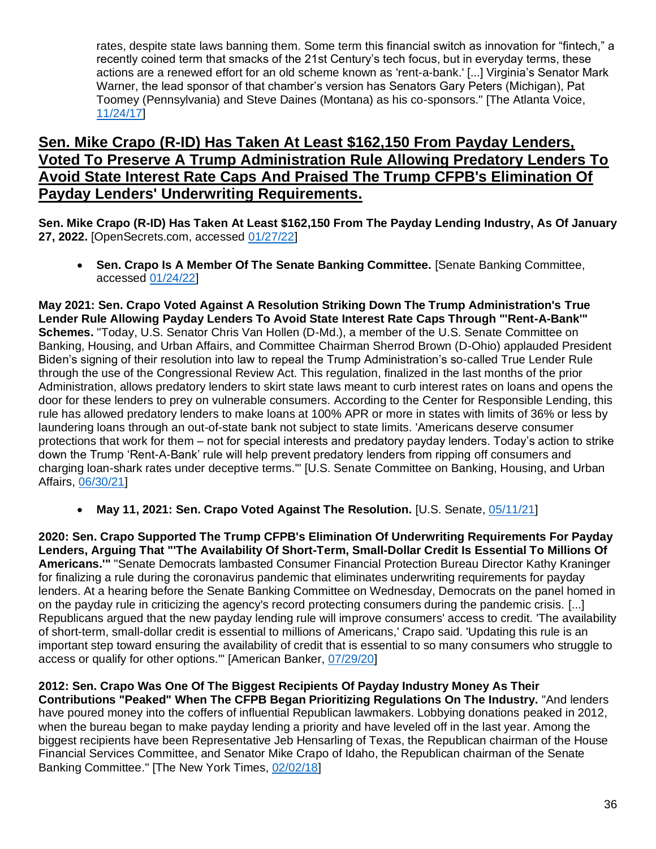rates, despite state laws banning them. Some term this financial switch as innovation for "fintech," a recently coined term that smacks of the 21st Century's tech focus, but in everyday terms, these actions are a renewed effort for an old scheme known as 'rent-a-bank.' [...] Virginia's Senator Mark Warner, the lead sponsor of that chamber's version has Senators Gary Peters (Michigan), Pat Toomey (Pennsylvania) and Steve Daines (Montana) as his co-sponsors." [The Atlanta Voice, [11/24/17\]](https://theatlantavoice.com/payday-lenders-want-to-charge-triple-digit-interest-on-your-loans-and-congress-wants-to-help-them/)

#### **Sen. Mike Crapo (R-ID) Has Taken At Least \$162,150 From Payday Lenders, Voted To Preserve A Trump Administration Rule Allowing Predatory Lenders To Avoid State Interest Rate Caps And Praised The Trump CFPB's Elimination Of Payday Lenders' Underwriting Requirements.**

**Sen. Mike Crapo (R-ID) Has Taken At Least \$162,150 From The Payday Lending Industry, As Of January 27, 2022.** [OpenSecrets.com, accessed [01/27/22\]](https://www.opensecrets.org/industries/summary.php?ind=F1420&cycle=All&recipdetail=S&mem=Y)

• **Sen. Crapo Is A Member Of The Senate Banking Committee.** [Senate Banking Committee, accessed [01/24/22\]](https://www.banking.senate.gov/about/membership)

**May 2021: Sen. Crapo Voted Against A Resolution Striking Down The Trump Administration's True Lender Rule Allowing Payday Lenders To Avoid State Interest Rate Caps Through "'Rent-A-Bank'" Schemes.** "Today, U.S. Senator Chris Van Hollen (D-Md.), a member of the U.S. Senate Committee on Banking, Housing, and Urban Affairs, and Committee Chairman Sherrod Brown (D-Ohio) applauded President Biden's signing of their resolution into law to repeal the Trump Administration's so-called True Lender Rule through the use of the Congressional Review Act. This regulation, finalized in the last months of the prior Administration, allows predatory lenders to skirt state laws meant to curb interest rates on loans and opens the door for these lenders to prey on vulnerable consumers. According to the Center for Responsible Lending, this rule has allowed predatory lenders to make loans at 100% APR or more in states with limits of 36% or less by laundering loans through an out-of-state bank not subject to state limits. 'Americans deserve consumer protections that work for them – not for special interests and predatory payday lenders. Today's action to strike down the Trump 'Rent-A-Bank' rule will help prevent predatory lenders from ripping off consumers and charging loan-shark rates under deceptive terms.'" [U.S. Senate Committee on Banking, Housing, and Urban Affairs, [06/30/21\]](https://www.banking.senate.gov/newsroom/majority/president-signs-van-hollen-brown-legislation-to-strike-down-trump-era-rent-a-bank-rule)

• **May 11, 2021: Sen. Crapo Voted Against The Resolution.** [U.S. Senate, [05/11/21\]](https://www.senate.gov/legislative/LIS/roll_call_votes/vote1171/vote_117_1_00183.htm)

**2020: Sen. Crapo Supported The Trump CFPB's Elimination Of Underwriting Requirements For Payday Lenders, Arguing That "'The Availability Of Short-Term, Small-Dollar Credit Is Essential To Millions Of Americans.'"** "Senate Democrats lambasted Consumer Financial Protection Bureau Director Kathy Kraninger for finalizing a rule during the coronavirus pandemic that eliminates underwriting requirements for payday lenders. At a hearing before the Senate Banking Committee on Wednesday, Democrats on the panel homed in on the payday rule in criticizing the agency's record protecting consumers during the pandemic crisis. [...] Republicans argued that the new payday lending rule will improve consumers' access to credit. 'The availability of short-term, small-dollar credit is essential to millions of Americans,' Crapo said. 'Updating this rule is an important step toward ensuring the availability of credit that is essential to so many consumers who struggle to access or qualify for other options.'" [American Banker, [07/29/20\]](https://www.americanbanker.com/news/cfpbs-kraninger-faces-democratic-firing-squad-over-payday-rule)

#### **2012: Sen. Crapo Was One Of The Biggest Recipients Of Payday Industry Money As Their**

**Contributions "Peaked" When The CFPB Began Prioritizing Regulations On The Industry.** "And lenders have poured money into the coffers of influential Republican lawmakers. Lobbying donations peaked in 2012, when the bureau began to make payday lending a priority and have leveled off in the last year. Among the biggest recipients have been Representative Jeb Hensarling of Texas, the Republican chairman of the House Financial Services Committee, and Senator Mike Crapo of Idaho, the Republican chairman of the Senate Banking Committee." [The New York Times, [02/02/18\]](https://www.nytimes.com/2018/02/02/us/politics/payday-lenders-lobbying-regulations.html)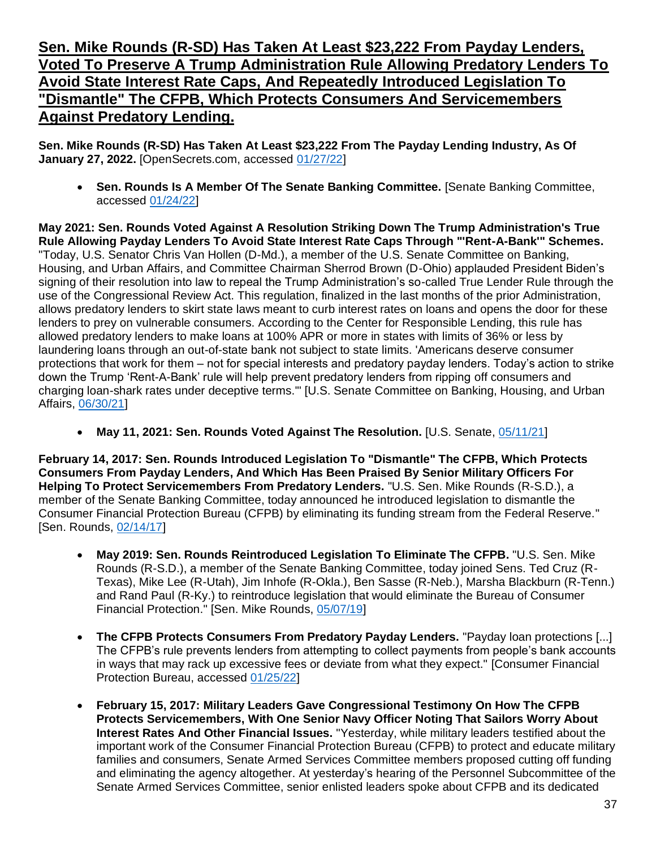#### **Sen. Mike Rounds (R-SD) Has Taken At Least \$23,222 From Payday Lenders, Voted To Preserve A Trump Administration Rule Allowing Predatory Lenders To Avoid State Interest Rate Caps, And Repeatedly Introduced Legislation To "Dismantle" The CFPB, Which Protects Consumers And Servicemembers Against Predatory Lending.**

**Sen. Mike Rounds (R-SD) Has Taken At Least \$23,222 From The Payday Lending Industry, As Of January 27, 2022.** [OpenSecrets.com, accessed [01/27/22\]](https://www.opensecrets.org/industries/summary.php?ind=F1420&cycle=All&recipdetail=S&mem=Y)

• **Sen. Rounds Is A Member Of The Senate Banking Committee.** [Senate Banking Committee, accessed [01/24/22\]](https://www.banking.senate.gov/about/membership)

**May 2021: Sen. Rounds Voted Against A Resolution Striking Down The Trump Administration's True Rule Allowing Payday Lenders To Avoid State Interest Rate Caps Through "'Rent-A-Bank'" Schemes.**  "Today, U.S. Senator Chris Van Hollen (D-Md.), a member of the U.S. Senate Committee on Banking, Housing, and Urban Affairs, and Committee Chairman Sherrod Brown (D-Ohio) applauded President Biden's signing of their resolution into law to repeal the Trump Administration's so-called True Lender Rule through the use of the Congressional Review Act. This regulation, finalized in the last months of the prior Administration, allows predatory lenders to skirt state laws meant to curb interest rates on loans and opens the door for these lenders to prey on vulnerable consumers. According to the Center for Responsible Lending, this rule has allowed predatory lenders to make loans at 100% APR or more in states with limits of 36% or less by laundering loans through an out-of-state bank not subject to state limits. 'Americans deserve consumer protections that work for them – not for special interests and predatory payday lenders. Today's action to strike down the Trump 'Rent-A-Bank' rule will help prevent predatory lenders from ripping off consumers and charging loan-shark rates under deceptive terms.'" [U.S. Senate Committee on Banking, Housing, and Urban Affairs, [06/30/21\]](https://www.banking.senate.gov/newsroom/majority/president-signs-van-hollen-brown-legislation-to-strike-down-trump-era-rent-a-bank-rule)

• **May 11, 2021: Sen. Rounds Voted Against The Resolution.** [U.S. Senate, [05/11/21\]](https://www.senate.gov/legislative/LIS/roll_call_votes/vote1171/vote_117_1_00183.htm)

**February 14, 2017: Sen. Rounds Introduced Legislation To "Dismantle" The CFPB, Which Protects Consumers From Payday Lenders, And Which Has Been Praised By Senior Military Officers For Helping To Protect Servicemembers From Predatory Lenders.** "U.S. Sen. Mike Rounds (R-S.D.), a member of the Senate Banking Committee, today announced he introduced legislation to dismantle the Consumer Financial Protection Bureau (CFPB) by eliminating its funding stream from the Federal Reserve." [Sen. Rounds, [02/14/17\]](https://www.rounds.senate.gov/newsroom/press-releases/rounds-introduces-legislation-to-dismantle-cfpb)

- **May 2019: Sen. Rounds Reintroduced Legislation To Eliminate The CFPB.** "U.S. Sen. Mike Rounds (R-S.D.), a member of the Senate Banking Committee, today joined Sens. Ted Cruz (R-Texas), Mike Lee (R-Utah), Jim Inhofe (R-Okla.), Ben Sasse (R-Neb.), Marsha Blackburn (R-Tenn.) and Rand Paul (R-Ky.) to reintroduce legislation that would eliminate the Bureau of Consumer Financial Protection." [Sen. Mike Rounds, [05/07/19\]](https://www.rounds.senate.gov/newsroom/press-releases/rounds-colleagues-reintroduce-bill-to-eliminate-consumer-financial-protection-bureau)
- **The CFPB Protects Consumers From Predatory Payday Lenders.** "Payday loan protections [...] The CFPB's rule prevents lenders from attempting to collect payments from people's bank accounts in ways that may rack up excessive fees or deviate from what they expect." [Consumer Financial Protection Bureau, accessed [01/25/22\]](https://www.consumerfinance.gov/payday-rule/)
- **February 15, 2017: Military Leaders Gave Congressional Testimony On How The CFPB Protects Servicemembers, With One Senior Navy Officer Noting That Sailors Worry About Interest Rates And Other Financial Issues.** "Yesterday, while military leaders testified about the important work of the Consumer Financial Protection Bureau (CFPB) to protect and educate military families and consumers, Senate Armed Services Committee members proposed cutting off funding and eliminating the agency altogether. At yesterday's hearing of the Personnel Subcommittee of the Senate Armed Services Committee, senior enlisted leaders spoke about CFPB and its dedicated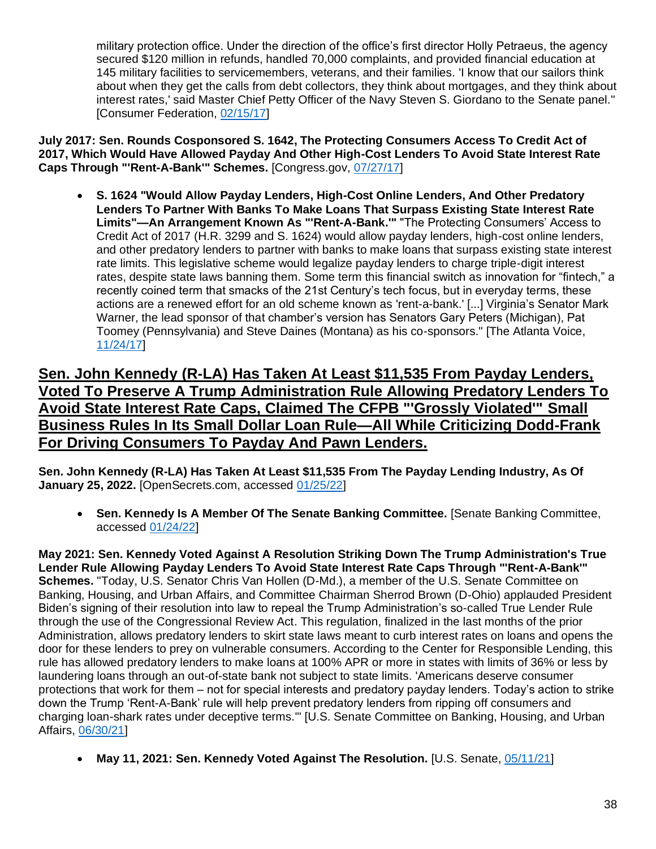military protection office. Under the direction of the office's first director Holly Petraeus, the agency secured \$120 million in refunds, handled 70,000 complaints, and provided financial education at 145 military facilities to servicemembers, veterans, and their families. 'I know that our sailors think about when they get the calls from debt collectors, they think about mortgages, and they think about interest rates,' said Master Chief Petty Officer of the Navy Steven S. Giordano to the Senate panel." [Consumer Federation, [02/15/17\]](https://consumerfed.org/press_release/politicians-seek-elimination-financial-watchdog-lauded-military-leaders/)

**July 2017: Sen. Rounds Cosponsored S. 1642, The Protecting Consumers Access To Credit Act of 2017, Which Would Have Allowed Payday And Other High-Cost Lenders To Avoid State Interest Rate Caps Through "'Rent-A-Bank'" Schemes.** [Congress.gov, [07/27/17\]](https://www.congress.gov/bill/115th-congress/senate-bill/1642/cosponsors?r=24&s=1)

• **S. 1624 "Would Allow Payday Lenders, High-Cost Online Lenders, And Other Predatory Lenders To Partner With Banks To Make Loans That Surpass Existing State Interest Rate Limits"—An Arrangement Known As "'Rent-A-Bank.'"** "The Protecting Consumers' Access to Credit Act of 2017 (H.R. 3299 and S. 1624) would allow payday lenders, high-cost online lenders, and other predatory lenders to partner with banks to make loans that surpass existing state interest rate limits. This legislative scheme would legalize payday lenders to charge triple-digit interest rates, despite state laws banning them. Some term this financial switch as innovation for "fintech," a recently coined term that smacks of the 21st Century's tech focus, but in everyday terms, these actions are a renewed effort for an old scheme known as 'rent-a-bank.' [...] Virginia's Senator Mark Warner, the lead sponsor of that chamber's version has Senators Gary Peters (Michigan), Pat Toomey (Pennsylvania) and Steve Daines (Montana) as his co-sponsors." [The Atlanta Voice, [11/24/17\]](https://theatlantavoice.com/payday-lenders-want-to-charge-triple-digit-interest-on-your-loans-and-congress-wants-to-help-them/)

**Sen. John Kennedy (R-LA) Has Taken At Least \$11,535 From Payday Lenders, Voted To Preserve A Trump Administration Rule Allowing Predatory Lenders To Avoid State Interest Rate Caps, Claimed The CFPB "'Grossly Violated'" Small Business Rules In Its Small Dollar Loan Rule—All While Criticizing Dodd-Frank For Driving Consumers To Payday And Pawn Lenders.**

**Sen. John Kennedy (R-LA) Has Taken At Least \$11,535 From The Payday Lending Industry, As Of January 25, 2022.** [OpenSecrets.com, accessed [01/25/22\]](https://www.opensecrets.org/industries/summary.php?ind=F1420&cycle=All&recipdetail=S&mem=Y)

• **Sen. Kennedy Is A Member Of The Senate Banking Committee.** [Senate Banking Committee, accessed [01/24/22\]](https://www.banking.senate.gov/about/membership)

**May 2021: Sen. Kennedy Voted Against A Resolution Striking Down The Trump Administration's True Lender Rule Allowing Payday Lenders To Avoid State Interest Rate Caps Through "'Rent-A-Bank'" Schemes.** "Today, U.S. Senator Chris Van Hollen (D-Md.), a member of the U.S. Senate Committee on Banking, Housing, and Urban Affairs, and Committee Chairman Sherrod Brown (D-Ohio) applauded President Biden's signing of their resolution into law to repeal the Trump Administration's so-called True Lender Rule through the use of the Congressional Review Act. This regulation, finalized in the last months of the prior Administration, allows predatory lenders to skirt state laws meant to curb interest rates on loans and opens the door for these lenders to prey on vulnerable consumers. According to the Center for Responsible Lending, this rule has allowed predatory lenders to make loans at 100% APR or more in states with limits of 36% or less by laundering loans through an out-of-state bank not subject to state limits. 'Americans deserve consumer protections that work for them – not for special interests and predatory payday lenders. Today's action to strike down the Trump 'Rent-A-Bank' rule will help prevent predatory lenders from ripping off consumers and charging loan-shark rates under deceptive terms.'" [U.S. Senate Committee on Banking, Housing, and Urban Affairs, [06/30/21\]](https://www.banking.senate.gov/newsroom/majority/president-signs-van-hollen-brown-legislation-to-strike-down-trump-era-rent-a-bank-rule)

• **May 11, 2021: Sen. Kennedy Voted Against The Resolution.** [U.S. Senate, [05/11/21\]](https://www.senate.gov/legislative/LIS/roll_call_votes/vote1171/vote_117_1_00183.htm)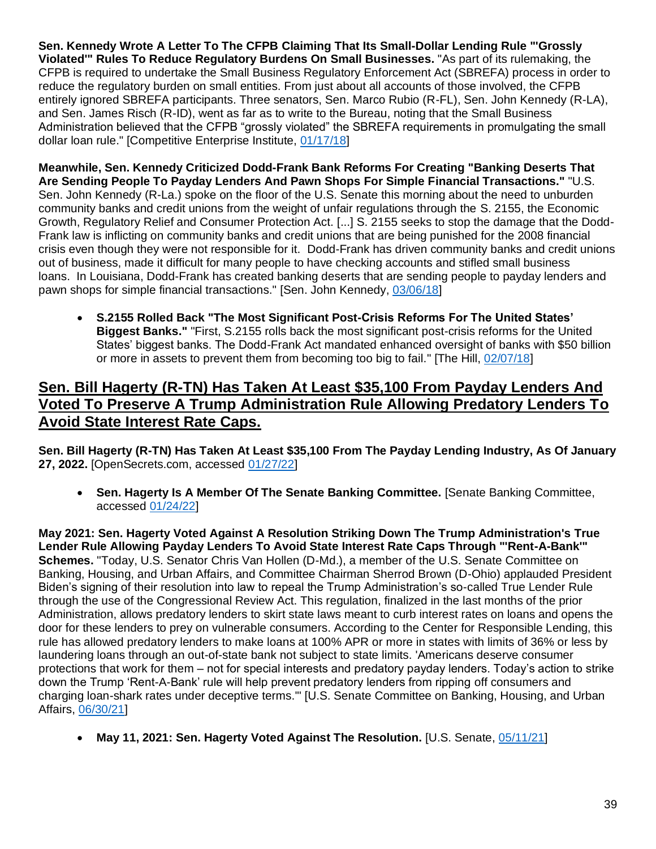**Sen. Kennedy Wrote A Letter To The CFPB Claiming That Its Small-Dollar Lending Rule "'Grossly Violated'" Rules To Reduce Regulatory Burdens On Small Businesses.** "As part of its rulemaking, the CFPB is required to undertake the Small Business Regulatory Enforcement Act (SBREFA) process in order to reduce the regulatory burden on small entities. From just about all accounts of those involved, the CFPB entirely ignored SBREFA participants. Three senators, Sen. Marco Rubio (R-FL), Sen. John Kennedy (R-LA), and Sen. James Risch (R-ID), went as far as to write to the Bureau, noting that the Small Business Administration believed that the CFPB "grossly violated" the SBREFA requirements in promulgating the small dollar loan rule." [Competitive Enterprise Institute, [01/17/18\]](https://cei.org/blog/7-reasons-to-oppose-the-federal-payday-loan-rule/)

**Meanwhile, Sen. Kennedy Criticized Dodd-Frank Bank Reforms For Creating "Banking Deserts That Are Sending People To Payday Lenders And Pawn Shops For Simple Financial Transactions."** "U.S. Sen. John Kennedy (R-La.) spoke on the floor of the U.S. Senate this morning about the need to unburden community banks and credit unions from the weight of unfair regulations through the S. 2155, the Economic Growth, Regulatory Relief and Consumer Protection Act. [...] S. 2155 seeks to stop the damage that the Dodd-Frank law is inflicting on community banks and credit unions that are being punished for the 2008 financial crisis even though they were not responsible for it. Dodd-Frank has driven community banks and credit unions out of business, made it difficult for many people to have checking accounts and stifled small business loans. In Louisiana, Dodd-Frank has created banking deserts that are sending people to payday lenders and pawn shops for simple financial transactions." [Sen. John Kennedy, [03/06/18\]](https://www.kennedy.senate.gov/public/2018/3/sen-john-kennedy-r-la-speaks-on-the-senate-floor-about-dodd-frank-reform-bill)

• **S.2155 Rolled Back "The Most Significant Post-Crisis Reforms For The United States' Biggest Banks."** "First, S.2155 rolls back the most significant post-crisis reforms for the United States' biggest banks. The Dodd-Frank Act mandated enhanced oversight of banks with \$50 billion or more in assets to prevent them from becoming too big to fail." [The Hill, [02/07/18\]](https://thehill.com/opinion/finance/372764-beware-of-the-bank-deregulation-trojan-horse)

#### **Sen. Bill Hagerty (R-TN) Has Taken At Least \$35,100 From Payday Lenders And Voted To Preserve A Trump Administration Rule Allowing Predatory Lenders To Avoid State Interest Rate Caps.**

**Sen. Bill Hagerty (R-TN) Has Taken At Least \$35,100 From The Payday Lending Industry, As Of January 27, 2022.** [OpenSecrets.com, accessed [01/27/22\]](https://www.opensecrets.org/industries/summary.php?ind=F1420&cycle=All&recipdetail=S&mem=Y)

• **Sen. Hagerty Is A Member Of The Senate Banking Committee.** [Senate Banking Committee, accessed [01/24/22\]](https://www.banking.senate.gov/about/membership)

**May 2021: Sen. Hagerty Voted Against A Resolution Striking Down The Trump Administration's True Lender Rule Allowing Payday Lenders To Avoid State Interest Rate Caps Through "'Rent-A-Bank'" Schemes.** "Today, U.S. Senator Chris Van Hollen (D-Md.), a member of the U.S. Senate Committee on Banking, Housing, and Urban Affairs, and Committee Chairman Sherrod Brown (D-Ohio) applauded President Biden's signing of their resolution into law to repeal the Trump Administration's so-called True Lender Rule through the use of the Congressional Review Act. This regulation, finalized in the last months of the prior Administration, allows predatory lenders to skirt state laws meant to curb interest rates on loans and opens the door for these lenders to prey on vulnerable consumers. According to the Center for Responsible Lending, this rule has allowed predatory lenders to make loans at 100% APR or more in states with limits of 36% or less by laundering loans through an out-of-state bank not subject to state limits. 'Americans deserve consumer protections that work for them – not for special interests and predatory payday lenders. Today's action to strike down the Trump 'Rent-A-Bank' rule will help prevent predatory lenders from ripping off consumers and charging loan-shark rates under deceptive terms.'" [U.S. Senate Committee on Banking, Housing, and Urban Affairs, [06/30/21\]](https://www.banking.senate.gov/newsroom/majority/president-signs-van-hollen-brown-legislation-to-strike-down-trump-era-rent-a-bank-rule)

• **May 11, 2021: Sen. Hagerty Voted Against The Resolution.** [U.S. Senate, [05/11/21\]](https://www.senate.gov/legislative/LIS/roll_call_votes/vote1171/vote_117_1_00183.htm)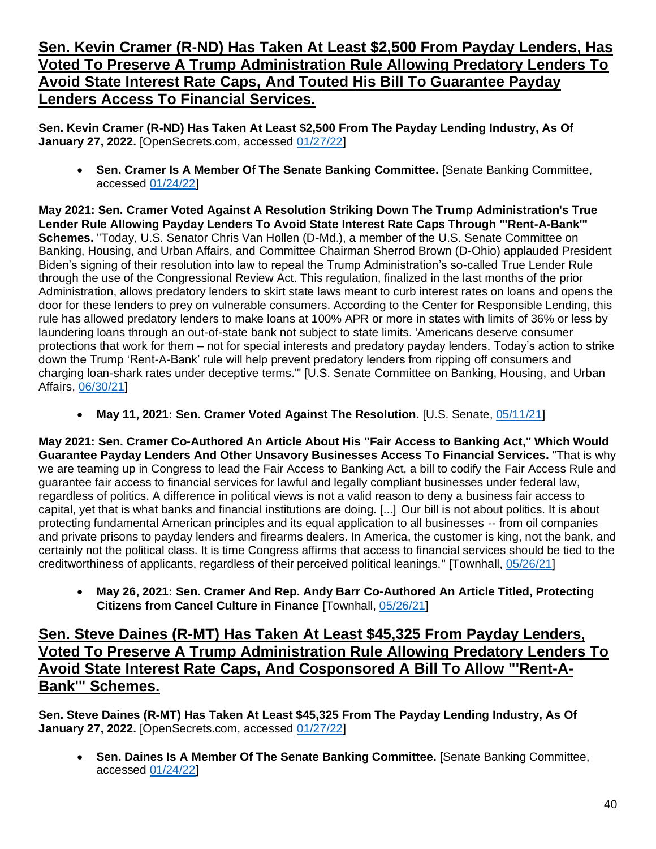#### **Sen. Kevin Cramer (R-ND) Has Taken At Least \$2,500 From Payday Lenders, Has Voted To Preserve A Trump Administration Rule Allowing Predatory Lenders To Avoid State Interest Rate Caps, And Touted His Bill To Guarantee Payday Lenders Access To Financial Services.**

**Sen. Kevin Cramer (R-ND) Has Taken At Least \$2,500 From The Payday Lending Industry, As Of January 27, 2022.** [OpenSecrets.com, accessed [01/27/22\]](https://www.opensecrets.org/industries/summary.php?ind=F1420&cycle=All&recipdetail=S&sortorder=A&mem=Y&page=2)

• **Sen. Cramer Is A Member Of The Senate Banking Committee.** [Senate Banking Committee, accessed [01/24/22\]](https://www.banking.senate.gov/about/membership)

**May 2021: Sen. Cramer Voted Against A Resolution Striking Down The Trump Administration's True Lender Rule Allowing Payday Lenders To Avoid State Interest Rate Caps Through "'Rent-A-Bank'" Schemes.** "Today, U.S. Senator Chris Van Hollen (D-Md.), a member of the U.S. Senate Committee on Banking, Housing, and Urban Affairs, and Committee Chairman Sherrod Brown (D-Ohio) applauded President Biden's signing of their resolution into law to repeal the Trump Administration's so-called True Lender Rule through the use of the Congressional Review Act. This regulation, finalized in the last months of the prior Administration, allows predatory lenders to skirt state laws meant to curb interest rates on loans and opens the door for these lenders to prey on vulnerable consumers. According to the Center for Responsible Lending, this rule has allowed predatory lenders to make loans at 100% APR or more in states with limits of 36% or less by laundering loans through an out-of-state bank not subject to state limits. 'Americans deserve consumer protections that work for them – not for special interests and predatory payday lenders. Today's action to strike down the Trump 'Rent-A-Bank' rule will help prevent predatory lenders from ripping off consumers and charging loan-shark rates under deceptive terms.'" [U.S. Senate Committee on Banking, Housing, and Urban Affairs, [06/30/21\]](https://www.banking.senate.gov/newsroom/majority/president-signs-van-hollen-brown-legislation-to-strike-down-trump-era-rent-a-bank-rule)

• **May 11, 2021: Sen. Cramer Voted Against The Resolution.** [U.S. Senate, [05/11/21\]](https://www.senate.gov/legislative/LIS/roll_call_votes/vote1171/vote_117_1_00183.htm)

**May 2021: Sen. Cramer Co-Authored An Article About His "Fair Access to Banking Act," Which Would Guarantee Payday Lenders And Other Unsavory Businesses Access To Financial Services.** "That is why we are teaming up in Congress to lead the Fair Access to Banking Act, a bill to codify the Fair Access Rule and guarantee fair access to financial services for lawful and legally compliant businesses under federal law, regardless of politics. A difference in political views is not a valid reason to deny a business fair access to capital, yet that is what banks and financial institutions are doing. [...] Our bill is not about politics. It is about protecting fundamental American principles and its equal application to all businesses -- from oil companies and private prisons to payday lenders and firearms dealers. In America, the customer is king, not the bank, and certainly not the political class. It is time Congress affirms that access to financial services should be tied to the creditworthiness of applicants, regardless of their perceived political leanings." [Townhall, [05/26/21\]](https://townhall.com/capitol-voices/senatorkevincramer/2021/05/26/protecting-citizens-from-cancel-culture-in-finance-n2589984)

• **May 26, 2021: Sen. Cramer And Rep. Andy Barr Co-Authored An Article Titled, Protecting Citizens from Cancel Culture in Finance** [Townhall, [05/26/21\]](https://townhall.com/capitol-voices/senatorkevincramer/2021/05/26/protecting-citizens-from-cancel-culture-in-finance-n2589984)

#### **Sen. Steve Daines (R-MT) Has Taken At Least \$45,325 From Payday Lenders, Voted To Preserve A Trump Administration Rule Allowing Predatory Lenders To Avoid State Interest Rate Caps, And Cosponsored A Bill To Allow "'Rent-A-Bank'" Schemes.**

**Sen. Steve Daines (R-MT) Has Taken At Least \$45,325 From The Payday Lending Industry, As Of January 27, 2022.** [OpenSecrets.com, accessed [01/27/22\]](https://www.opensecrets.org/industries/summary.php?ind=F1420&cycle=All&recipdetail=S&sortorder=A&mem=Y&page=2)

• **Sen. Daines Is A Member Of The Senate Banking Committee.** [Senate Banking Committee, accessed [01/24/22\]](https://www.banking.senate.gov/about/membership)